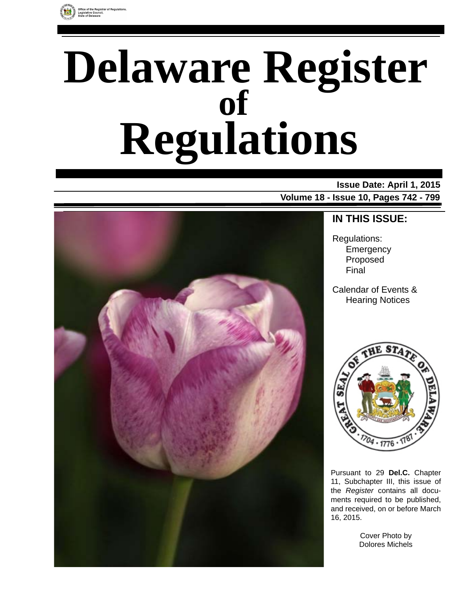

# **Delaware Register Regulations of**

### **Issue Date: April 1, 2015**

**Volume 18 - Issue 10, Pages 742 - 799**



### **IN THIS ISSUE:**

Regulations: **Emergency** Proposed Final

Calendar of Events & Hearing Notices



Pursuant to 29 **Del.C.** Chapter 11, Subchapter III, this issue of the *Register* contains all documents required to be published, and received, on or before March 16, 2015.

> Cover Photo by Dolores Michels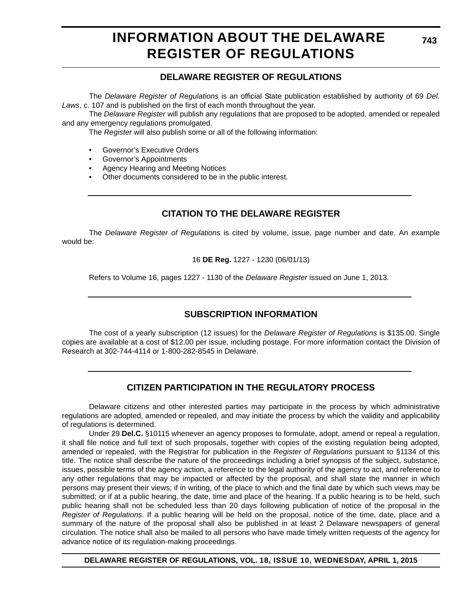### **INFORMATION ABOUT THE DELAWARE REGISTER OF REGULATIONS**

### **DELAWARE REGISTER OF REGULATIONS**

The *Delaware Register of Regulations* is an official State publication established by authority of 69 *Del. Laws*, c. 107 and is published on the first of each month throughout the year.

The *Delaware Register* will publish any regulations that are proposed to be adopted, amended or repealed and any emergency regulations promulgated.

The *Register* will also publish some or all of the following information:

- Governor's Executive Orders
- Governor's Appointments
- Agency Hearing and Meeting Notices
- Other documents considered to be in the public interest.

### **CITATION TO THE DELAWARE REGISTER**

The *Delaware Register of Regulations* is cited by volume, issue, page number and date. An example would be:

16 **DE Reg.** 1227 - 1230 (06/01/13)

Refers to Volume 16, pages 1227 - 1130 of the *Delaware Register* issued on June 1, 2013.

### **SUBSCRIPTION INFORMATION**

The cost of a yearly subscription (12 issues) for the *Delaware Register of Regulations* is \$135.00. Single copies are available at a cost of \$12.00 per issue, including postage. For more information contact the Division of Research at 302-744-4114 or 1-800-282-8545 in Delaware.

### **CITIZEN PARTICIPATION IN THE REGULATORY PROCESS**

Delaware citizens and other interested parties may participate in the process by which administrative regulations are adopted, amended or repealed, and may initiate the process by which the validity and applicability of regulations is determined.

Under 29 **Del.C.** §10115 whenever an agency proposes to formulate, adopt, amend or repeal a regulation, it shall file notice and full text of such proposals, together with copies of the existing regulation being adopted, amended or repealed, with the Registrar for publication in the *Register of Regulations* pursuant to §1134 of this title. The notice shall describe the nature of the proceedings including a brief synopsis of the subject, substance, issues, possible terms of the agency action, a reference to the legal authority of the agency to act, and reference to any other regulations that may be impacted or affected by the proposal, and shall state the manner in which persons may present their views; if in writing, of the place to which and the final date by which such views may be submitted; or if at a public hearing, the date, time and place of the hearing. If a public hearing is to be held, such public hearing shall not be scheduled less than 20 days following publication of notice of the proposal in the *Register of Regulations*. If a public hearing will be held on the proposal, notice of the time, date, place and a summary of the nature of the proposal shall also be published in at least 2 Delaware newspapers of general circulation. The notice shall also be mailed to all persons who have made timely written requests of the agency for advance notice of its regulation-making proceedings.

**DELAWARE REGISTER OF REGULATIONS, VOL. 18, ISSUE 10, WEDNESDAY, APRIL 1, 2015**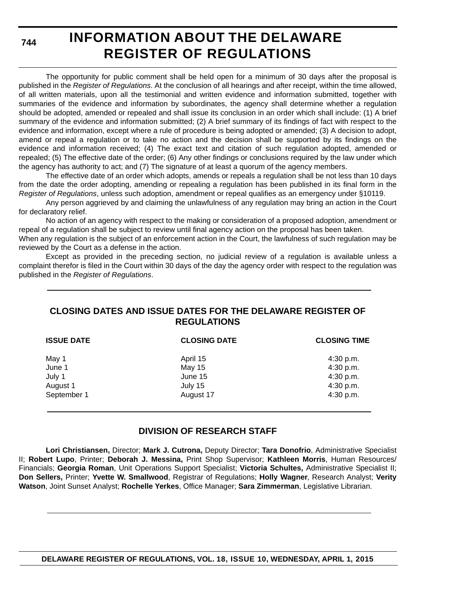**744**

# **INFORMATION ABOUT THE DELAWARE REGISTER OF REGULATIONS**

The opportunity for public comment shall be held open for a minimum of 30 days after the proposal is published in the *Register of Regulations*. At the conclusion of all hearings and after receipt, within the time allowed, of all written materials, upon all the testimonial and written evidence and information submitted, together with summaries of the evidence and information by subordinates, the agency shall determine whether a regulation should be adopted, amended or repealed and shall issue its conclusion in an order which shall include: (1) A brief summary of the evidence and information submitted; (2) A brief summary of its findings of fact with respect to the evidence and information, except where a rule of procedure is being adopted or amended; (3) A decision to adopt, amend or repeal a regulation or to take no action and the decision shall be supported by its findings on the evidence and information received; (4) The exact text and citation of such regulation adopted, amended or repealed; (5) The effective date of the order; (6) Any other findings or conclusions required by the law under which the agency has authority to act; and (7) The signature of at least a quorum of the agency members.

The effective date of an order which adopts, amends or repeals a regulation shall be not less than 10 days from the date the order adopting, amending or repealing a regulation has been published in its final form in the *Register of Regulations*, unless such adoption, amendment or repeal qualifies as an emergency under §10119.

Any person aggrieved by and claiming the unlawfulness of any regulation may bring an action in the Court for declaratory relief.

No action of an agency with respect to the making or consideration of a proposed adoption, amendment or repeal of a regulation shall be subject to review until final agency action on the proposal has been taken.

When any regulation is the subject of an enforcement action in the Court, the lawfulness of such regulation may be reviewed by the Court as a defense in the action.

Except as provided in the preceding section, no judicial review of a regulation is available unless a complaint therefor is filed in the Court within 30 days of the day the agency order with respect to the regulation was published in the *Register of Regulations*.

### **CLOSING DATES AND ISSUE DATES FOR THE DELAWARE REGISTER OF REGULATIONS**

| <b>ISSUE DATE</b> | <b>CLOSING DATE</b> | <b>CLOSING TIME</b> |
|-------------------|---------------------|---------------------|
| May 1             | April 15            | 4:30 p.m.           |
| June 1            | <b>May 15</b>       | 4:30 p.m.           |
| July 1            | June 15             | 4:30 p.m.           |
| August 1          | July 15             | 4:30 p.m.           |
| September 1       | August 17           | 4:30 p.m.           |

### **DIVISION OF RESEARCH STAFF**

**Lori Christiansen,** Director; **Mark J. Cutrona,** Deputy Director; **Tara Donofrio**, Administrative Specialist II; **Robert Lupo**, Printer; **Deborah J. Messina,** Print Shop Supervisor; **Kathleen Morris**, Human Resources/ Financials; **Georgia Roman**, Unit Operations Support Specialist; **Victoria Schultes,** Administrative Specialist II; **Don Sellers,** Printer; **Yvette W. Smallwood**, Registrar of Regulations; **Holly Wagner**, Research Analyst; **Verity Watson**, Joint Sunset Analyst; **Rochelle Yerkes**, Office Manager; **Sara Zimmerman**, Legislative Librarian.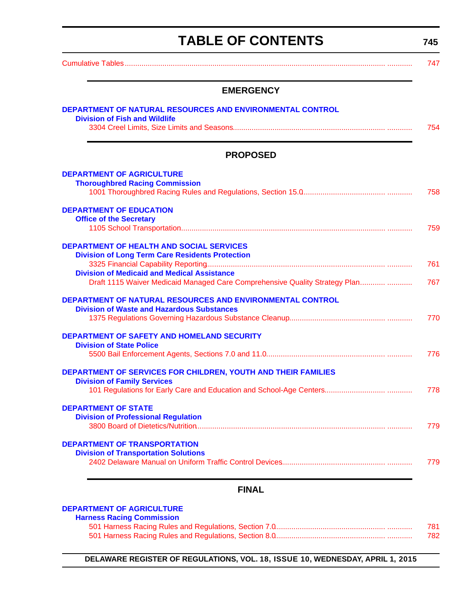<span id="page-3-0"></span>

| <b>TABLE OF CONTENTS</b>                                                                                                                                                                      | 745 |
|-----------------------------------------------------------------------------------------------------------------------------------------------------------------------------------------------|-----|
|                                                                                                                                                                                               | 747 |
| <b>EMERGENCY</b>                                                                                                                                                                              |     |
| DEPARTMENT OF NATURAL RESOURCES AND ENVIRONMENTAL CONTROL<br><b>Division of Fish and Wildlife</b>                                                                                             | 754 |
| <b>PROPOSED</b>                                                                                                                                                                               |     |
| <b>DEPARTMENT OF AGRICULTURE</b><br><b>Thoroughbred Racing Commission</b>                                                                                                                     | 758 |
| <b>DEPARTMENT OF EDUCATION</b><br><b>Office of the Secretary</b>                                                                                                                              | 759 |
| <b>DEPARTMENT OF HEALTH AND SOCIAL SERVICES</b><br><b>Division of Long Term Care Residents Protection</b><br><b>Division of Medicaid and Medical Assistance</b>                               | 761 |
| Draft 1115 Waiver Medicaid Managed Care Comprehensive Quality Strategy Plan<br>DEPARTMENT OF NATURAL RESOURCES AND ENVIRONMENTAL CONTROL<br><b>Division of Waste and Hazardous Substances</b> | 767 |
| <b>DEPARTMENT OF SAFETY AND HOMELAND SECURITY</b><br><b>Division of State Police</b>                                                                                                          | 770 |
|                                                                                                                                                                                               | 776 |
| <b>DEPARTMENT OF SERVICES FOR CHILDREN, YOUTH AND THEIR FAMILIES</b><br><b>Division of Family Services</b>                                                                                    | 778 |
| <b>DEPARTMENT OF STATE</b><br><b>Division of Professional Regulation</b>                                                                                                                      | 779 |
| <b>DEPARTMENT OF TRANSPORTATION</b><br><b>Division of Transportation Solutions</b>                                                                                                            | 779 |
| <b>FINAL</b>                                                                                                                                                                                  |     |

### **[DEPARTMENT OF AGRICULTURE](http://dda.delaware.gov/harness/)**

| <b>Harness Racing Commission</b> |     |
|----------------------------------|-----|
|                                  | 781 |
|                                  | 782 |

**DELAWARE REGISTER OF REGULATIONS, VOL. 18, ISSUE 10, WEDNESDAY, APRIL 1, 2015**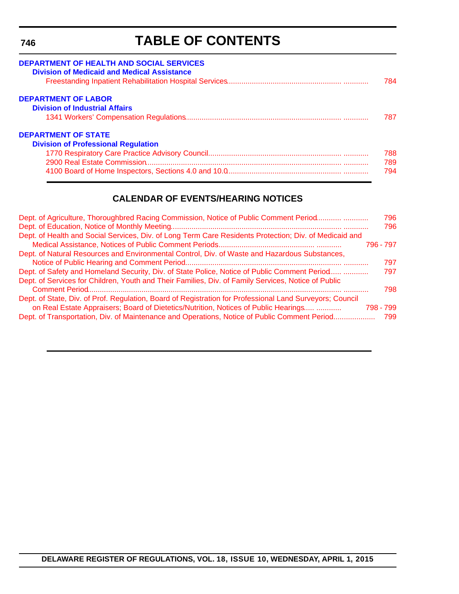#### <span id="page-4-0"></span>**746**

# **TABLE OF CONTENTS**

| <b>DEPARTMENT OF HEALTH AND SOCIAL SERVICES</b><br><b>Division of Medicaid and Medical Assistance</b> | 784 |
|-------------------------------------------------------------------------------------------------------|-----|
| <b>DEPARTMENT OF LABOR</b>                                                                            |     |
| <b>Division of Industrial Affairs</b>                                                                 |     |
|                                                                                                       | 787 |
| <b>DEPARTMENT OF STATE</b>                                                                            |     |
| <b>Division of Professional Regulation</b>                                                            |     |
|                                                                                                       | 788 |
|                                                                                                       | 789 |
|                                                                                                       | 794 |

### **CALENDAR OF EVENTS/HEARING NOTICES**

| Dept. of Agriculture, Thoroughbred Racing Commission, Notice of Public Comment Period                    | 796       |
|----------------------------------------------------------------------------------------------------------|-----------|
|                                                                                                          | 796       |
| Dept. of Health and Social Services, Div. of Long Term Care Residents Protection; Div. of Medicaid and   |           |
|                                                                                                          | 796 - 797 |
| Dept. of Natural Resources and Environmental Control, Div. of Waste and Hazardous Substances,            |           |
|                                                                                                          | 797       |
| Dept. of Safety and Homeland Security, Div. of State Police, Notice of Public Comment Period             | 797       |
| Dept. of Services for Children, Youth and Their Families, Div. of Family Services, Notice of Public      |           |
|                                                                                                          | 798       |
| Dept. of State, Div. of Prof. Regulation, Board of Registration for Professional Land Surveyors; Council |           |
| on Real Estate Appraisers; Board of Dietetics/Nutrition, Notices of Public Hearings                      | 798 - 799 |
| Dept. of Transportation, Div. of Maintenance and Operations, Notice of Public Comment Period             | 799       |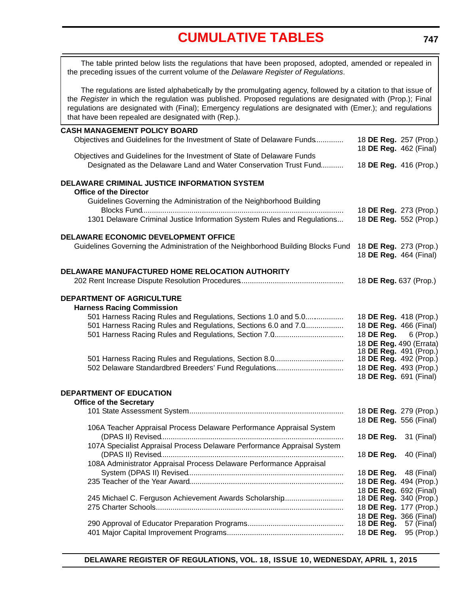<span id="page-5-0"></span>The table printed below lists the regulations that have been proposed, adopted, amended or repealed in the preceding issues of the current volume of the *Delaware Register of Regulations*.

The regulations are listed alphabetically by the promulgating agency, followed by a citation to that issue of the *Register* in which the regulation was published. Proposed regulations are designated with (Prop.); Final regulations are designated with (Final); Emergency regulations are designated with (Emer.); and regulations that have been repealed are designated with (Rep.).

#### **CASH MANAGEMENT POLICY BOARD**

| Objectives and Guidelines for the Investment of State of Delaware Funds                                                                      |                              | 18 DE Reg. 257 (Prop.)<br>18 DE Reg. 462 (Final)  |
|----------------------------------------------------------------------------------------------------------------------------------------------|------------------------------|---------------------------------------------------|
| Objectives and Guidelines for the Investment of State of Delaware Funds<br>Designated as the Delaware Land and Water Conservation Trust Fund |                              | 18 DE Reg. 416 (Prop.)                            |
| DELAWARE CRIMINAL JUSTICE INFORMATION SYSTEM<br><b>Office of the Director</b>                                                                |                              |                                                   |
| Guidelines Governing the Administration of the Neighborhood Building                                                                         |                              | 18 DE Reg. 273 (Prop.)                            |
| 1301 Delaware Criminal Justice Information System Rules and Regulations                                                                      |                              | 18 DE Reg. 552 (Prop.)                            |
| DELAWARE ECONOMIC DEVELOPMENT OFFICE                                                                                                         |                              |                                                   |
| Guidelines Governing the Administration of the Neighborhood Building Blocks Fund                                                             |                              | 18 DE Reg. 273 (Prop.)<br>18 DE Reg. 464 (Final)  |
| DELAWARE MANUFACTURED HOME RELOCATION AUTHORITY                                                                                              |                              |                                                   |
|                                                                                                                                              | 18 DE Reg. 637 (Prop.)       |                                                   |
| DEPARTMENT OF AGRICULTURE<br><b>Harness Racing Commission</b>                                                                                |                              |                                                   |
| 501 Harness Racing Rules and Regulations, Sections 1.0 and 5.0                                                                               |                              | 18 DE Reg. 418 (Prop.)                            |
| 501 Harness Racing Rules and Regulations, Sections 6.0 and 7.0                                                                               |                              | 18 DE Reg. 466 (Final)                            |
| 501 Harness Racing Rules and Regulations, Section 7.0                                                                                        |                              | 18 <b>DE Reg.</b> 6 (Prop.)                       |
|                                                                                                                                              |                              | 18 DE Reg. 490 (Errata)<br>18 DE Reg. 491 (Prop.) |
| 501 Harness Racing Rules and Regulations, Section 8.0                                                                                        |                              | 18 DE Reg. 492 (Prop.)                            |
| 502 Delaware Standardbred Breeders' Fund Regulations                                                                                         |                              | 18 DE Reg. 493 (Prop.)                            |
|                                                                                                                                              |                              | 18 DE Reg. 691 (Final)                            |
| DEPARTMENT OF EDUCATION<br><b>Office of the Secretary</b>                                                                                    |                              |                                                   |
|                                                                                                                                              |                              | 18 DE Reg. 279 (Prop.)                            |
| 106A Teacher Appraisal Process Delaware Performance Appraisal System                                                                         |                              | 18 DE Reg. 556 (Final)                            |
|                                                                                                                                              | 18 <b>DE Reg.</b> 31 (Final) |                                                   |
| 107A Specialist Appraisal Process Delaware Performance Appraisal System                                                                      |                              |                                                   |
|                                                                                                                                              | 18 DE Reg.                   | 40 (Final)                                        |
| 108A Administrator Appraisal Process Delaware Performance Appraisal                                                                          |                              |                                                   |
|                                                                                                                                              |                              | 18 <b>DE Reg.</b> 48 (Final)                      |
|                                                                                                                                              |                              | 18 DE Reg. 494 (Prop.)                            |
| 245 Michael C. Ferguson Achievement Awards Scholarship                                                                                       |                              | 18 DE Reg. 692 (Final)<br>18 DE Reg. 340 (Prop.)  |
|                                                                                                                                              |                              | 18 DE Reg. 177 (Prop.)                            |
|                                                                                                                                              |                              | 18 DE Reg. 366 (Final)                            |
|                                                                                                                                              | 18 DE Reg.                   | 57 (Final)                                        |
|                                                                                                                                              | 18 DE Reg.                   | 95 (Prop.)                                        |
|                                                                                                                                              |                              |                                                   |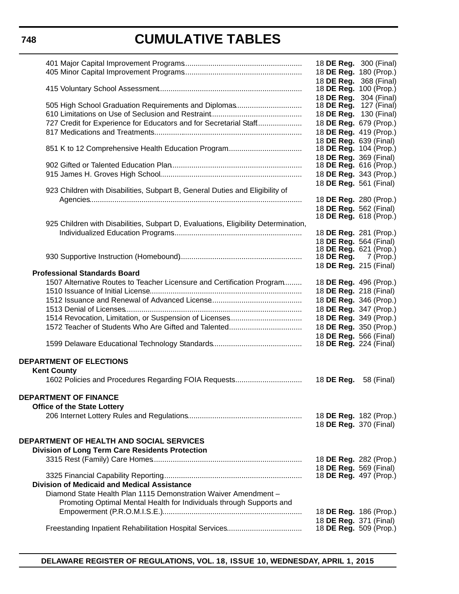|                                                                                    | 18 <b>DE Reg.</b> 300 (Final)                           |            |
|------------------------------------------------------------------------------------|---------------------------------------------------------|------------|
|                                                                                    | 18 DE Reg. 180 (Prop.)                                  |            |
|                                                                                    | 18 DE Reg. 368 (Final)                                  |            |
|                                                                                    | 18 DE Reg. 100 (Prop.)                                  |            |
| 505 High School Graduation Requirements and Diplomas                               | 18 DE Reg. 304 (Final)<br>18 DE Reg. 127 (Final)        |            |
|                                                                                    | 18 DE Reg. 130 (Final)                                  |            |
| 727 Credit for Experience for Educators and for Secretarial Staff                  | 18 DE Reg. 679 (Prop.)                                  |            |
|                                                                                    | 18 DE Reg. 419 (Prop.)                                  |            |
|                                                                                    | 18 DE Reg. 639 (Final)                                  |            |
|                                                                                    | 18 <b>DE Reg.</b> 104 (Prop.)                           |            |
|                                                                                    | 18 DE Reg. 369 (Final)                                  |            |
|                                                                                    | 18 <b>DE Reg.</b> 616 (Prop.)                           |            |
|                                                                                    | 18 DE Reg. 343 (Prop.)                                  |            |
| 923 Children with Disabilities, Subpart B, General Duties and Eligibility of       | 18 DE Reg. 561 (Final)                                  |            |
|                                                                                    | 18 DE Reg. 280 (Prop.)                                  |            |
|                                                                                    | 18 DE Reg. 562 (Final)                                  |            |
|                                                                                    | 18 DE Reg. 618 (Prop.)                                  |            |
| 925 Children with Disabilities, Subpart D, Evaluations, Eligibility Determination, |                                                         |            |
|                                                                                    | 18 DE Reg. 281 (Prop.)                                  |            |
|                                                                                    | 18 DE Reg. 564 (Final)                                  |            |
|                                                                                    | 18 DE Reg. 621 (Prop.)<br>18 <b>DE Reg.</b> 7 (Prop.)   |            |
|                                                                                    | 18 DE Reg. 215 (Final)                                  |            |
| <b>Professional Standards Board</b>                                                |                                                         |            |
| 1507 Alternative Routes to Teacher Licensure and Certification Program             | 18 DE Reg. 496 (Prop.)                                  |            |
|                                                                                    | 18 DE Reg. 218 (Final)                                  |            |
|                                                                                    | 18 DE Reg. 346 (Prop.)                                  |            |
|                                                                                    | 18 DE Reg. 347 (Prop.)                                  |            |
|                                                                                    | 18 DE Reg. 349 (Prop.)                                  |            |
|                                                                                    | 18 DE Reg. 350 (Prop.)                                  |            |
|                                                                                    | 18 DE Reg. 566 (Final)<br>18 <b>DE Reg.</b> 224 (Final) |            |
|                                                                                    |                                                         |            |
| <b>DEPARTMENT OF ELECTIONS</b>                                                     |                                                         |            |
| <b>Kent County</b>                                                                 |                                                         |            |
|                                                                                    | 18 DE Reg.                                              | 58 (Final) |
|                                                                                    |                                                         |            |
| <b>DEPARTMENT OF FINANCE</b>                                                       |                                                         |            |
| <b>Office of the State Lottery</b>                                                 |                                                         |            |
|                                                                                    | 18 DE Reg. 182 (Prop.)                                  |            |
|                                                                                    | 18 DE Reg. 370 (Final)                                  |            |
| DEPARTMENT OF HEALTH AND SOCIAL SERVICES                                           |                                                         |            |
| <b>Division of Long Term Care Residents Protection</b>                             |                                                         |            |
|                                                                                    | 18 DE Reg. 282 (Prop.)                                  |            |
|                                                                                    | 18 DE Reg. 569 (Final)                                  |            |
|                                                                                    | 18 DE Reg. 497 (Prop.)                                  |            |
| <b>Division of Medicaid and Medical Assistance</b>                                 |                                                         |            |
| Diamond State Health Plan 1115 Demonstration Waiver Amendment -                    |                                                         |            |
| Promoting Optimal Mental Health for Individuals through Supports and               |                                                         |            |
|                                                                                    | 18 DE Reg. 186 (Prop.)                                  |            |
|                                                                                    | 18 DE Reg. 371 (Final)<br>18 DE Reg. 509 (Prop.)        |            |
|                                                                                    |                                                         |            |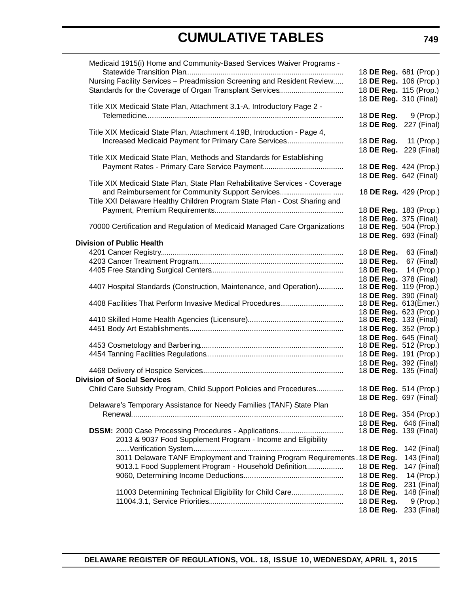| Medicaid 1915(i) Home and Community-Based Services Waiver Programs -         |                                                  |             |
|------------------------------------------------------------------------------|--------------------------------------------------|-------------|
|                                                                              | 18 DE Reg. 681 (Prop.)                           |             |
| Nursing Facility Services - Preadmission Screening and Resident Review       | 18 DE Reg. 106 (Prop.)                           |             |
| Standards for the Coverage of Organ Transplant Services                      | 18 DE Reg. 115 (Prop.)                           |             |
|                                                                              | 18 DE Reg. 310 (Final)                           |             |
| Title XIX Medicaid State Plan, Attachment 3.1-A, Introductory Page 2 -       |                                                  |             |
|                                                                              | 18 <b>DE Reg.</b> 9 (Prop.)                      |             |
|                                                                              | 18 DE Reg. 227 (Final)                           |             |
| Title XIX Medicaid State Plan, Attachment 4.19B, Introduction - Page 4,      |                                                  |             |
| Increased Medicaid Payment for Primary Care Services                         | 18 DE Reg.                                       | 11 (Prop.)  |
|                                                                              | 18 DE Reg. 229 (Final)                           |             |
| Title XIX Medicaid State Plan, Methods and Standards for Establishing        |                                                  |             |
|                                                                              | 18 DE Reg. 424 (Prop.)                           |             |
|                                                                              | 18 <b>DE Reg.</b> 642 (Final)                    |             |
| Title XIX Medicaid State Plan, State Plan Rehabilitative Services - Coverage |                                                  |             |
| and Reimbursement for Community Support Services                             | 18 DE Reg. 429 (Prop.)                           |             |
| Title XXI Delaware Healthy Children Program State Plan - Cost Sharing and    |                                                  |             |
|                                                                              | 18 DE Reg. 183 (Prop.)                           |             |
|                                                                              | 18 DE Reg. 375 (Final)<br>18 DE Reg. 504 (Prop.) |             |
| 70000 Certification and Regulation of Medicaid Managed Care Organizations    |                                                  |             |
| <b>Division of Public Health</b>                                             | 18 DE Reg. 693 (Final)                           |             |
|                                                                              | 18 <b>DE Reg.</b> 63 (Final)                     |             |
|                                                                              | 18 DE Reg.                                       | 67 (Final)  |
|                                                                              | 18 DE Reg.                                       | 14 (Prop.)  |
|                                                                              | 18 DE Reg. 378 (Final)                           |             |
| 4407 Hospital Standards (Construction, Maintenance, and Operation)           | 18 <b>DE Reg.</b> 119 (Prop.)                    |             |
|                                                                              | 18 DE Reg. 390 (Final)                           |             |
| 4408 Facilities That Perform Invasive Medical Procedures                     | 18 DE Reg. 613(Emer.)                            |             |
|                                                                              | 18 DE Reg. 623 (Prop.)                           |             |
|                                                                              | 18 <b>DE Reg.</b> 133 (Final)                    |             |
|                                                                              | 18 DE Reg. 352 (Prop.)                           |             |
|                                                                              | 18 DE Reg. 645 (Final)                           |             |
|                                                                              | 18 DE Reg. 512 (Prop.)                           |             |
|                                                                              | 18 DE Reg. 191 (Prop.)                           |             |
|                                                                              | 18 DE Req. 392 (Final)                           |             |
|                                                                              | 18 <b>DE Reg.</b> 135 (Final)                    |             |
| <b>Division of Social Services</b>                                           |                                                  |             |
| Child Care Subsidy Program, Child Support Policies and Procedures            | 18 DE Reg. 514 (Prop.)                           |             |
|                                                                              | 18 <b>DE Reg.</b> 697 (Final)                    |             |
| Delaware's Temporary Assistance for Needy Families (TANF) State Plan         |                                                  |             |
|                                                                              | 18 DE Reg. 354 (Prop.)                           |             |
|                                                                              | 18 DE Reg. 646 (Final)                           |             |
| <b>DSSM: 2000 Case Processing Procedures - Applications</b>                  | 18 DE Reg. 139 (Final)                           |             |
| 2013 & 9037 Food Supplement Program - Income and Eligibility                 |                                                  |             |
|                                                                              | 18 DE Reg. 142 (Final)                           |             |
| 3011 Delaware TANF Employment and Training Program Requirements . 18 DE Reg. |                                                  | 143 (Final) |
| 9013.1 Food Supplement Program - Household Definition                        | 18 DE Reg. 147 (Final)                           |             |
|                                                                              | 18 DE Reg.                                       | 14 (Prop.)  |
|                                                                              | 18 DE Reg. 231 (Final)                           |             |
| 11003 Determining Technical Eligibility for Child Care                       | 18 DE Reg.                                       | 148 (Final) |
|                                                                              | 18 DE Reg.                                       | 9 (Prop.)   |
|                                                                              | 18 DE Reg. 233 (Final)                           |             |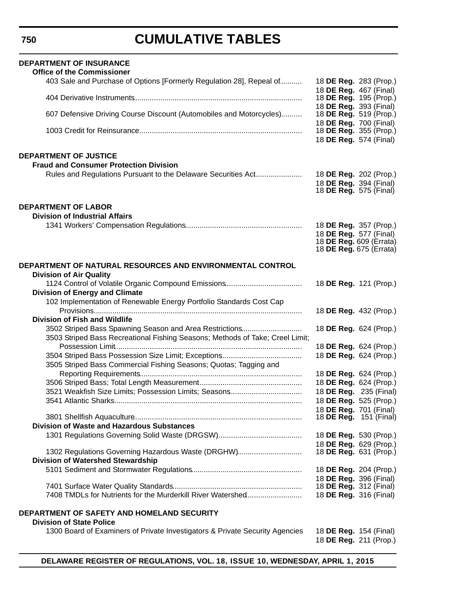| <b>DEPARTMENT OF INSURANCE</b><br><b>Office of the Commissioner</b>                                                                      |                                                                                            |
|------------------------------------------------------------------------------------------------------------------------------------------|--------------------------------------------------------------------------------------------|
| 403 Sale and Purchase of Options [Formerly Regulation 28], Repeal of                                                                     | 18 DE Reg. 283 (Prop.)<br>18 DE Reg. 467 (Final)                                           |
|                                                                                                                                          | 18 <b>DE Reg.</b> 195 (Prop.)<br>18 DE Reg. 393 (Final)                                    |
| 607 Defensive Driving Course Discount (Automobiles and Motorcycles)                                                                      | 18 DE Reg. 519 (Prop.)<br>18 DE Reg. 700 (Final)                                           |
|                                                                                                                                          | 18 DE Reg. 355 (Prop.)<br>18 DE Reg. 574 (Final)                                           |
| <b>DEPARTMENT OF JUSTICE</b><br><b>Fraud and Consumer Protection Division</b>                                                            |                                                                                            |
| Rules and Regulations Pursuant to the Delaware Securities Act                                                                            | 18 DE Reg. 202 (Prop.)                                                                     |
|                                                                                                                                          | 18 DE Reg. 394 (Final)<br>18 <b>DE Reg.</b> 575 (Final)                                    |
| <b>DEPARTMENT OF LABOR</b><br><b>Division of Industrial Affairs</b>                                                                      |                                                                                            |
|                                                                                                                                          | 18 DE Reg. 357 (Prop.)                                                                     |
|                                                                                                                                          | 18 DE Reg. 577 (Final)<br>18 <b>DE Reg.</b> 609 (Errata)<br>18 <b>DE Reg.</b> 675 (Errata) |
| DEPARTMENT OF NATURAL RESOURCES AND ENVIRONMENTAL CONTROL                                                                                |                                                                                            |
| <b>Division of Air Quality</b>                                                                                                           |                                                                                            |
|                                                                                                                                          | 18 DE Reg. 121 (Prop.)                                                                     |
| <b>Division of Energy and Climate</b>                                                                                                    |                                                                                            |
| 102 Implementation of Renewable Energy Portfolio Standards Cost Cap                                                                      | 18 DE Reg. 432 (Prop.)                                                                     |
| <b>Division of Fish and Wildlife</b>                                                                                                     |                                                                                            |
| 3502 Striped Bass Spawning Season and Area Restrictions<br>3503 Striped Bass Recreational Fishing Seasons; Methods of Take; Creel Limit; | 18 DE Reg. 624 (Prop.)                                                                     |
|                                                                                                                                          | 18 DE Reg. 624 (Prop.)                                                                     |
| 3505 Striped Bass Commercial Fishing Seasons; Quotas; Tagging and                                                                        | 18 DE Reg. 624 (Prop.)                                                                     |
|                                                                                                                                          | 18 DE Reg. 624 (Prop.)                                                                     |
|                                                                                                                                          | 18 DE Reg. 624 (Prop.)                                                                     |
| 3521 Weakfish Size Limits; Possession Limits; Seasons                                                                                    | 18 DE Reg. 235 (Final)                                                                     |
|                                                                                                                                          | 18 DE Reg. 525 (Prop.)                                                                     |
|                                                                                                                                          | 18 DE Reg. 701 (Final)                                                                     |
| <b>Division of Waste and Hazardous Substances</b>                                                                                        | 18 <b>DE Reg.</b> 151 (Final)                                                              |
|                                                                                                                                          | 18 DE Reg. 530 (Prop.)                                                                     |
|                                                                                                                                          | 18 DE Reg. 629 (Prop.)                                                                     |
| 1302 Regulations Governing Hazardous Waste (DRGHW)                                                                                       | 18 <b>DE Reg.</b> 631 (Prop.)                                                              |
| <b>Division of Watershed Stewardship</b>                                                                                                 |                                                                                            |
|                                                                                                                                          | 18 DE Reg. 204 (Prop.)                                                                     |
|                                                                                                                                          | 18 DE Reg. 396 (Final)                                                                     |
|                                                                                                                                          | 18 <b>DE Reg.</b> 312 (Final)                                                              |
| 7408 TMDLs for Nutrients for the Murderkill River Watershed                                                                              | 18 DE Reg. 316 (Final)                                                                     |
| DEPARTMENT OF SAFETY AND HOMELAND SECURITY                                                                                               |                                                                                            |
| <b>Division of State Police</b><br>1300 Board of Examiners of Private Investigators & Private Security Agencies                          |                                                                                            |
|                                                                                                                                          | 18 <b>DE Reg.</b> 154 (Final)<br>18 DE Reg. 211 (Prop.)                                    |

**DELAWARE REGISTER OF REGULATIONS, VOL. 18, ISSUE 10, WEDNESDAY, APRIL 1, 2015**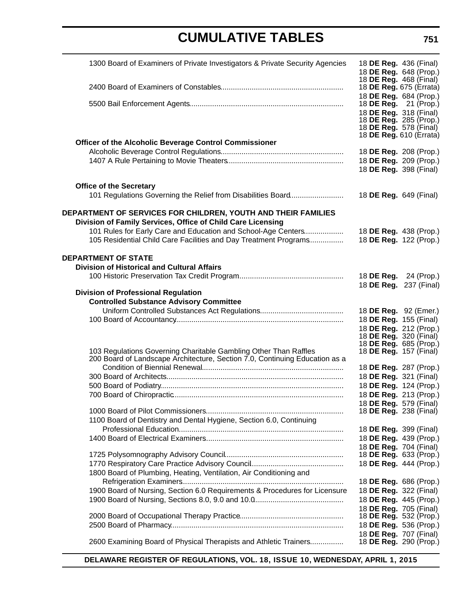| 1300 Board of Examiners of Private Investigators & Private Security Agencies                                                 | 18 <b>DE Reg.</b> 436 (Final)<br>18 DE Reg. 648 (Prop.)                                                           |  |
|------------------------------------------------------------------------------------------------------------------------------|-------------------------------------------------------------------------------------------------------------------|--|
|                                                                                                                              | 18 DE Reg. 468 (Final)<br>18 DE Reg. 675 (Errata)<br>18 DE Reg. 684 (Prop.)                                       |  |
|                                                                                                                              | 18 <b>DE Reg.</b> 21 (Prop.)<br>18 DE Reg. 318 (Final)<br>18 DE Reg. 285 (Prop.)<br>18 <b>DE Reg.</b> 578 (Final) |  |
| Officer of the Alcoholic Beverage Control Commissioner                                                                       | 18 DE Reg. 610 (Errata)                                                                                           |  |
|                                                                                                                              | 18 DE Reg. 208 (Prop.)                                                                                            |  |
|                                                                                                                              | 18 DE Reg. 209 (Prop.)<br>18 DE Reg. 398 (Final)                                                                  |  |
| <b>Office of the Secretary</b>                                                                                               |                                                                                                                   |  |
| 101 Regulations Governing the Relief from Disabilities Board                                                                 | 18 DE Reg. 649 (Final)                                                                                            |  |
| DEPARTMENT OF SERVICES FOR CHILDREN, YOUTH AND THEIR FAMILIES<br>Division of Family Services, Office of Child Care Licensing |                                                                                                                   |  |
| 101 Rules for Early Care and Education and School-Age Centers                                                                | 18 DE Reg. 438 (Prop.)                                                                                            |  |
| 105 Residential Child Care Facilities and Day Treatment Programs                                                             | 18 DE Reg. 122 (Prop.)                                                                                            |  |
| <b>DEPARTMENT OF STATE</b>                                                                                                   |                                                                                                                   |  |
| <b>Division of Historical and Cultural Affairs</b>                                                                           |                                                                                                                   |  |
|                                                                                                                              | 18 DE Reg. 24 (Prop.)                                                                                             |  |
| <b>Division of Professional Regulation</b>                                                                                   | 18 DE Reg. 237 (Final)                                                                                            |  |
| <b>Controlled Substance Advisory Committee</b>                                                                               |                                                                                                                   |  |
|                                                                                                                              | 18 DE Reg. 92 (Emer.)                                                                                             |  |
|                                                                                                                              | 18 DE Reg. 155 (Final)                                                                                            |  |
|                                                                                                                              | 18 DE Reg. 212 (Prop.)                                                                                            |  |
|                                                                                                                              | 18 DE Reg. 320 (Final)                                                                                            |  |
| 103 Regulations Governing Charitable Gambling Other Than Raffles                                                             | 18 DE Reg. 685 (Prop.)<br>18 <b>DE Reg.</b> 157 (Final)                                                           |  |
| 200 Board of Landscape Architecture, Section 7.0, Continuing Education as a                                                  |                                                                                                                   |  |
|                                                                                                                              | 18 DE Reg. 287 (Prop.)                                                                                            |  |
|                                                                                                                              | 18 DE Reg. 321 (Final)                                                                                            |  |
|                                                                                                                              | 18 DE Reg. 124 (Prop.)                                                                                            |  |
|                                                                                                                              | 18 DE Reg. 213 (Prop.)                                                                                            |  |
|                                                                                                                              | 18 DE Reg. 579 (Final)<br>18 <b>DE Reg.</b> 238 (Final)                                                           |  |
| 1100 Board of Dentistry and Dental Hygiene, Section 6.0, Continuing                                                          |                                                                                                                   |  |
|                                                                                                                              | 18 <b>DE Reg.</b> 399 (Final)                                                                                     |  |
|                                                                                                                              | 18 DE Reg. 439 (Prop.)                                                                                            |  |
|                                                                                                                              | 18 DE Reg. 704 (Final)                                                                                            |  |
|                                                                                                                              | 18 DE Reg. 633 (Prop.)                                                                                            |  |
|                                                                                                                              | 18 DE Reg. 444 (Prop.)                                                                                            |  |
| 1800 Board of Plumbing, Heating, Ventilation, Air Conditioning and                                                           |                                                                                                                   |  |
| 1900 Board of Nursing, Section 6.0 Requirements & Procedures for Licensure                                                   | 18 DE Reg. 686 (Prop.)<br>18 DE Reg. 322 (Final)                                                                  |  |
|                                                                                                                              | 18 DE Reg. 445 (Prop.)                                                                                            |  |
|                                                                                                                              | 18 DE Reg. 705 (Final)                                                                                            |  |
|                                                                                                                              | 18 DE Reg. 532 (Prop.)                                                                                            |  |
|                                                                                                                              | 18 DE Reg. 536 (Prop.)                                                                                            |  |
|                                                                                                                              | 18 DE Reg. 707 (Final)                                                                                            |  |
| 2600 Examining Board of Physical Therapists and Athletic Trainers                                                            | 18 DE Reg. 290 (Prop.)                                                                                            |  |

**DELAWARE REGISTER OF REGULATIONS, VOL. 18, ISSUE 10, WEDNESDAY, APRIL 1, 2015**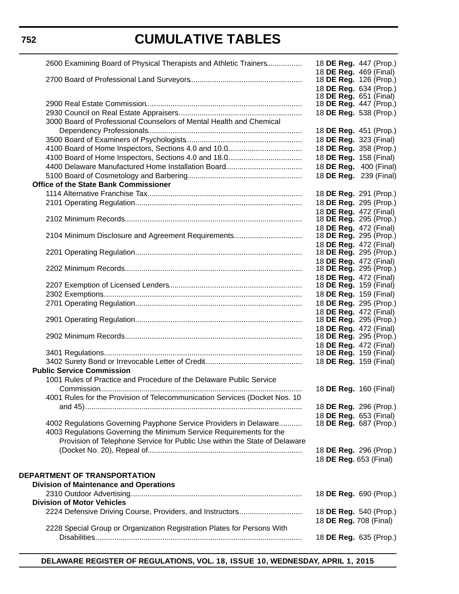**752**

# **CUMULATIVE TABLES**

| 2600 Examining Board of Physical Therapists and Athletic Trainers          | 18 DE Reg. 447 (Prop.)                                  |
|----------------------------------------------------------------------------|---------------------------------------------------------|
|                                                                            | 18 DE Reg. 469 (Final)                                  |
|                                                                            | 18 <b>DE Reg.</b> 126 (Prop.)<br>18 DE Reg. 634 (Prop.) |
|                                                                            | 18 DE Reg. 651 (Final)                                  |
|                                                                            | 18 DE Reg. 447 (Prop.)                                  |
|                                                                            | 18 DE Reg. 538 (Prop.)                                  |
| 3000 Board of Professional Counselors of Mental Health and Chemical        |                                                         |
|                                                                            | 18 DE Reg. 451 (Prop.)                                  |
|                                                                            | 18 DE Reg. 323 (Final)                                  |
|                                                                            | 18 DE Reg. 358 (Prop.)                                  |
|                                                                            | 18 DE Reg. 158 (Final)                                  |
|                                                                            | 18 DE Reg. 400 (Final)                                  |
|                                                                            | 18 DE Reg. 239 (Final)                                  |
| Office of the State Bank Commissioner                                      |                                                         |
|                                                                            | 18 DE Reg. 291 (Prop.)                                  |
|                                                                            | 18 DE Reg. 295 (Prop.)                                  |
|                                                                            | 18 DE Reg. 472 (Final)<br>18 <b>DE Reg.</b> 295 (Prop.) |
|                                                                            | 18 DE Reg. 472 (Final)                                  |
| 2104 Minimum Disclosure and Agreement Requirements                         | 18 <b>DE Reg.</b> 295 (Prop.)                           |
|                                                                            | 18 DE Reg. 472 (Final)                                  |
|                                                                            | 18 <b>DE Reg.</b> 295 (Prop.)                           |
|                                                                            | 18 DE Reg. 472 (Final)                                  |
|                                                                            | 18 <b>DE Reg.</b> 295 (Prop.)                           |
|                                                                            | 18 DE Reg. 472 (Final)                                  |
|                                                                            | 18 <b>DE Reg.</b> 159 (Final)                           |
|                                                                            | 18 DE Reg. 159 (Final)                                  |
|                                                                            | 18 DE Reg. 295 (Prop.)<br>18 DE Reg. 472 (Final)        |
|                                                                            | 18 DE Reg. 295 (Prop.)                                  |
|                                                                            | 18 DE Reg. 472 (Final)                                  |
|                                                                            | 18 <b>DE Reg.</b> 295 (Prop.)                           |
|                                                                            | 18 DE Reg. 472 (Final)                                  |
|                                                                            | 18 <b>DE Reg.</b> 159 (Final)                           |
|                                                                            | 18 DE Reg. 159 (Final)                                  |
| <b>Public Service Commission</b>                                           |                                                         |
| 1001 Rules of Practice and Procedure of the Delaware Public Service        |                                                         |
|                                                                            | 18 DE Reg. 160 (Final)                                  |
| 4001 Rules for the Provision of Telecommunication Services (Docket Nos. 10 |                                                         |
|                                                                            | 18 DE Reg. 296 (Prop.)<br>18 DE Reg. 653 (Final)        |
| 4002 Regulations Governing Payphone Service Providers in Delaware          | 18 <b>DE Reg.</b> 687 (Prop.)                           |
| 4003 Regulations Governing the Minimum Service Requirements for the        |                                                         |
| Provision of Telephone Service for Public Use within the State of Delaware |                                                         |
|                                                                            | 18 DE Reg. 296 (Prop.)                                  |
|                                                                            | 18 DE Reg. 653 (Final)                                  |
|                                                                            |                                                         |
| DEPARTMENT OF TRANSPORTATION                                               |                                                         |
| <b>Division of Maintenance and Operations</b>                              |                                                         |
|                                                                            | 18 DE Reg. 690 (Prop.)                                  |
| <b>Division of Motor Vehicles</b>                                          |                                                         |
| 2224 Defensive Driving Course, Providers, and Instructors                  | 18 DE Reg. 540 (Prop.)                                  |
| 2228 Special Group or Organization Registration Plates for Persons With    | 18 DE Reg. 708 (Final)                                  |
|                                                                            | 18 DE Reg. 635 (Prop.)                                  |
|                                                                            |                                                         |

**DELAWARE REGISTER OF REGULATIONS, VOL. 18, ISSUE 10, WEDNESDAY, APRIL 1, 2015**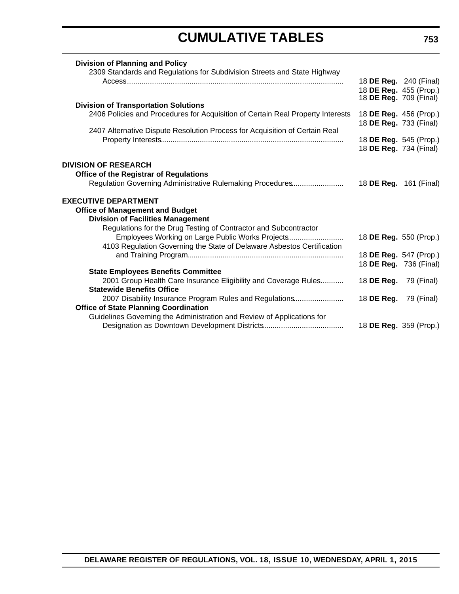| <b>Division of Planning and Policy</b>                                          |                               |                        |
|---------------------------------------------------------------------------------|-------------------------------|------------------------|
| 2309 Standards and Regulations for Subdivision Streets and State Highway        |                               | 18 DE Reg. 240 (Final) |
|                                                                                 |                               | 18 DE Reg. 455 (Prop.) |
|                                                                                 | 18 <b>DE Reg.</b> 709 (Final) |                        |
| <b>Division of Transportation Solutions</b>                                     |                               |                        |
| 2406 Policies and Procedures for Acquisition of Certain Real Property Interests | 18 DE Reg. 733 (Final)        | 18 DE Reg. 456 (Prop.) |
| 2407 Alternative Dispute Resolution Process for Acquisition of Certain Real     |                               |                        |
|                                                                                 |                               | 18 DE Reg. 545 (Prop.) |
|                                                                                 | 18 DE Reg. 734 (Final)        |                        |
| <b>DIVISION OF RESEARCH</b>                                                     |                               |                        |
| <b>Office of the Registrar of Regulations</b>                                   |                               |                        |
| Regulation Governing Administrative Rulemaking Procedures                       | 18 <b>DE Reg.</b> 161 (Final) |                        |
|                                                                                 |                               |                        |
| <b>EXECUTIVE DEPARTMENT</b>                                                     |                               |                        |
| <b>Office of Management and Budget</b>                                          |                               |                        |
| <b>Division of Facilities Management</b>                                        |                               |                        |
| Regulations for the Drug Testing of Contractor and Subcontractor                |                               |                        |
| Employees Working on Large Public Works Projects                                |                               | 18 DE Reg. 550 (Prop.) |
| 4103 Regulation Governing the State of Delaware Asbestos Certification          |                               |                        |
|                                                                                 |                               | 18 DE Reg. 547 (Prop.) |
|                                                                                 |                               | 18 DE Reg. 736 (Final) |
| <b>State Employees Benefits Committee</b>                                       |                               |                        |
| 2001 Group Health Care Insurance Eligibility and Coverage Rules                 | 18 DE Reg.                    | 79 (Final)             |
| <b>Statewide Benefits Office</b>                                                |                               |                        |
| 2007 Disability Insurance Program Rules and Regulations                         | 18 DE Reg.                    | 79 (Final)             |
| <b>Office of State Planning Coordination</b>                                    |                               |                        |
| Guidelines Governing the Administration and Review of Applications for          |                               |                        |
|                                                                                 |                               | 18 DE Reg. 359 (Prop.) |
|                                                                                 |                               |                        |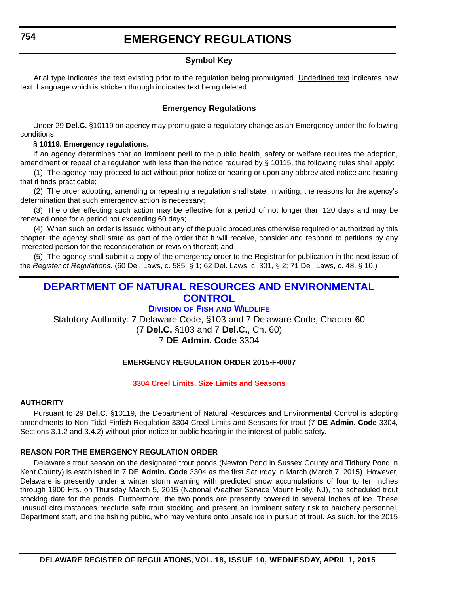### **Symbol Key**

<span id="page-12-0"></span>Arial type indicates the text existing prior to the regulation being promulgated. Underlined text indicates new text. Language which is stricken through indicates text being deleted.

#### **Emergency Regulations**

Under 29 **Del.C.** §10119 an agency may promulgate a regulatory change as an Emergency under the following conditions:

#### **§ 10119. Emergency regulations.**

If an agency determines that an imminent peril to the public health, safety or welfare requires the adoption, amendment or repeal of a regulation with less than the notice required by § 10115, the following rules shall apply:

(1) The agency may proceed to act without prior notice or hearing or upon any abbreviated notice and hearing that it finds practicable;

(2) The order adopting, amending or repealing a regulation shall state, in writing, the reasons for the agency's determination that such emergency action is necessary;

(3) The order effecting such action may be effective for a period of not longer than 120 days and may be renewed once for a period not exceeding 60 days;

(4) When such an order is issued without any of the public procedures otherwise required or authorized by this chapter, the agency shall state as part of the order that it will receive, consider and respond to petitions by any interested person for the reconsideration or revision thereof; and

(5) The agency shall submit a copy of the emergency order to the Registrar for publication in the next issue of the *Register of Regulations*. (60 Del. Laws, c. 585, § 1; 62 Del. Laws, c. 301, § 2; 71 Del. Laws, c. 48, § 10.)

### **[DEPARTMENT OF NATURAL RESOURCES AND ENVIRONMENTAL](http://www.dnrec.delaware.gov/fw/Pages/FWPortal.aspx)  CONTROL**

#### **DIVISION OF FISH AND WILDLIFE**

Statutory Authority: 7 Delaware Code, §103 and 7 Delaware Code, Chapter 60 (7 **Del.C.** §103 and 7 **Del.C.**, Ch. 60)

### 7 **DE Admin. Code** 3304

#### **EMERGENCY REGULATION ORDER 2015-F-0007**

#### **[3304 Creel Limits, Size Limits and Seasons](#page-3-0)**

#### **AUTHORITY**

Pursuant to 29 **Del.C.** §10119, the Department of Natural Resources and Environmental Control is adopting amendments to Non-Tidal Finfish Regulation 3304 Creel Limits and Seasons for trout (7 **DE Admin. Code** 3304, Sections 3.1.2 and 3.4.2) without prior notice or public hearing in the interest of public safety.

#### **REASON FOR THE EMERGENCY REGULATION ORDER**

Delaware's trout season on the designated trout ponds (Newton Pond in Sussex County and Tidbury Pond in Kent County) is established in 7 **DE Admin. Code** 3304 as the first Saturday in March (March 7, 2015). However, Delaware is presently under a winter storm warning with predicted snow accumulations of four to ten inches through 1900 Hrs. on Thursday March 5, 2015 (National Weather Service Mount Holly, NJ), the scheduled trout stocking date for the ponds. Furthermore, the two ponds are presently covered in several inches of ice. These unusual circumstances preclude safe trout stocking and present an imminent safety risk to hatchery personnel, Department staff, and the fishing public, who may venture onto unsafe ice in pursuit of trout. As such, for the 2015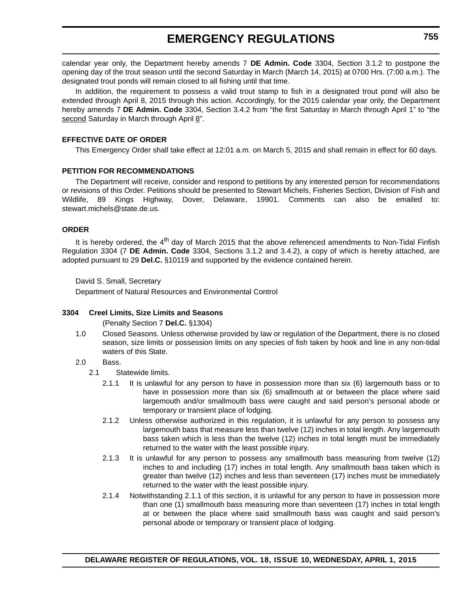### **EMERGENCY REGULATIONS**

calendar year only, the Department hereby amends 7 **DE Admin. Code** 3304, Section 3.1.2 to postpone the opening day of the trout season until the second Saturday in March (March 14, 2015) at 0700 Hrs. (7:00 a.m.). The designated trout ponds will remain closed to all fishing until that time.

In addition, the requirement to possess a valid trout stamp to fish in a designated trout pond will also be extended through April 8, 2015 through this action. Accordingly, for the 2015 calendar year only, the Department hereby amends 7 **DE Admin. Code** 3304, Section 3.4.2 from "the first Saturday in March through April 1" to "the second Saturday in March through April 8".

#### **EFFECTIVE DATE OF ORDER**

This Emergency Order shall take effect at 12:01 a.m. on March 5, 2015 and shall remain in effect for 60 days.

#### **PETITION FOR RECOMMENDATIONS**

The Department will receive, consider and respond to petitions by any interested person for recommendations or revisions of this Order. Petitions should be presented to Stewart Michels, Fisheries Section, Division of Fish and Wildlife, 89 Kings Highway, Dover, Delaware, 19901. Comments can also be emailed stewart.michels@state.de.us.

#### **ORDER**

It is hereby ordered, the  $4<sup>th</sup>$  day of March 2015 that the above referenced amendments to Non-Tidal Finfish Regulation 3304 (7 **DE Admin. Code** 3304, Sections 3.1.2 and 3.4.2), a copy of which is hereby attached, are adopted pursuant to 29 **Del.C.** §10119 and supported by the evidence contained herein.

David S. Small, Secretary

Department of Natural Resources and Environmental Control

#### **3304 Creel Limits, Size Limits and Seasons**

(Penalty Section 7 **Del.C.** §1304)

- 1.0 Closed Seasons. Unless otherwise provided by law or regulation of the Department, there is no closed season, size limits or possession limits on any species of fish taken by hook and line in any non-tidal waters of this State.
- 2.0 Bass.
	- 2.1 Statewide limits.
		- 2.1.1 It is unlawful for any person to have in possession more than six (6) largemouth bass or to have in possession more than six (6) smallmouth at or between the place where said largemouth and/or smallmouth bass were caught and said person's personal abode or temporary or transient place of lodging.
		- 2.1.2 Unless otherwise authorized in this regulation, it is unlawful for any person to possess any largemouth bass that measure less than twelve (12) inches in total length. Any largemouth bass taken which is less than the twelve (12) inches in total length must be immediately returned to the water with the least possible injury.
		- 2.1.3 It is unlawful for any person to possess any smallmouth bass measuring from twelve (12) inches to and including (17) inches in total length. Any smallmouth bass taken which is greater than twelve (12) inches and less than seventeen (17) inches must be immediately returned to the water with the least possible injury.
		- 2.1.4 Notwithstanding 2.1.1 of this section, it is unlawful for any person to have in possession more than one (1) smallmouth bass measuring more than seventeen (17) inches in total length at or between the place where said smallmouth bass was caught and said person's personal abode or temporary or transient place of lodging.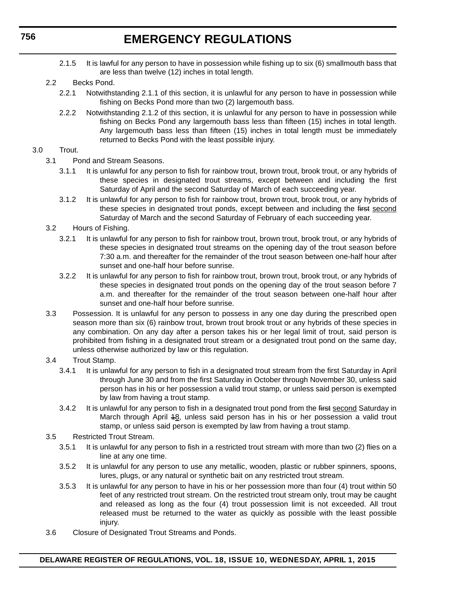### **EMERGENCY REGULATIONS**

- 2.1.5 It is lawful for any person to have in possession while fishing up to six (6) smallmouth bass that are less than twelve (12) inches in total length.
- 2.2 Becks Pond.
	- 2.2.1 Notwithstanding 2.1.1 of this section, it is unlawful for any person to have in possession while fishing on Becks Pond more than two (2) largemouth bass.
	- 2.2.2 Notwithstanding 2.1.2 of this section, it is unlawful for any person to have in possession while fishing on Becks Pond any largemouth bass less than fifteen (15) inches in total length. Any largemouth bass less than fifteen (15) inches in total length must be immediately returned to Becks Pond with the least possible injury.

#### 3.0 Trout.

- 3.1 Pond and Stream Seasons.
	- 3.1.1 It is unlawful for any person to fish for rainbow trout, brown trout, brook trout, or any hybrids of these species in designated trout streams, except between and including the first Saturday of April and the second Saturday of March of each succeeding year.
	- 3.1.2 It is unlawful for any person to fish for rainbow trout, brown trout, brook trout, or any hybrids of these species in designated trout ponds, except between and including the first second Saturday of March and the second Saturday of February of each succeeding year.
- 3.2 Hours of Fishing.
	- 3.2.1 It is unlawful for any person to fish for rainbow trout, brown trout, brook trout, or any hybrids of these species in designated trout streams on the opening day of the trout season before 7:30 a.m. and thereafter for the remainder of the trout season between one-half hour after sunset and one-half hour before sunrise.
	- 3.2.2 It is unlawful for any person to fish for rainbow trout, brown trout, brook trout, or any hybrids of these species in designated trout ponds on the opening day of the trout season before 7 a.m. and thereafter for the remainder of the trout season between one-half hour after sunset and one-half hour before sunrise.
- 3.3 Possession. It is unlawful for any person to possess in any one day during the prescribed open season more than six (6) rainbow trout, brown trout brook trout or any hybrids of these species in any combination. On any day after a person takes his or her legal limit of trout, said person is prohibited from fishing in a designated trout stream or a designated trout pond on the same day, unless otherwise authorized by law or this regulation.
- 3.4 Trout Stamp.
	- 3.4.1 It is unlawful for any person to fish in a designated trout stream from the first Saturday in April through June 30 and from the first Saturday in October through November 30, unless said person has in his or her possession a valid trout stamp, or unless said person is exempted by law from having a trout stamp.
	- 3.4.2 It is unlawful for any person to fish in a designated trout pond from the first second Saturday in March through April 48, unless said person has in his or her possession a valid trout stamp, or unless said person is exempted by law from having a trout stamp.
- 3.5 Restricted Trout Stream.
	- 3.5.1 It is unlawful for any person to fish in a restricted trout stream with more than two (2) flies on a line at any one time.
	- 3.5.2 It is unlawful for any person to use any metallic, wooden, plastic or rubber spinners, spoons, lures, plugs, or any natural or synthetic bait on any restricted trout stream.
	- 3.5.3 It is unlawful for any person to have in his or her possession more than four (4) trout within 50 feet of any restricted trout stream. On the restricted trout stream only, trout may be caught and released as long as the four (4) trout possession limit is not exceeded. All trout released must be returned to the water as quickly as possible with the least possible injury.
- 3.6 Closure of Designated Trout Streams and Ponds.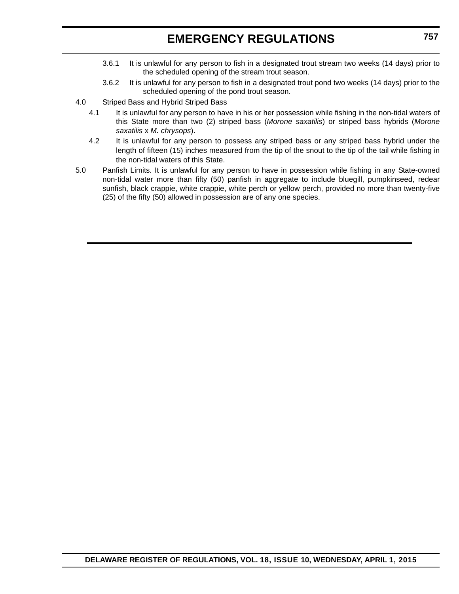### **EMERGENCY REGULATIONS**

- 3.6.1 It is unlawful for any person to fish in a designated trout stream two weeks (14 days) prior to the scheduled opening of the stream trout season.
- 3.6.2 It is unlawful for any person to fish in a designated trout pond two weeks (14 days) prior to the scheduled opening of the pond trout season.
- 4.0 Striped Bass and Hybrid Striped Bass
	- 4.1 It is unlawful for any person to have in his or her possession while fishing in the non-tidal waters of this State more than two (2) striped bass (*Morone saxatilis*) or striped bass hybrids (*Morone saxatilis* x *M. chrysops*).
	- 4.2 It is unlawful for any person to possess any striped bass or any striped bass hybrid under the length of fifteen (15) inches measured from the tip of the snout to the tip of the tail while fishing in the non-tidal waters of this State.
- 5.0 Panfish Limits. It is unlawful for any person to have in possession while fishing in any State-owned non-tidal water more than fifty (50) panfish in aggregate to include bluegill, pumpkinseed, redear sunfish, black crappie, white crappie, white perch or yellow perch, provided no more than twenty-five (25) of the fifty (50) allowed in possession are of any one species.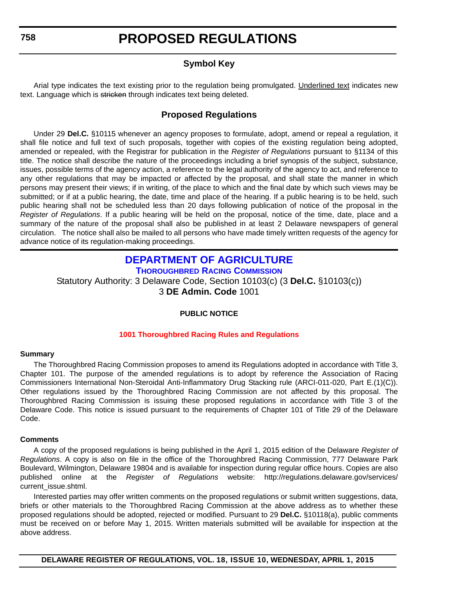### **Symbol Key**

Arial type indicates the text existing prior to the regulation being promulgated. Underlined text indicates new text. Language which is stricken through indicates text being deleted.

### **Proposed Regulations**

Under 29 **Del.C.** §10115 whenever an agency proposes to formulate, adopt, amend or repeal a regulation, it shall file notice and full text of such proposals, together with copies of the existing regulation being adopted, amended or repealed, with the Registrar for publication in the *Register of Regulations* pursuant to §1134 of this title. The notice shall describe the nature of the proceedings including a brief synopsis of the subject, substance, issues, possible terms of the agency action, a reference to the legal authority of the agency to act, and reference to any other regulations that may be impacted or affected by the proposal, and shall state the manner in which persons may present their views; if in writing, of the place to which and the final date by which such views may be submitted; or if at a public hearing, the date, time and place of the hearing. If a public hearing is to be held, such public hearing shall not be scheduled less than 20 days following publication of notice of the proposal in the *Register of Regulations*. If a public hearing will be held on the proposal, notice of the time, date, place and a summary of the nature of the proposal shall also be published in at least 2 Delaware newspapers of general circulation. The notice shall also be mailed to all persons who have made timely written requests of the agency for advance notice of its regulation-making proceedings.

#### **[DEPARTMENT OF AGRICULTURE](http://dda.delaware.gov/thoroughbred/) THOROUGHBRED RACING COMMISSION**

Statutory Authority: 3 Delaware Code, Section 10103(c) (3 **Del.C.** §10103(c)) 3 **DE Admin. Code** 1001

#### **PUBLIC NOTICE**

#### **[1001 Thoroughbred Racing Rules and Regulations](#page-3-0)**

#### **Summary**

The Thoroughbred Racing Commission proposes to amend its Regulations adopted in accordance with Title 3, Chapter 101. The purpose of the amended regulations is to adopt by reference the Association of Racing Commissioners International Non-Steroidal Anti-Inflammatory Drug Stacking rule (ARCI-011-020, Part E.(1)(C)). Other regulations issued by the Thoroughbred Racing Commission are not affected by this proposal. The Thoroughbred Racing Commission is issuing these proposed regulations in accordance with Title 3 of the Delaware Code. This notice is issued pursuant to the requirements of Chapter 101 of Title 29 of the Delaware Code.

#### **Comments**

A copy of the proposed regulations is being published in the April 1, 2015 edition of the Delaware *Register of Regulations*. A copy is also on file in the office of the Thoroughbred Racing Commission, 777 Delaware Park Boulevard, Wilmington, Delaware 19804 and is available for inspection during regular office hours. Copies are also published online at the *Register of Regulations* website: http://regulations.delaware.gov/services/ current\_issue.shtml.

Interested parties may offer written comments on the proposed regulations or submit written suggestions, data, briefs or other materials to the Thoroughbred Racing Commission at the above address as to whether these proposed regulations should be adopted, rejected or modified. Pursuant to 29 **Del.C.** §10118(a), public comments must be received on or before May 1, 2015. Written materials submitted will be available for inspection at the above address.

<span id="page-16-0"></span>**758**

**DELAWARE REGISTER OF REGULATIONS, VOL. 18, ISSUE 10, WEDNESDAY, APRIL 1, 2015**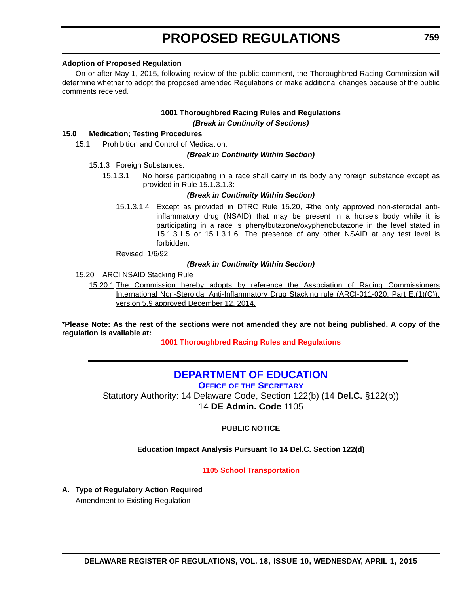#### <span id="page-17-0"></span>**Adoption of Proposed Regulation**

On or after May 1, 2015, following review of the public comment, the Thoroughbred Racing Commission will determine whether to adopt the proposed amended Regulations or make additional changes because of the public comments received.

#### **1001 Thoroughbred Racing Rules and Regulations** *(Break in Continuity of Sections)*

#### **15.0 Medication; Testing Procedures**

15.1 Prohibition and Control of Medication:

#### *(Break in Continuity Within Section)*

#### 15.1.3 Foreign Substances:

15.1.3.1 No horse participating in a race shall carry in its body any foreign substance except as provided in Rule 15.1.3.1.3:

#### *(Break in Continuity Within Section)*

15.1.3.1.4 Except as provided in DTRC Rule 15.20, <sup>T</sup>the only approved non-steroidal antiinflammatory drug (NSAID) that may be present in a horse's body while it is participating in a race is phenylbutazone/oxyphenobutazone in the level stated in 15.1.3.1.5 or 15.1.3.1.6. The presence of any other NSAID at any test level is forbidden.

Revised: 1/6/92.

#### *(Break in Continuity Within Section)*

15.20 ARCI NSAID Stacking Rule

15.20.1 The Commission hereby adopts by reference the Association of Racing Commissioners International Non-Steroidal Anti-Inflammatory Drug Stacking rule (ARCI-011-020, Part E.(1)(C)), version 5.9 approved December 12, 2014.

**\*Please Note: As the rest of the sections were not amended they are not being published. A copy of the regulation is available at:**

**[1001 Thoroughbred Racing Rules and Regulations](http://regulations.delaware.gov/register/april2015/proposed/18 DE Reg 758 04-01-15.htm)**

### **[DEPARTMENT OF EDUCATION](http://www.doe.k12.de.us/site/default.aspx?PageID=1)**

**OFFICE OF THE SECRETARY**

Statutory Authority: 14 Delaware Code, Section 122(b) (14 **Del.C.** §122(b)) 14 **DE Admin. Code** 1105

**PUBLIC NOTICE**

**Education Impact Analysis Pursuant To 14 Del.C. Section 122(d)**

#### **[1105 School Transportation](#page-3-0)**

**A. Type of Regulatory Action Required** Amendment to Existing Regulation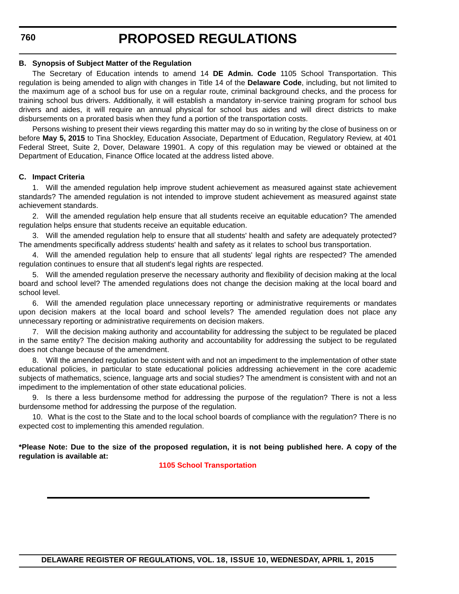**760**

#### **B. Synopsis of Subject Matter of the Regulation**

The Secretary of Education intends to amend 14 **DE Admin. Code** 1105 School Transportation. This regulation is being amended to align with changes in Title 14 of the **Delaware Code**, including, but not limited to the maximum age of a school bus for use on a regular route, criminal background checks, and the process for training school bus drivers. Additionally, it will establish a mandatory in-service training program for school bus drivers and aides, it will require an annual physical for school bus aides and will direct districts to make disbursements on a prorated basis when they fund a portion of the transportation costs.

Persons wishing to present their views regarding this matter may do so in writing by the close of business on or before **May 5, 2015** to Tina Shockley, Education Associate, Department of Education, Regulatory Review, at 401 Federal Street, Suite 2, Dover, Delaware 19901. A copy of this regulation may be viewed or obtained at the Department of Education, Finance Office located at the address listed above.

#### **C. Impact Criteria**

1. Will the amended regulation help improve student achievement as measured against state achievement standards? The amended regulation is not intended to improve student achievement as measured against state achievement standards.

2. Will the amended regulation help ensure that all students receive an equitable education? The amended regulation helps ensure that students receive an equitable education.

3. Will the amended regulation help to ensure that all students' health and safety are adequately protected? The amendments specifically address students' health and safety as it relates to school bus transportation.

4. Will the amended regulation help to ensure that all students' legal rights are respected? The amended regulation continues to ensure that all student's legal rights are respected.

5. Will the amended regulation preserve the necessary authority and flexibility of decision making at the local board and school level? The amended regulations does not change the decision making at the local board and school level.

6. Will the amended regulation place unnecessary reporting or administrative requirements or mandates upon decision makers at the local board and school levels? The amended regulation does not place any unnecessary reporting or administrative requirements on decision makers.

7. Will the decision making authority and accountability for addressing the subject to be regulated be placed in the same entity? The decision making authority and accountability for addressing the subject to be regulated does not change because of the amendment.

8. Will the amended regulation be consistent with and not an impediment to the implementation of other state educational policies, in particular to state educational policies addressing achievement in the core academic subjects of mathematics, science, language arts and social studies? The amendment is consistent with and not an impediment to the implementation of other state educational policies.

9. Is there a less burdensome method for addressing the purpose of the regulation? There is not a less burdensome method for addressing the purpose of the regulation.

10. What is the cost to the State and to the local school boards of compliance with the regulation? There is no expected cost to implementing this amended regulation.

**\*Please Note: Due to the size of the proposed regulation, it is not being published here. A copy of the regulation is available at:**

**[1105 School Transportation](http://regulations.delaware.gov/register/april2015/proposed/18 DE Reg 759 04-01-15.htm)**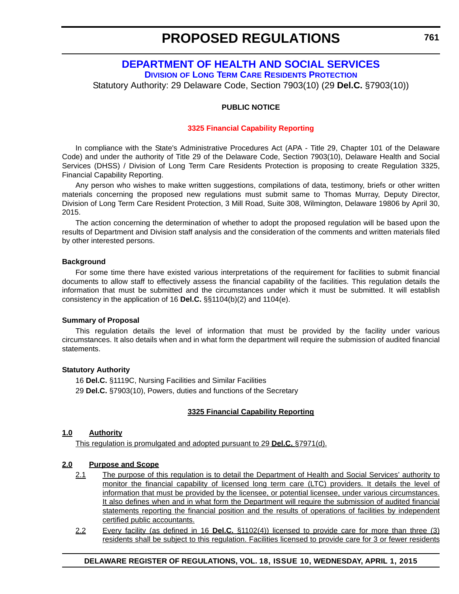#### **[DEPARTMENT OF HEALTH AND SOCIAL SERVICES](http://www.dhss.delaware.gov/dhss/dltcrp/index.html) DIVISION OF LONG TERM CARE RESIDENTS PROTECTION**

<span id="page-19-0"></span>Statutory Authority: 29 Delaware Code, Section 7903(10) (29 **Del.C.** §7903(10))

#### **PUBLIC NOTICE**

#### **[3325 Financial Capability Reporting](#page-3-0)**

In compliance with the State's Administrative Procedures Act (APA - Title 29, Chapter 101 of the Delaware Code) and under the authority of Title 29 of the Delaware Code, Section 7903(10), Delaware Health and Social Services (DHSS) / Division of Long Term Care Residents Protection is proposing to create Regulation 3325, Financial Capability Reporting.

Any person who wishes to make written suggestions, compilations of data, testimony, briefs or other written materials concerning the proposed new regulations must submit same to Thomas Murray, Deputy Director, Division of Long Term Care Resident Protection, 3 Mill Road, Suite 308, Wilmington, Delaware 19806 by April 30, 2015.

The action concerning the determination of whether to adopt the proposed regulation will be based upon the results of Department and Division staff analysis and the consideration of the comments and written materials filed by other interested persons.

#### **Background**

For some time there have existed various interpretations of the requirement for facilities to submit financial documents to allow staff to effectively assess the financial capability of the facilities. This regulation details the information that must be submitted and the circumstances under which it must be submitted. It will establish consistency in the application of 16 **Del.C.** §§1104(b)(2) and 1104(e).

#### **Summary of Proposal**

This regulation details the level of information that must be provided by the facility under various circumstances. It also details when and in what form the department will require the submission of audited financial statements.

#### **Statutory Authority**

16 **Del.C.** §1119C, Nursing Facilities and Similar Facilities 29 **Del.C.** §7903(10), Powers, duties and functions of the Secretary

#### **3325 Financial Capability Reporting**

#### **1.0 Authority**

This regulation is promulgated and adopted pursuant to 29 **Del.C.** §7971(d).

#### **2.0 Purpose and Scope**

- 2.1 The purpose of this regulation is to detail the Department of Health and Social Services' authority to monitor the financial capability of licensed long term care (LTC) providers. It details the level of information that must be provided by the licensee, or potential licensee, under various circumstances. It also defines when and in what form the Department will require the submission of audited financial statements reporting the financial position and the results of operations of facilities by independent certified public accountants.
- 2.2 Every facility (as defined in 16 **Del.C.** §1102(4)) licensed to provide care for more than three (3) residents shall be subject to this regulation. Facilities licensed to provide care for 3 or fewer residents

#### **DELAWARE REGISTER OF REGULATIONS, VOL. 18, ISSUE 10, WEDNESDAY, APRIL 1, 2015**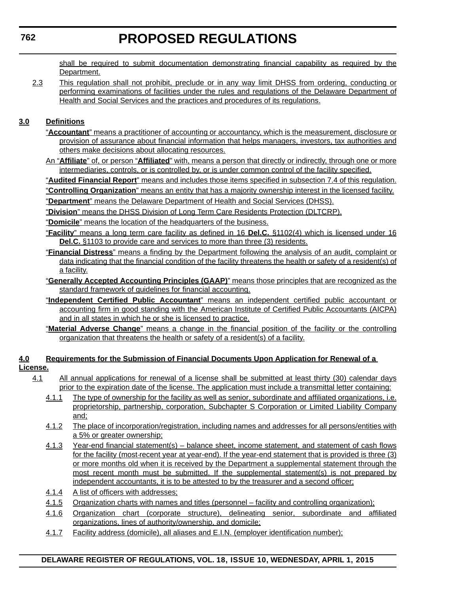shall be required to submit documentation demonstrating financial capability as required by the Department.

2.3 This regulation shall not prohibit, preclude or in any way limit DHSS from ordering, conducting or performing examinations of facilities under the rules and regulations of the Delaware Department of Health and Social Services and the practices and procedures of its regulations.

### **3.0 Definitions**

- "**Accountant**" means a practitioner of accounting or accountancy, which is the measurement, disclosure or provision of assurance about financial information that helps managers, investors, tax authorities and others make decisions about allocating resources.
- An "**Affiliate**" of, or person "**Affiliated**" with, means a person that directly or indirectly, through one or more intermediaries, controls, or is controlled by, or is under common control of the facility specified.

"**Audited Financial Report**" means and includes those items specified in subsection 7.4 of this regulation.

"**Controlling Organization**" means an entity that has a majority ownership interest in the licensed facility.

"**Department**" means the Delaware Department of Health and Social Services (DHSS).

"**Division**" means the DHSS Division of Long Term Care Residents Protection (DLTCRP).

"**Domicile**" means the location of the headquarters of the business.

"**Facility**" means a long term care facility as defined in 16 **Del.C.** §1102(4) which is licensed under 16 **Del.C.** §1103 to provide care and services to more than three (3) residents.

- "**Financial Distress**" means a finding by the Department following the analysis of an audit, complaint or data indicating that the financial condition of the facility threatens the health or safety of a resident(s) of a facility.
- "**Generally Accepted Accounting Principles (GAAP)**" means those principles that are recognized as the standard framework of guidelines for financial accounting.
- "**Independent Certified Public Accountant**" means an independent certified public accountant or accounting firm in good standing with the American Institute of Certified Public Accountants (AICPA) and in all states in which he or she is licensed to practice.
- "**Material Adverse Change**" means a change in the financial position of the facility or the controlling organization that threatens the health or safety of a resident(s) of a facility.

#### **4.0 Requirements for the Submission of Financial Documents Upon Application for Renewal of a License.**

- 4.1 All annual applications for renewal of a license shall be submitted at least thirty (30) calendar days prior to the expiration date of the license. The application must include a transmittal letter containing:
	- 4.1.1 The type of ownership for the facility as well as senior, subordinate and affiliated organizations, i.e. proprietorship, partnership, corporation, Subchapter S Corporation or Limited Liability Company and;
	- 4.1.2 The place of incorporation/registration, including names and addresses for all persons/entities with a 5% or greater ownership;
	- 4.1.3 Year-end financial statement(s) balance sheet, income statement, and statement of cash flows for the facility (most-recent year at year-end). If the year-end statement that is provided is three (3) or more months old when it is received by the Department a supplemental statement through the most recent month must be submitted. If the supplemental statement(s) is not prepared by independent accountants, it is to be attested to by the treasurer and a second officer;
	- 4.1.4 A list of officers with addresses;
	- 4.1.5 Organization charts with names and titles (personnel facility and controlling organization);
	- 4.1.6 Organization chart (corporate structure), delineating senior, subordinate and affiliated organizations, lines of authority/ownership, and domicile;
	- 4.1.7 Facility address (domicile), all aliases and E.I.N. (employer identification number);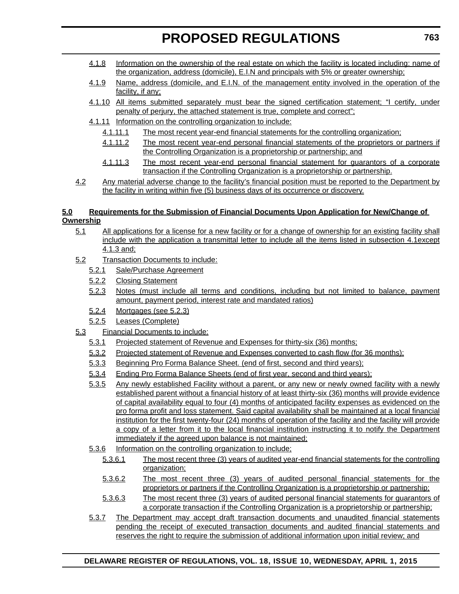- 4.1.8 Information on the ownership of the real estate on which the facility is located including: name of the organization, address (domicile), E.I.N and principals with 5% or greater ownership;
- 4.1.9 Name, address (domicile, and E.I.N. of the management entity involved in the operation of the facility, if any;
- 4.1.10 All items submitted separately must bear the signed certification statement; "I certify, under penalty of perjury, the attached statement is true, complete and correct";
- 4.1.11 Information on the controlling organization to include:
	- 4.1.11.1 The most recent year-end financial statements for the controlling organization;
	- 4.1.11.2 The most recent year-end personal financial statements of the proprietors or partners if the Controlling Organization is a proprietorship or partnership; and
	- 4.1.11.3 The most recent year-end personal financial statement for guarantors of a corporate transaction if the Controlling Organization is a proprietorship or partnership.
- 4.2 Any material adverse change to the facility's financial position must be reported to the Department by the facility in writing within five (5) business days of its occurrence or discovery.

#### **5.0 Requirements for the Submission of Financial Documents Upon Application for New/Change of Ownership**

- 5.1 All applications for a license for a new facility or for a change of ownership for an existing facility shall include with the application a transmittal letter to include all the items listed in subsection 4.1except 4.1.3 and;
- 5.2 Transaction Documents to include:
	- 5.2.1 Sale/Purchase Agreement
	- 5.2.2 Closing Statement
	- 5.2.3 Notes (must include all terms and conditions, including but not limited to balance, payment amount, payment period, interest rate and mandated ratios)
	- 5.2.4 Mortgages (see 5.2.3)
	- 5.2.5 Leases (Complete)
- 5.3 Financial Documents to include:
	- 5.3.1 Projected statement of Revenue and Expenses for thirty-six (36) months;
	- 5.3.2 Projected statement of Revenue and Expenses converted to cash flow (for 36 months);
	- 5.3.3 Beginning Pro Forma Balance Sheet. (end of first, second and third years);
	- 5.3.4 Ending Pro Forma Balance Sheets (end of first year, second and third years);
	- 5.3.5 Any newly established Facility without a parent, or any new or newly owned facility with a newly established parent without a financial history of at least thirty-six (36) months will provide evidence of capital availability equal to four (4) months of anticipated facility expenses as evidenced on the pro forma profit and loss statement. Said capital availability shall be maintained at a local financial institution for the first twenty-four (24) months of operation of the facility and the facility will provide a copy of a letter from it to the local financial institution instructing it to notify the Department immediately if the agreed upon balance is not maintained;
	- 5.3.6 Information on the controlling organization to include;
		- 5.3.6.1 The most recent three (3) years of audited year-end financial statements for the controlling organization;
		- 5.3.6.2 The most recent three (3) years of audited personal financial statements for the proprietors or partners if the Controlling Organization is a proprietorship or partnership;
		- 5.3.6.3 The most recent three (3) years of audited personal financial statements for guarantors of a corporate transaction if the Controlling Organization is a proprietorship or partnership;
	- 5.3.7 The Department may accept draft transaction documents and unaudited financial statements pending the receipt of executed transaction documents and audited financial statements and reserves the right to require the submission of additional information upon initial review; and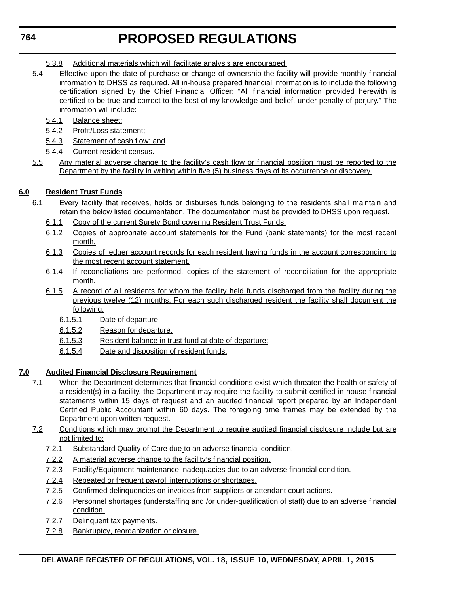- 5.3.8 Additional materials which will facilitate analysis are encouraged.
- 5.4 Effective upon the date of purchase or change of ownership the facility will provide monthly financial information to DHSS as required. All in-house prepared financial information is to include the following certification signed by the Chief Financial Officer: "All financial information provided herewith is certified to be true and correct to the best of my knowledge and belief, under penalty of perjury." The information will include:
	- 5.4.1 Balance sheet;
	- 5.4.2 Profit/Loss statement;
	- 5.4.3 Statement of cash flow; and
	- 5.4.4 Current resident census.
- 5.5 Any material adverse change to the facility's cash flow or financial position must be reported to the Department by the facility in writing within five (5) business days of its occurrence or discovery.

### **6.0 Resident Trust Funds**

- 6.1 Every facility that receives, holds or disburses funds belonging to the residents shall maintain and retain the below listed documentation. The documentation must be provided to DHSS upon request.
	- 6.1.1 Copy of the current Surety Bond covering Resident Trust Funds.
	- 6.1.2 Copies of appropriate account statements for the Fund (bank statements) for the most recent month.
	- 6.1.3 Copies of ledger account records for each resident having funds in the account corresponding to the most recent account statement.
	- 6.1.4 If reconciliations are performed, copies of the statement of reconciliation for the appropriate month.
	- 6.1.5 A record of all residents for whom the facility held funds discharged from the facility during the previous twelve (12) months. For each such discharged resident the facility shall document the following;
		- 6.1.5.1 Date of departure;
		- 6.1.5.2 Reason for departure;
		- 6.1.5.3 Resident balance in trust fund at date of departure;
		- 6.1.5.4 Date and disposition of resident funds.

#### **7.0 Audited Financial Disclosure Requirement**

- 7.1 When the Department determines that financial conditions exist which threaten the health or safety of a resident(s) in a facility, the Department may require the facility to submit certified in-house financial statements within 15 days of request and an audited financial report prepared by an Independent Certified Public Accountant within 60 days. The foregoing time frames may be extended by the Department upon written request.
- 7.2 Conditions which may prompt the Department to require audited financial disclosure include but are not limited to:
	- 7.2.1 Substandard Quality of Care due to an adverse financial condition.
	- 7.2.2 A material adverse change to the facility's financial position.
	- 7.2.3 Facility/Equipment maintenance inadequacies due to an adverse financial condition.
	- 7.2.4 Repeated or frequent payroll interruptions or shortages.
	- 7.2.5 Confirmed delinquencies on invoices from suppliers or attendant court actions.
	- 7.2.6 Personnel shortages (understaffing and /or under-qualification of staff) due to an adverse financial condition.
	- 7.2.7 Delinquent tax payments.
	- 7.2.8 Bankruptcy, reorganization or closure.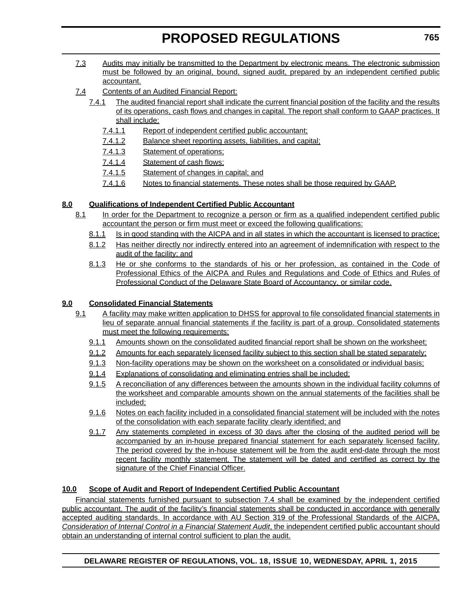- 7.3 Audits may initially be transmitted to the Department by electronic means. The electronic submission must be followed by an original, bound, signed audit, prepared by an independent certified public accountant.
- 7.4 Contents of an Audited Financial Report:
	- 7.4.1 The audited financial report shall indicate the current financial position of the facility and the results of its operations, cash flows and changes in capital. The report shall conform to GAAP practices. It shall include:
		- 7.4.1.1 Report of independent certified public accountant;
		- 7.4.1.2 Balance sheet reporting assets, liabilities, and capital;
		- 7.4.1.3 Statement of operations;
		- 7.4.1.4 Statement of cash flows;
		- 7.4.1.5 Statement of changes in capital; and
		- 7.4.1.6 Notes to financial statements. These notes shall be those required by GAAP.

#### **8.0 Qualifications of Independent Certified Public Accountant**

- 8.1 In order for the Department to recognize a person or firm as a qualified independent certified public accountant the person or firm must meet or exceed the following qualifications:
	- 8.1.1 Is in good standing with the AICPA and in all states in which the accountant is licensed to practice;
	- 8.1.2 Has neither directly nor indirectly entered into an agreement of indemnification with respect to the audit of the facility; and
	- 8.1.3 He or she conforms to the standards of his or her profession, as contained in the Code of Professional Ethics of the AICPA and Rules and Regulations and Code of Ethics and Rules of Professional Conduct of the Delaware State Board of Accountancy, or similar code.

### **9.0 Consolidated Financial Statements**

- 9.1 A facility may make written application to DHSS for approval to file consolidated financial statements in lieu of separate annual financial statements if the facility is part of a group. Consolidated statements must meet the following requirements:
	- 9.1.1 Amounts shown on the consolidated audited financial report shall be shown on the worksheet;
	- 9.1.2 Amounts for each separately licensed facility subject to this section shall be stated separately;
	- 9.1.3 Non-facility operations may be shown on the worksheet on a consolidated or individual basis;
	- 9.1.4 Explanations of consolidating and eliminating entries shall be included;
	- 9.1.5 A reconciliation of any differences between the amounts shown in the individual facility columns of the worksheet and comparable amounts shown on the annual statements of the facilities shall be included;
	- 9.1.6 Notes on each facility included in a consolidated financial statement will be included with the notes of the consolidation with each separate facility clearly identified; and
	- 9.1.7 Any statements completed in excess of 30 days after the closing of the audited period will be accompanied by an in-house prepared financial statement for each separately licensed facility. The period covered by the in-house statement will be from the audit end-date through the most recent facility monthly statement. The statement will be dated and certified as correct by the signature of the Chief Financial Officer.

#### **10.0 Scope of Audit and Report of Independent Certified Public Accountant**

Financial statements furnished pursuant to subsection 7.4 shall be examined by the independent certified public accountant. The audit of the facility's financial statements shall be conducted in accordance with generally accepted auditing standards. In accordance with AU Section 319 of the Professional Standards of the AICPA, *Consideration of Internal Control in a Financial Statement Audit*, the independent certified public accountant should obtain an understanding of internal control sufficient to plan the audit.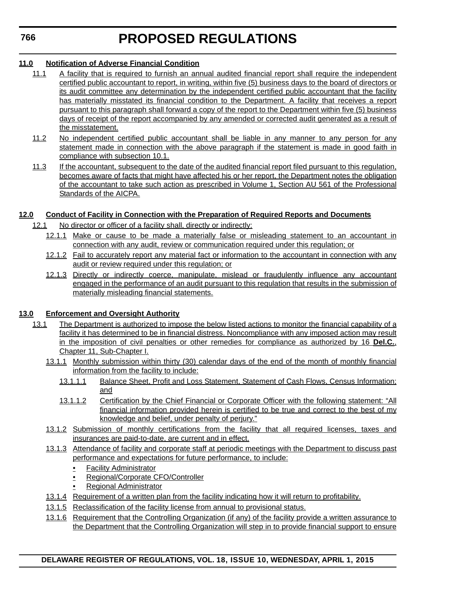#### **11.0 Notification of Adverse Financial Condition**

- 11.1 A facility that is required to furnish an annual audited financial report shall require the independent certified public accountant to report, in writing, within five (5) business days to the board of directors or its audit committee any determination by the independent certified public accountant that the facility has materially misstated its financial condition to the Department. A facility that receives a report pursuant to this paragraph shall forward a copy of the report to the Department within five (5) business days of receipt of the report accompanied by any amended or corrected audit generated as a result of the misstatement.
- 11.2 No independent certified public accountant shall be liable in any manner to any person for any statement made in connection with the above paragraph if the statement is made in good faith in compliance with subsection 10.1.
- 11.3 If the accountant, subsequent to the date of the audited financial report filed pursuant to this regulation, becomes aware of facts that might have affected his or her report, the Department notes the obligation of the accountant to take such action as prescribed in Volume 1, Section AU 561 of the Professional Standards of the AICPA.

#### **12.0 Conduct of Facility in Connection with the Preparation of Required Reports and Documents**

- 12.1 No director or officer of a facility shall, directly or indirectly:
	- 12.1.1 Make or cause to be made a materially false or misleading statement to an accountant in connection with any audit, review or communication required under this regulation; or
	- 12.1.2 Fail to accurately report any material fact or information to the accountant in connection with any audit or review required under this regulation; or
	- 12.1.3 Directly or indirectly coerce, manipulate, mislead or fraudulently influence any accountant engaged in the performance of an audit pursuant to this regulation that results in the submission of materially misleading financial statements.

#### **13.0 Enforcement and Oversight Authority**

- 13.1 The Department is authorized to impose the below listed actions to monitor the financial capability of a facility it has determined to be in financial distress. Noncompliance with any imposed action may result in the imposition of civil penalties or other remedies for compliance as authorized by 16 **Del.C.**, Chapter 11, Sub-Chapter I.
	- 13.1.1 Monthly submission within thirty (30) calendar days of the end of the month of monthly financial information from the facility to include:
		- 13.1.1.1 Balance Sheet, Profit and Loss Statement, Statement of Cash Flows, Census Information; and
		- 13.1.1.2 Certification by the Chief Financial or Corporate Officer with the following statement: "All financial information provided herein is certified to be true and correct to the best of my knowledge and belief, under penalty of perjury."
	- 13.1.2 Submission of monthly certifications from the facility that all required licenses, taxes and insurances are paid-to-date, are current and in effect.
	- 13.1.3 Attendance of facility and corporate staff at periodic meetings with the Department to discuss past performance and expectations for future performance, to include:
		- Facility Administrator
		- Regional/Corporate CFO/Controller
		- Regional Administrator
	- 13.1.4 Requirement of a written plan from the facility indicating how it will return to profitability.
	- 13.1.5 Reclassification of the facility license from annual to provisional status.
	- 13.1.6 Requirement that the Controlling Organization (if any) of the facility provide a written assurance to the Department that the Controlling Organization will step in to provide financial support to ensure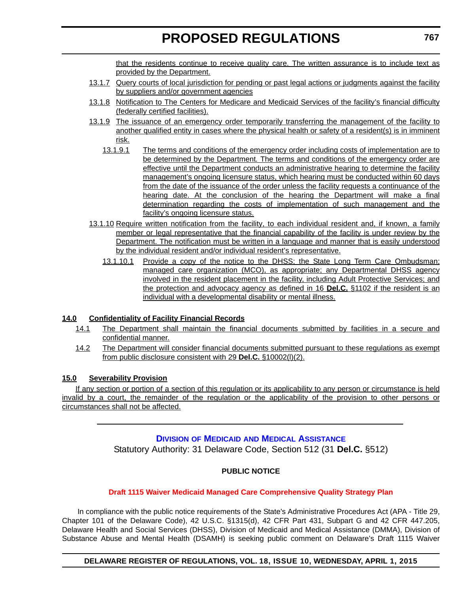that the residents continue to receive quality care. The written assurance is to include text as provided by the Department.

- <span id="page-25-0"></span>13.1.7 Query courts of local jurisdiction for pending or past legal actions or judgments against the facility by suppliers and/or government agencies
- 13.1.8 Notification to The Centers for Medicare and Medicaid Services of the facility's financial difficulty (federally certified facilities).
- 13.1.9 The issuance of an emergency order temporarily transferring the management of the facility to another qualified entity in cases where the physical health or safety of a resident(s) is in imminent risk.
	- 13.1.9.1 The terms and conditions of the emergency order including costs of implementation are to be determined by the Department*.* The terms and conditions of the emergency order are effective until the Department conducts an administrative hearing to determine the facility management's ongoing licensure status, which hearing must be conducted within 60 days from the date of the issuance of the order unless the facility requests a continuance of the hearing date. At the conclusion of the hearing the Department will make a final determination regarding the costs of implementation of such management and the facility's ongoing licensure status.
- 13.1.10 Require written notification from the facility, to each individual resident and, if known, a family member or legal representative that the financial capability of the facility is under review by the Department. The notification must be written in a language and manner that is easily understood by the individual resident and/or individual resident's representative.
	- 13.1.10.1 Provide a copy of the notice to the DHSS; the State Long Term Care Ombudsman; managed care organization (MCO), as appropriate; any Departmental DHSS agency involved in the resident placement in the facility, including Adult Protective Services; and the protection and advocacy agency as defined in 16 **Del.C.** §1102 if the resident is an individual with a developmental disability or mental illness.

#### **14.0 Confidentiality of Facility Financial Records**

- 14.1 The Department shall maintain the financial documents submitted by facilities in a secure and confidential manner.
- 14.2 The Department will consider financial documents submitted pursuant to these regulations as exempt from public disclosure consistent with 29 **Del.C.** §10002(l)(2).

#### **15.0 Severability Provision**

If any section or portion of a section of this regulation or its applicability to any person or circumstance is held invalid by a court, the remainder of the regulation or the applicability of the provision to other persons or circumstances shall not be affected.

#### **DIVISION OF MEDICAID [AND MEDICAL ASSISTANCE](http://www.dhss.delaware.gov/dhss/dmma/)**

Statutory Authority: 31 Delaware Code, Section 512 (31 **Del.C.** §512)

### **PUBLIC NOTICE**

#### **[Draft 1115 Waiver Medicaid Managed Care Comprehensive Quality Strategy Plan](#page-3-0)**

 In compliance with the public notice requirements of the State's Administrative Procedures Act (APA - Title 29, Chapter 101 of the Delaware Code), 42 U.S.C. §1315(d), 42 CFR Part 431, Subpart G and 42 CFR 447.205, Delaware Health and Social Services (DHSS), Division of Medicaid and Medical Assistance (DMMA), Division of Substance Abuse and Mental Health (DSAMH) is seeking public comment on Delaware's Draft 1115 Waiver

#### **DELAWARE REGISTER OF REGULATIONS, VOL. 18, ISSUE 10, WEDNESDAY, APRIL 1, 2015**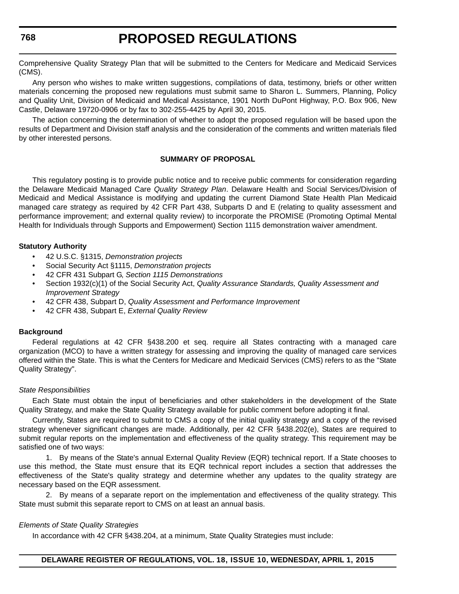Comprehensive Quality Strategy Plan that will be submitted to the Centers for Medicare and Medicaid Services (CMS).

Any person who wishes to make written suggestions, compilations of data, testimony, briefs or other written materials concerning the proposed new regulations must submit same to Sharon L. Summers, Planning, Policy and Quality Unit, Division of Medicaid and Medical Assistance, 1901 North DuPont Highway, P.O. Box 906, New Castle, Delaware 19720-0906 or by fax to 302-255-4425 by April 30, 2015.

The action concerning the determination of whether to adopt the proposed regulation will be based upon the results of Department and Division staff analysis and the consideration of the comments and written materials filed by other interested persons.

#### **SUMMARY OF PROPOSAL**

This regulatory posting is to provide public notice and to receive public comments for consideration regarding the Delaware Medicaid Managed Care *Quality Strategy Plan*. Delaware Health and Social Services/Division of Medicaid and Medical Assistance is modifying and updating the current Diamond State Health Plan Medicaid managed care strategy as required by 42 CFR Part 438, Subparts D and E (relating to quality assessment and performance improvement; and external quality review) to incorporate the PROMISE (Promoting Optimal Mental Health for Individuals through Supports and Empowerment) Section 1115 demonstration waiver amendment.

#### **Statutory Authority**

- 42 U.S.C. §1315, *Demonstration projects*
- Social Security Act §1115, *Demonstration projects*
- 42 CFR 431 Subpart G, *Section 1115 Demonstrations*
- Section 1932(c)(1) of the Social Security Act, *Quality Assurance Standards, Quality Assessment and Improvement Strategy*
- 42 CFR 438, Subpart D, *Quality Assessment and Performance Improvement*
- 42 CFR 438, Subpart E, *External Quality Review*

#### **Background**

Federal regulations at 42 CFR §438.200 et seq. require all States contracting with a managed care organization (MCO) to have a written strategy for assessing and improving the quality of managed care services offered within the State. This is what the Centers for Medicare and Medicaid Services (CMS) refers to as the "State Quality Strategy".

#### *State Responsibilities*

Each State must obtain the input of beneficiaries and other stakeholders in the development of the State Quality Strategy, and make the State Quality Strategy available for public comment before adopting it final.

Currently, States are required to submit to CMS a copy of the initial quality strategy and a copy of the revised strategy whenever significant changes are made. Additionally, per 42 CFR §438.202(e), States are required to submit regular reports on the implementation and effectiveness of the quality strategy. This requirement may be satisfied one of two ways:

1. By means of the State's annual External Quality Review (EQR) technical report. If a State chooses to use this method, the State must ensure that its EQR technical report includes a section that addresses the effectiveness of the State's quality strategy and determine whether any updates to the quality strategy are necessary based on the EQR assessment.

2. By means of a separate report on the implementation and effectiveness of the quality strategy. This State must submit this separate report to CMS on at least an annual basis.

#### *Elements of State Quality Strategies*

In accordance with 42 CFR §438.204, at a minimum, State Quality Strategies must include: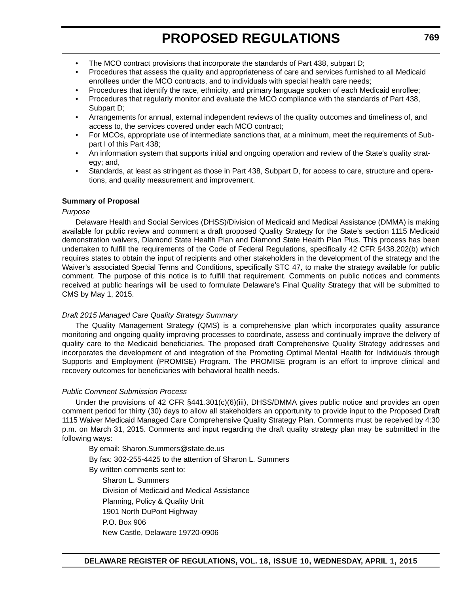- The MCO contract provisions that incorporate the standards of Part 438, subpart D;
- Procedures that assess the quality and appropriateness of care and services furnished to all Medicaid enrollees under the MCO contracts, and to individuals with special health care needs;
- Procedures that identify the race, ethnicity, and primary language spoken of each Medicaid enrollee;
- Procedures that regularly monitor and evaluate the MCO compliance with the standards of Part 438, Subpart D;
- Arrangements for annual, external independent reviews of the quality outcomes and timeliness of, and access to, the services covered under each MCO contract;
- For MCOs, appropriate use of intermediate sanctions that, at a minimum, meet the requirements of Subpart I of this Part 438;
- An information system that supports initial and ongoing operation and review of the State's quality strategy; and,
- Standards, at least as stringent as those in Part 438, Subpart D, for access to care, structure and operations, and quality measurement and improvement.

#### **Summary of Proposal**

#### *Purpose*

Delaware Health and Social Services (DHSS)/Division of Medicaid and Medical Assistance (DMMA) is making available for public review and comment a draft proposed Quality Strategy for the State's section 1115 Medicaid demonstration waivers, Diamond State Health Plan and Diamond State Health Plan Plus. This process has been undertaken to fulfill the requirements of the Code of Federal Regulations, specifically 42 CFR §438.202(b) which requires states to obtain the input of recipients and other stakeholders in the development of the strategy and the Waiver's associated Special Terms and Conditions, specifically STC 47, to make the strategy available for public comment. The purpose of this notice is to fulfill that requirement. Comments on public notices and comments received at public hearings will be used to formulate Delaware's Final Quality Strategy that will be submitted to CMS by May 1, 2015.

#### *Draft 2015 Managed Care Quality Strategy Summary*

The Quality Management Strategy (QMS) is a comprehensive plan which incorporates quality assurance monitoring and ongoing quality improving processes to coordinate, assess and continually improve the delivery of quality care to the Medicaid beneficiaries. The proposed draft Comprehensive Quality Strategy addresses and incorporates the development of and integration of the Promoting Optimal Mental Health for Individuals through Supports and Employment (PROMISE) Program. The PROMISE program is an effort to improve clinical and recovery outcomes for beneficiaries with behavioral health needs.

#### *Public Comment Submission Process*

Under the provisions of 42 CFR §441.301(c)(6)(iii), DHSS/DMMA gives public notice and provides an open comment period for thirty (30) days to allow all stakeholders an opportunity to provide input to the Proposed Draft 1115 Waiver Medicaid Managed Care Comprehensive Quality Strategy Plan. Comments must be received by 4:30 p.m. on March 31, 2015. Comments and input regarding the draft quality strategy plan may be submitted in the following ways:

By email: Sharon.Summers@state.de.us

By fax: 302-255-4425 to the attention of Sharon L. Summers

By written comments sent to:

Sharon L. Summers Division of Medicaid and Medical Assistance Planning, Policy & Quality Unit 1901 North DuPont Highway P.O. Box 906 New Castle, Delaware 19720-0906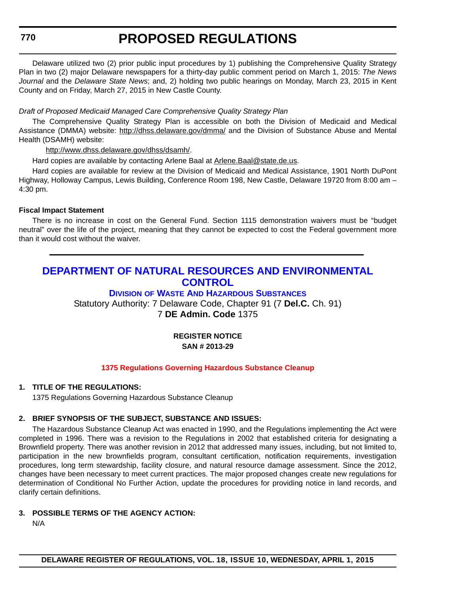<span id="page-28-0"></span>**770**

# **PROPOSED REGULATIONS**

Delaware utilized two (2) prior public input procedures by 1) publishing the Comprehensive Quality Strategy Plan in two (2) major Delaware newspapers for a thirty-day public comment period on March 1, 2015: *The News Journal* and the *Delaware State News*; and, 2) holding two public hearings on Monday, March 23, 2015 in Kent County and on Friday, March 27, 2015 in New Castle County.

#### *Draft of Proposed Medicaid Managed Care Comprehensive Quality Strategy Plan*

The Comprehensive Quality Strategy Plan is accessible on both the Division of Medicaid and Medical Assistance (DMMA) website: http://dhss.delaware.gov/dmma/ and the Division of Substance Abuse and Mental Health (DSAMH) website:

#### http://www.dhss.delaware.gov/dhss/dsamh/.

Hard copies are available by contacting Arlene Baal at Arlene. Baal@state.de.us.

Hard copies are available for review at the Division of Medicaid and Medical Assistance, 1901 North DuPont Highway, Holloway Campus, Lewis Building, Conference Room 198, New Castle, Delaware 19720 from 8:00 am – 4:30 pm.

#### **Fiscal Impact Statement**

There is no increase in cost on the General Fund. Section 1115 demonstration waivers must be "budget neutral" over the life of the project, meaning that they cannot be expected to cost the Federal government more than it would cost without the waiver.

### **[DEPARTMENT OF NATURAL RESOURCES AND ENVIRONMENTAL](http://www.dnrec.delaware.gov/dwhs/Pages/default.aspx)  CONTROL**

#### **DIVISION OF WASTE AND HAZARDOUS SUBSTANCES**

Statutory Authority: 7 Delaware Code, Chapter 91 (7 **Del.C.** Ch. 91) 7 **DE Admin. Code** 1375

#### **REGISTER NOTICE SAN # 2013-29**

#### **[1375 Regulations Governing Hazardous Substance Cleanup](#page-3-0)**

#### **1. TITLE OF THE REGULATIONS:**

1375 Regulations Governing Hazardous Substance Cleanup

#### **2. BRIEF SYNOPSIS OF THE SUBJECT, SUBSTANCE AND ISSUES:**

The Hazardous Substance Cleanup Act was enacted in 1990, and the Regulations implementing the Act were completed in 1996. There was a revision to the Regulations in 2002 that established criteria for designating a Brownfield property. There was another revision in 2012 that addressed many issues, including, but not limited to, participation in the new brownfields program, consultant certification, notification requirements, investigation procedures, long term stewardship, facility closure, and natural resource damage assessment. Since the 2012, changes have been necessary to meet current practices. The major proposed changes create new regulations for determination of Conditional No Further Action, update the procedures for providing notice in land records, and clarify certain definitions.

#### **3. POSSIBLE TERMS OF THE AGENCY ACTION:**

N/A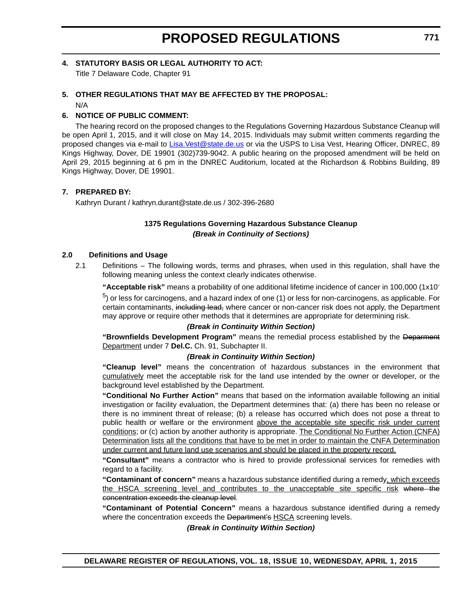#### **4. STATUTORY BASIS OR LEGAL AUTHORITY TO ACT:**

Title 7 Delaware Code, Chapter 91

#### **5. OTHER REGULATIONS THAT MAY BE AFFECTED BY THE PROPOSAL:**

N/A

#### **6. NOTICE OF PUBLIC COMMENT:**

The hearing record on the proposed changes to the Regulations Governing Hazardous Substance Cleanup will be open April 1, 2015, and it will close on May 14, 2015. Individuals may submit written comments regarding the proposed changes via e-mail to [Lisa.Vest@state.de.us](mailto:Lisa.Vest@state.de.us) or via the USPS to Lisa Vest, Hearing Officer, DNREC, 89 Kings Highway, Dover, DE 19901 (302)739-9042. A public hearing on the proposed amendment will be held on April 29, 2015 beginning at 6 pm in the DNREC Auditorium, located at the Richardson & Robbins Building, 89 Kings Highway, Dover, DE 19901.

#### **7. PREPARED BY:**

Kathryn Durant / kathryn.durant@state.de.us / 302-396-2680

#### **1375 Regulations Governing Hazardous Substance Cleanup** *(Break in Continuity of Sections)*

#### **2.0 Definitions and Usage**

2.1 Definitions – The following words, terms and phrases, when used in this regulation, shall have the following meaning unless the context clearly indicates otherwise.

**"Acceptable risk"** means a probability of one additional lifetime incidence of cancer in 100,000 (1x10-

 $<sup>5</sup>$ ) or less for carcinogens, and a hazard index of one (1) or less for non-carcinogens, as applicable. For</sup> certain contaminants, including lead, where cancer or non-cancer risk does not apply, the Department may approve or require other methods that it determines are appropriate for determining risk.

#### *(Break in Continuity Within Section)*

**"Brownfields Development Program"** means the remedial process established by the Deparment Department under 7 **Del.C.** Ch. 91, Subchapter II.

#### *(Break in Continuity Within Section)*

**"Cleanup level"** means the concentration of hazardous substances in the environment that cumulatively meet the acceptable risk for the land use intended by the owner or developer, or the background level established by the Department.

**"Conditional No Further Action"** means that based on the information available following an initial investigation or facility evaluation, the Department determines that: (a) there has been no release or there is no imminent threat of release; (b) a release has occurred which does not pose a threat to public health or welfare or the environment above the acceptable site specific risk under current conditions; or (c) action by another authority is appropriate. The Conditional No Further Action (CNFA) Determination lists all the conditions that have to be met in order to maintain the CNFA Determination under current and future land use scenarios and should be placed in the property record.

**"Consultant"** means a contractor who is hired to provide professional services for remedies with regard to a facility.

**"Contaminant of concern"** means a hazardous substance identified during a remedy, which exceeds the HSCA screening level and contributes to the unacceptable site specific risk where the concentration exceeds the cleanup level.

**"Contaminant of Potential Concern"** means a hazardous substance identified during a remedy where the concentration exceeds the Department's HSCA screening levels.

*(Break in Continuity Within Section)*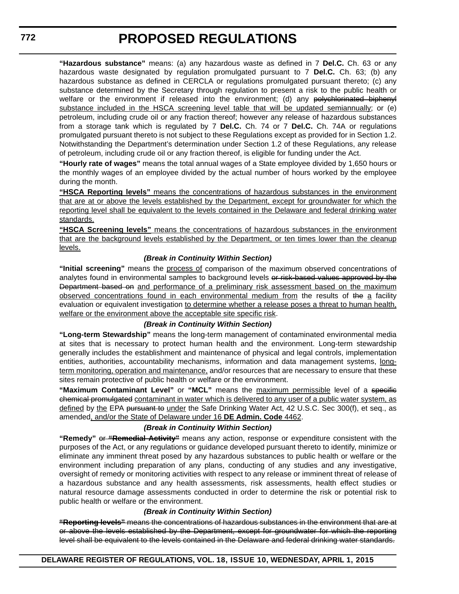**"Hazardous substance"** means: (a) any hazardous waste as defined in 7 **Del.C.** Ch. 63 or any hazardous waste designated by regulation promulgated pursuant to 7 **Del.C.** Ch. 63; (b) any hazardous substance as defined in CERCLA or regulations promulgated pursuant thereto; (c) any substance determined by the Secretary through regulation to present a risk to the public health or welfare or the environment if released into the environment; (d) any polychlorinated biphenyl substance included in the HSCA screening level table that will be updated semiannually; or (e) petroleum, including crude oil or any fraction thereof; however any release of hazardous substances from a storage tank which is regulated by 7 **Del.C.** Ch. 74 or 7 **Del.C.** Ch. 74A or regulations promulgated pursuant thereto is not subject to these Regulations except as provided for in Section 1.2. Notwithstanding the Department's determination under Section 1.2 of these Regulations, any release of petroleum, including crude oil or any fraction thereof, is eligible for funding under the Act.

**"Hourly rate of wages"** means the total annual wages of a State employee divided by 1,650 hours or the monthly wages of an employee divided by the actual number of hours worked by the employee during the month.

**"HSCA Reporting levels"** means the concentrations of hazardous substances in the environment that are at or above the levels established by the Department, except for groundwater for which the reporting level shall be equivalent to the levels contained in the Delaware and federal drinking water standards.

**"HSCA Screening levels"** means the concentrations of hazardous substances in the environment that are the background levels established by the Department, or ten times lower than the cleanup levels.

#### *(Break in Continuity Within Section)*

**"Initial screening"** means the process of comparison of the maximum observed concentrations of analytes found in environmental samples to background levels or risk-based values approved by the Department based on and performance of a preliminary risk assessment based on the maximum observed concentrations found in each environmental medium from the results of the a facility evaluation or equivalent investigation to determine whether a release poses a threat to human health, welfare or the environment above the acceptable site specific risk.

#### *(Break in Continuity Within Section)*

**"Long-term Stewardship"** means the long-term management of contaminated environmental media at sites that is necessary to protect human health and the environment. Long-term stewardship generally includes the establishment and maintenance of physical and legal controls, implementation entities, authorities, accountability mechanisms, information and data management systems, longterm monitoring, operation and maintenance, and/or resources that are necessary to ensure that these sites remain protective of public health or welfare or the environment.

**"Maximum Contaminant Level"** or **"MCL"** means the maximum permissible level of a specific chemical promulgated contaminant in water which is delivered to any user of a public water system, as defined by the EPA pursuant to under the Safe Drinking Water Act, 42 U.S.C. Sec 300(f), et seq., as amended, and/or the State of Delaware under 16 **DE Admin. Code** 4462.

#### *(Break in Continuity Within Section)*

**"Remedy"** or **"Remedial Activity"** means any action, response or expenditure consistent with the purposes of the Act, or any regulations or guidance developed pursuant thereto to identify, minimize or eliminate any imminent threat posed by any hazardous substances to public health or welfare or the environment including preparation of any plans, conducting of any studies and any investigative, oversight of remedy or monitoring activities with respect to any release or imminent threat of release of a hazardous substance and any health assessments, risk assessments, health effect studies or natural resource damage assessments conducted in order to determine the risk or potential risk to public health or welfare or the environment.

#### *(Break in Continuity Within Section)*

**"Reporting levels"** means the concentrations of hazardous substances in the environment that are at or above the levels established by the Department, except for groundwater for which the reporting level shall be equivalent to the levels contained in the Delaware and federal drinking water standards.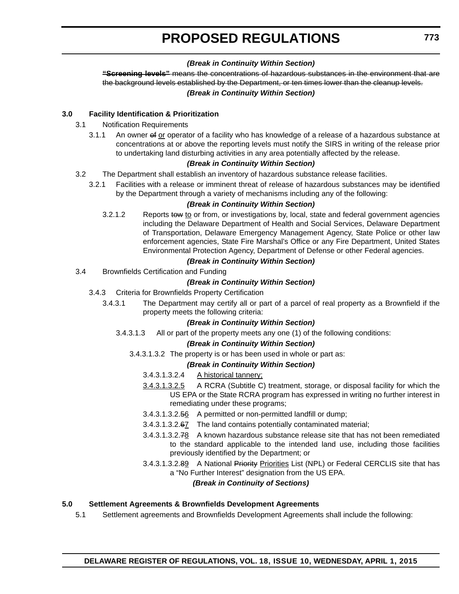#### *(Break in Continuity Within Section)*

**"Screening levels"** means the concentrations of hazardous substances in the environment that are the background levels established by the Department, or ten times lower than the cleanup levels. *(Break in Continuity Within Section)*

#### **3.0 Facility Identification & Prioritization**

- 3.1 Notification Requirements
	- 3.1.1 An owner of or operator of a facility who has knowledge of a release of a hazardous substance at concentrations at or above the reporting levels must notify the SIRS in writing of the release prior to undertaking land disturbing activities in any area potentially affected by the release.

#### *(Break in Continuity Within Section)*

- 3.2 The Department shall establish an inventory of hazardous substance release facilities.
	- 3.2.1 Facilities with a release or imminent threat of release of hazardous substances may be identified by the Department through a variety of mechanisms including any of the following:

#### *(Break in Continuity Within Section)*

3.2.1.2 Reports tow to or from, or investigations by, local, state and federal government agencies including the Delaware Department of Health and Social Services, Delaware Department of Transportation, Delaware Emergency Management Agency, State Police or other law enforcement agencies, State Fire Marshal's Office or any Fire Department, United States Environmental Protection Agency, Department of Defense or other Federal agencies.

#### *(Break in Continuity Within Section)*

3.4 Brownfields Certification and Funding

#### *(Break in Continuity Within Section)*

- 3.4.3 Criteria for Brownfields Property Certification
	- 3.4.3.1 The Department may certify all or part of a parcel of real property as a Brownfield if the property meets the following criteria:

#### *(Break in Continuity Within Section)*

3.4.3.1.3 All or part of the property meets any one (1) of the following conditions:

#### *(Break in Continuity Within Section)*

3.4.3.1.3.2 The property is or has been used in whole or part as:

#### *(Break in Continuity Within Section)*

- 3.4.3.1.3.2.4 A historical tannery;
- 3.4.3.1.3.2.5 A RCRA (Subtitle C) treatment, storage, or disposal facility for which the US EPA or the State RCRA program has expressed in writing no further interest in remediating under these programs;
- 3.4.3.1.3.2.56 A permitted or non-permitted landfill or dump;
- 3.4.3.1.3.2.67 The land contains potentially contaminated material;
- 3.4.3.1.3.2.78 A known hazardous substance release site that has not been remediated to the standard applicable to the intended land use, including those facilities previously identified by the Department; or
- 3.4.3.1.3.2.89 A National Priority Priorities List (NPL) or Federal CERCLIS site that has a "No Further Interest" designation from the US EPA.

#### *(Break in Continuity of Sections)*

### **5.0 Settlement Agreements & Brownfields Development Agreements**

5.1 Settlement agreements and Brownfields Development Agreements shall include the following: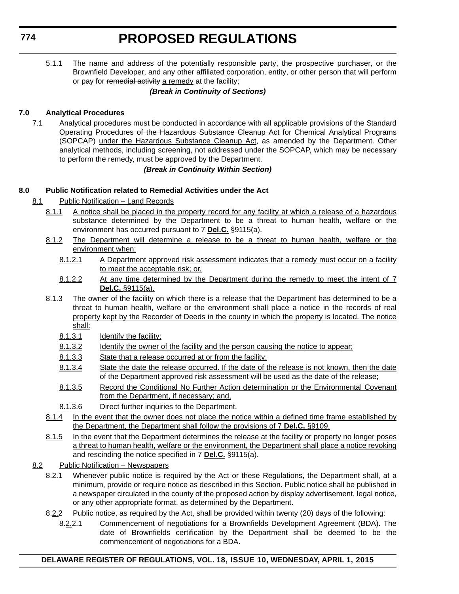5.1.1 The name and address of the potentially responsible party, the prospective purchaser, or the Brownfield Developer, and any other affiliated corporation, entity, or other person that will perform or pay for remedial activity a remedy at the facility;

#### *(Break in Continuity of Sections)*

#### **7.0 Analytical Procedures**

7.1 Analytical procedures must be conducted in accordance with all applicable provisions of the Standard Operating Procedures of the Hazardous Substance Cleanup Act for Chemical Analytical Programs (SOPCAP) under the Hazardous Substance Cleanup Act, as amended by the Department. Other analytical methods, including screening, not addressed under the SOPCAP, which may be necessary to perform the remedy, must be approved by the Department.

#### *(Break in Continuity Within Section)*

#### **8.0 Public Notification related to Remedial Activities under the Act**

- 8.1 Public Notification Land Records
	- 8.1.1 A notice shall be placed in the property record for any facility at which a release of a hazardous substance determined by the Department to be a threat to human health, welfare or the environment has occurred pursuant to 7 **Del.C.** §9115(a).
	- 8.1.2 The Department will determine a release to be a threat to human health, welfare or the environment when:
		- 8.1.2.1 A Department approved risk assessment indicates that a remedy must occur on a facility to meet the acceptable risk; or,
		- 8.1.2.2 At any time determined by the Department during the remedy to meet the intent of 7 **Del.C.** §9115(a).
	- 8.1.3 The owner of the facility on which there is a release that the Department has determined to be a threat to human health, welfare or the environment shall place a notice in the records of real property kept by the Recorder of Deeds in the county in which the property is located. The notice shall:
		- 8.1.3.1 Identify the facility;
		- 8.1.3.2 Identify the owner of the facility and the person causing the notice to appear;
		- 8.1.3.3 State that a release occurred at or from the facility;
		- 8.1.3.4 State the date the release occurred. If the date of the release is not known, then the date of the Department approved risk assessment will be used as the date of the release;
		- 8.1.3.5 Record the Conditional No Further Action determination or the Environmental Covenant from the Department, if necessary; and,
		- 8.1.3.6 Direct further inquiries to the Department.
	- 8.1.4 In the event that the owner does not place the notice within a defined time frame established by the Department, the Department shall follow the provisions of 7 **Del.C.** §9109.
	- 8.1.5 In the event that the Department determines the release at the facility or property no longer poses a threat to human health, welfare or the environment, the Department shall place a notice revoking and rescinding the notice specified in 7 **Del.C.** §9115(a).

#### 8.2 Public Notification – Newspapers

- 8.2.1 Whenever public notice is required by the Act or these Regulations, the Department shall, at a minimum, provide or require notice as described in this Section. Public notice shall be published in a newspaper circulated in the county of the proposed action by display advertisement, legal notice, or any other appropriate format, as determined by the Department.
- 8.2.2 Public notice, as required by the Act, shall be provided within twenty (20) days of the following:
	- 8.2.2.1 Commencement of negotiations for a Brownfields Development Agreement (BDA). The date of Brownfields certification by the Department shall be deemed to be the commencement of negotiations for a BDA.

#### **DELAWARE REGISTER OF REGULATIONS, VOL. 18, ISSUE 10, WEDNESDAY, APRIL 1, 2015**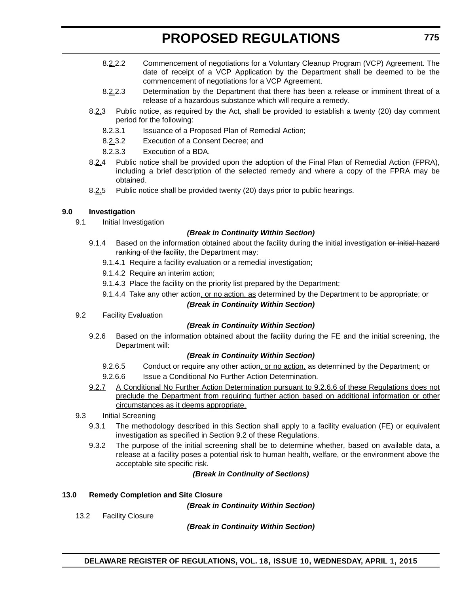- 8.2.2.2 Commencement of negotiations for a Voluntary Cleanup Program (VCP) Agreement. The date of receipt of a VCP Application by the Department shall be deemed to be the commencement of negotiations for a VCP Agreement.
- 8.2.2.3 Determination by the Department that there has been a release or imminent threat of a release of a hazardous substance which will require a remedy.
- 8.2.3 Public notice, as required by the Act, shall be provided to establish a twenty (20) day comment period for the following:
	- 8.2.3.1 Issuance of a Proposed Plan of Remedial Action;
	- 8.2.3.2 Execution of a Consent Decree; and
	- 8.2.3.3 Execution of a BDA.
- 8.2.4 Public notice shall be provided upon the adoption of the Final Plan of Remedial Action (FPRA), including a brief description of the selected remedy and where a copy of the FPRA may be obtained.
- 8.2.5 Public notice shall be provided twenty (20) days prior to public hearings.

#### **9.0 Investigation**

9.1 Initial Investigation

#### *(Break in Continuity Within Section)*

- 9.1.4 Based on the information obtained about the facility during the initial investigation or initial hazard ranking of the facility, the Department may:
	- 9.1.4.1 Require a facility evaluation or a remedial investigation;
	- 9.1.4.2 Require an interim action;
	- 9.1.4.3 Place the facility on the priority list prepared by the Department;
	- 9.1.4.4 Take any other action, or no action, as determined by the Department to be appropriate; or

#### *(Break in Continuity Within Section)*

9.2 Facility Evaluation

#### *(Break in Continuity Within Section)*

9.2.6 Based on the information obtained about the facility during the FE and the initial screening, the Department will:

#### *(Break in Continuity Within Section)*

- 9.2.6.5 Conduct or require any other action, or no action, as determined by the Department; or
- 9.2.6.6 **Issue a Conditional No Further Action Determination.**
- 9.2.7 A Conditional No Further Action Determination pursuant to 9.2.6.6 of these Regulations does not preclude the Department from requiring further action based on additional information or other circumstances as it deems appropriate.

#### 9.3 Initial Screening

- 9.3.1 The methodology described in this Section shall apply to a facility evaluation (FE) or equivalent investigation as specified in Section 9.2 of these Regulations.
- 9.3.2 The purpose of the initial screening shall be to determine whether, based on available data, a release at a facility poses a potential risk to human health, welfare, or the environment above the acceptable site specific risk.

*(Break in Continuity of Sections)*

#### **13.0 Remedy Completion and Site Closure**

*(Break in Continuity Within Section)*

13.2 Facility Closure

*(Break in Continuity Within Section)*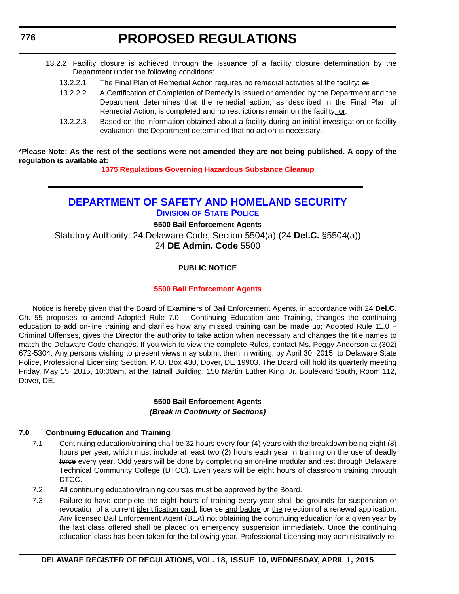- <span id="page-34-0"></span>13.2.2 Facility closure is achieved through the issuance of a facility closure determination by the Department under the following conditions:
	- 13.2.2.1 The Final Plan of Remedial Action requires no remedial activities at the facility; or
	- 13.2.2.2 A Certification of Completion of Remedy is issued or amended by the Department and the Department determines that the remedial action, as described in the Final Plan of Remedial Action, is completed and no restrictions remain on the facility; or.
	- 13.2.2.3 Based on the information obtained about a facility during an initial investigation or facility evaluation, the Department determined that no action is necessary.

**\*Please Note: As the rest of the sections were not amended they are not being published. A copy of the regulation is available at:**

**[1375 Regulations Governing Hazardous Substance Cleanup](http://regulations.delaware.gov/register/april2015/proposed/18 DE Reg 770 04-01-15.htm)**

### **[DEPARTMENT OF SAFETY AND HOMELAND SECURITY](http://dsp.delaware.gov/) DIVISION OF STATE POLICE**

**5500 Bail Enforcement Agents** Statutory Authority: 24 Delaware Code, Section 5504(a) (24 **Del.C.** §5504(a)) 24 **DE Admin. Code** 5500

#### **PUBLIC NOTICE**

#### **[5500 Bail Enforcement Agents](#page-3-0)**

Notice is hereby given that the Board of Examiners of Bail Enforcement Agents, in accordance with 24 **Del.C.** Ch. 55 proposes to amend Adopted Rule 7.0 – Continuing Education and Training, changes the continuing education to add on-line training and clarifies how any missed training can be made up; Adopted Rule 11.0 – Criminal Offenses, gives the Director the authority to take action when necessary and changes the title names to match the Delaware Code changes. If you wish to view the complete Rules, contact Ms. Peggy Anderson at (302) 672-5304. Any persons wishing to present views may submit them in writing, by April 30, 2015, to Delaware State Police, Professional Licensing Section, P. O. Box 430, Dover, DE 19903. The Board will hold its quarterly meeting Friday, May 15, 2015, 10:00am, at the Tatnall Building, 150 Martin Luther King, Jr. Boulevard South, Room 112, Dover, DE.

#### **5500 Bail Enforcement Agents** *(Break in Continuity of Sections)*

#### **7.0 Continuing Education and Training**

- 7.1 Continuing education/training shall be 32 hours every four (4) years with the breakdown being eight (8) hours per year, which must include at least two (2) hours each year in training on the use of deadly force every year. Odd years will be done by completing an on-line modular and test through Delaware Technical Community College (DTCC). Even years will be eight hours of classroom training through DTCC.
- 7.2 All continuing education/training courses must be approved by the Board.
- 7.3 Failure to have complete the eight hours of training every year shall be grounds for suspension or revocation of a current identification card, license and badge or the rejection of a renewal application. Any licensed Bail Enforcement Agent (BEA) not obtaining the continuing education for a given year by the last class offered shall be placed on emergency suspension immediately. Once the continuing education class has been taken for the following year, Professional Licensing may administratively re-

#### **DELAWARE REGISTER OF REGULATIONS, VOL. 18, ISSUE 10, WEDNESDAY, APRIL 1, 2015**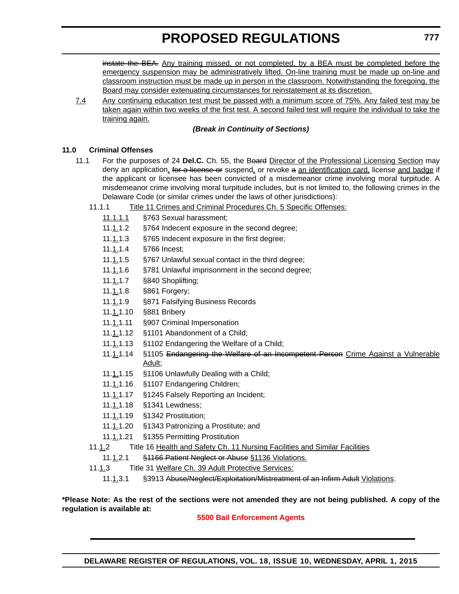instate the BEA. Any training missed, or not completed, by a BEA must be completed before the emergency suspension may be administratively lifted. On-line training must be made up on-line and classroom instruction must be made up in person in the classroom. Notwithstanding the foregoing, the Board may consider extenuating circumstances for reinstatement at its discretion.

7.4 Any continuing education test must be passed with a minimum score of 75%. Any failed test may be taken again within two weeks of the first test. A second failed test will require the individual to take the training again.

#### *(Break in Continuity of Sections)*

#### **11.0 Criminal Offenses**

- 11.1 For the purposes of 24 **Del.C.** Ch. 55, the Board Director of the Professional Licensing Section may deny an application, for a license or suspend, or revoke a an identification card, license and badge if the applicant or licensee has been convicted of a misdemeanor crime involving moral turpitude. A misdemeanor crime involving moral turpitude includes, but is not limited to, the following crimes in the Delaware Code (or similar crimes under the laws of other jurisdictions):
	- 11.1.1 Title 11 Crimes and Criminal Procedures Ch. 5 Specific Offenses:
		- 11.1.1.1 §763 Sexual harassment;
		- 11.1.1.2 §764 Indecent exposure in the second degree;
		- 11.1.1.3 §765 Indecent exposure in the first degree;
		- 11.1.1.4 §766 Incest;
		- 11.1.1.5 §767 Unlawful sexual contact in the third degree;
		- 11.1.1.6 §781 Unlawful imprisonment in the second degree;
		- 11.1.1.7 §840 Shoplifting;
		- 11.1.1.8 §861 Forgery;
		- 11.1.1.9 §871 Falsifying Business Records
		- 11.1.1.10 §881 Bribery
		- 11.1.1.11 §907 Criminal Impersonation
		- 11.1.1.12 §1101 Abandonment of a Child;
		- 11.1.1.13 §1102 Endangering the Welfare of a Child;
		- 11.1.1.14 §1105 Endangering the Welfare of an Incompetent Person Crime Against a Vulnerable Adult;
		- 11.1.1.15 §1106 Unlawfully Dealing with a Child;
		- 11.1.1.16 §1107 Endangering Children;
		- 11.1.1.17 §1245 Falsely Reporting an Incident;
		- 11.1.1.18 §1341 Lewdness;
		- 11.1.1.19 §1342 Prostitution;
		- 11.1.1.20 §1343 Patronizing a Prostitute; and
		- 11.1.1.21 §1355 Permitting Prostitution
	- 11.1.2 Title 16 Health and Safety Ch. 11 Nursing Facilities and Similar Facilities
		- 11.1.2.1 §1166 Patient Neglect or Abuse §1136 Violations.
	- 11.1.3 Title 31 Welfare Ch. 39 Adult Protective Services:
		- 11.1.3.1 §3913 Abuse/Neglect/Exploitation/Mistreatment of an Infirm Adult Violations.

**\*Please Note: As the rest of the sections were not amended they are not being published. A copy of the regulation is available at:**

#### **[5500 Bail Enforcement Agents](http://regulations.delaware.gov/register/april2015/proposed/18 DE Reg 776 04-01-15.htm)**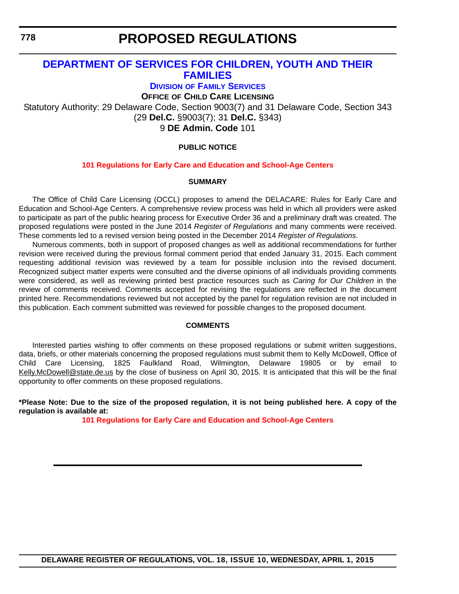<span id="page-36-0"></span>**778**

### **PROPOSED REGULATIONS**

### **[DEPARTMENT OF SERVICES FOR CHILDREN, YOUTH AND THEIR](http://kids.delaware.gov/fs/fs.shtml)  FAMILIES**

**DIVISION OF FAMILY SERVICES**

**OFFICE OF CHILD CARE LICENSING**

Statutory Authority: 29 Delaware Code, Section 9003(7) and 31 Delaware Code, Section 343 (29 **Del.C.** §9003(7); 31 **Del.C.** §343) 9 **DE Admin. Code** 101

#### **PUBLIC NOTICE**

#### **[101 Regulations for Early Care and Education and School-Age Centers](#page-3-0)**

#### **SUMMARY**

The Office of Child Care Licensing (OCCL) proposes to amend the DELACARE: Rules for Early Care and Education and School-Age Centers. A comprehensive review process was held in which all providers were asked to participate as part of the public hearing process for Executive Order 36 and a preliminary draft was created. The proposed regulations were posted in the June 2014 *Register of Regulations* and many comments were received. These comments led to a revised version being posted in the December 2014 *Register of Regulations*.

Numerous comments, both in support of proposed changes as well as additional recommendations for further revision were received during the previous formal comment period that ended January 31, 2015. Each comment requesting additional revision was reviewed by a team for possible inclusion into the revised document. Recognized subject matter experts were consulted and the diverse opinions of all individuals providing comments were considered, as well as reviewing printed best practice resources such as *Caring for Our Children* in the review of comments received. Comments accepted for revising the regulations are reflected in the document printed here. Recommendations reviewed but not accepted by the panel for regulation revision are not included in this publication. Each comment submitted was reviewed for possible changes to the proposed document.

#### **COMMENTS**

Interested parties wishing to offer comments on these proposed regulations or submit written suggestions, data, briefs, or other materials concerning the proposed regulations must submit them to Kelly McDowell, Office of Child Care Licensing, 1825 Faulkland Road, Wilmington, Delaware 19805 or by email to [Kelly.McDowell@state.de.us](mailto:Kelly.McDowell@state.de.us) by the close of business on April 30, 2015. It is anticipated that this will be the final opportunity to offer comments on these proposed regulations.

**\*Please Note: Due to the size of the proposed regulation, it is not being published here. A copy of the regulation is available at:**

**[101 Regulations for Early Care and Education and School-Age Centers](http://regulations.delaware.gov/register/april2015/proposed/18 DE Reg 778 04-01-15.htm)**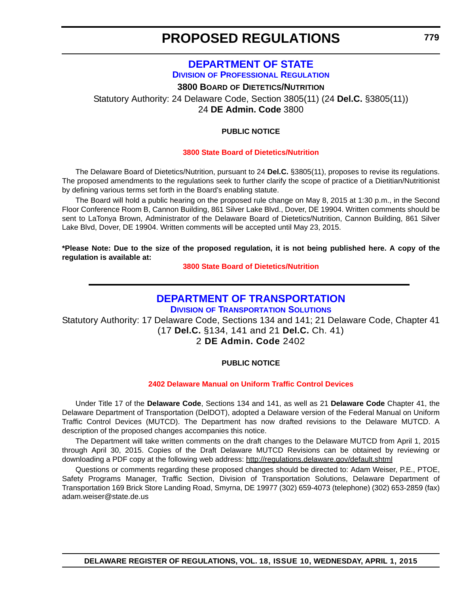### **[DEPARTMENT OF STATE](http://dpr.delaware.gov/) DIVISION OF PROFESSIONAL REGULATION**

**3800 BOARD OF DIETETICS/NUTRITION**

<span id="page-37-0"></span>Statutory Authority: 24 Delaware Code, Section 3805(11) (24 **Del.C.** §3805(11)) 24 **DE Admin. Code** 3800

#### **PUBLIC NOTICE**

#### **[3800 State Board of Dietetics/Nutrition](#page-3-0)**

The Delaware Board of Dietetics/Nutrition, pursuant to 24 **Del.C.** §3805(11), proposes to revise its regulations. The proposed amendments to the regulations seek to further clarify the scope of practice of a Dietitian/Nutritionist by defining various terms set forth in the Board's enabling statute.

The Board will hold a public hearing on the proposed rule change on May 8, 2015 at 1:30 p.m., in the Second Floor Conference Room B, Cannon Building, 861 Silver Lake Blvd., Dover, DE 19904. Written comments should be sent to LaTonya Brown, Administrator of the Delaware Board of Dietetics/Nutrition, Cannon Building, 861 Silver Lake Blvd, Dover, DE 19904. Written comments will be accepted until May 23, 2015.

**\*Please Note: Due to the size of the proposed regulation, it is not being published here. A copy of the regulation is available at:**

**[3800 State Board of Dietetics/Nutrition](http://regulations.delaware.gov/register/april2015/proposed/18 DE Reg 779 04-01-15.htm)**

### **[DEPARTMENT OF TRANSPORTATION](http://www.deldot.gov/home/divisions/)**

**DIVISION OF TRANSPORTATION SOLUTIONS**

Statutory Authority: 17 Delaware Code, Sections 134 and 141; 21 Delaware Code, Chapter 41 (17 **Del.C.** §134, 141 and 21 **Del.C.** Ch. 41)

2 **DE Admin. Code** 2402

#### **PUBLIC NOTICE**

#### **[2402 Delaware Manual on Uniform Traffic Control Devices](#page-3-0)**

Under Title 17 of the **Delaware Code**, Sections 134 and 141, as well as 21 **Delaware Code** Chapter 41, the Delaware Department of Transportation (DelDOT), adopted a Delaware version of the Federal Manual on Uniform Traffic Control Devices (MUTCD). The Department has now drafted revisions to the Delaware MUTCD. A description of the proposed changes accompanies this notice.

The Department will take written comments on the draft changes to the Delaware MUTCD from April 1, 2015 through April 30, 2015. Copies of the Draft Delaware MUTCD Revisions can be obtained by reviewing or downloading a PDF copy at the following web address: http://regulations.delaware.gov/default.shtml

Questions or comments regarding these proposed changes should be directed to: Adam Weiser, P.E., PTOE, Safety Programs Manager, Traffic Section, Division of Transportation Solutions, Delaware Department of Transportation 169 Brick Store Landing Road, Smyrna, DE 19977 (302) 659-4073 (telephone) (302) 653-2859 (fax) adam.weiser@state.de.us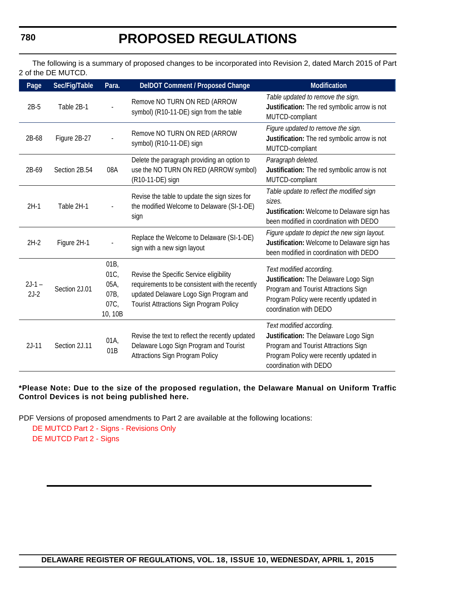The following is a summary of proposed changes to be incorporated into Revision 2, dated March 2015 of Part 2 of the DE MUTCD.

| Page               | Sec/Fig/Table | Para.                                        | DelDOT Comment / Proposed Change                                                                                                                                                       | <b>Modification</b>                                                                                                                                                            |
|--------------------|---------------|----------------------------------------------|----------------------------------------------------------------------------------------------------------------------------------------------------------------------------------------|--------------------------------------------------------------------------------------------------------------------------------------------------------------------------------|
| $2B-5$             | Table 2B-1    |                                              | Remove NO TURN ON RED (ARROW<br>symbol) (R10-11-DE) sign from the table                                                                                                                | Table updated to remove the sign.<br>Justification: The red symbolic arrow is not<br>MUTCD-compliant                                                                           |
| 2B-68              | Figure 2B-27  |                                              | Remove NO TURN ON RED (ARROW<br>symbol) (R10-11-DE) sign                                                                                                                               | Figure updated to remove the sign.<br>Justification: The red symbolic arrow is not<br>MUTCD-compliant                                                                          |
| 2B-69              | Section 2B.54 | 08A                                          | Delete the paragraph providing an option to<br>use the NO TURN ON RED (ARROW symbol)<br>(R10-11-DE) sign                                                                               | Paragraph deleted.<br>Justification: The red symbolic arrow is not<br>MUTCD-compliant                                                                                          |
| $2H-1$             | Table 2H-1    |                                              | Revise the table to update the sign sizes for<br>the modified Welcome to Delaware (SI-1-DE)<br>sign                                                                                    | Table update to reflect the modified sign<br>sizes.<br>Justification: Welcome to Delaware sign has<br>been modified in coordination with DEDO                                  |
| $2H-2$             | Figure 2H-1   |                                              | Replace the Welcome to Delaware (SI-1-DE)<br>sign with a new sign layout                                                                                                               | Figure update to depict the new sign layout.<br>Justification: Welcome to Delaware sign has<br>been modified in coordination with DEDO                                         |
| $2J-1 -$<br>$2J-2$ | Section 2J.01 | 01B<br>01C<br>05A,<br>07B<br>07C,<br>10, 10B | Revise the Specific Service eligibility<br>requirements to be consistent with the recently<br>updated Delaware Logo Sign Program and<br><b>Tourist Attractions Sign Program Policy</b> | Text modified according.<br>Justification: The Delaware Logo Sign<br>Program and Tourist Attractions Sign<br>Program Policy were recently updated in<br>coordination with DEDO |
| $2J-11$            | Section 2J.11 | 01A<br>01B                                   | Revise the text to reflect the recently updated<br>Delaware Logo Sign Program and Tourist<br><b>Attractions Sign Program Policy</b>                                                    | Text modified according.<br>Justification: The Delaware Logo Sign<br>Program and Tourist Attractions Sign<br>Program Policy were recently updated in<br>coordination with DEDO |

#### **\*Please Note: Due to the size of the proposed regulation, the Delaware Manual on Uniform Traffic Control Devices is not being published here.**

PDF Versions of proposed amendments to Part 2 are available at the following locations:

[DE MUTCD Part 2 - Signs - Revisions Only](http://regulations.delaware.gov/register/april2015/proposed/MUTCDPart2SignsRevisions.pdf)  [DE MUTCD Part 2 - Signs](http://regulations.delaware.gov/register/april2015/proposed/MUTCDPart2Signs.pdf) 

**DELAWARE REGISTER OF REGULATIONS, VOL. 18, ISSUE 10, WEDNESDAY, APRIL 1, 2015**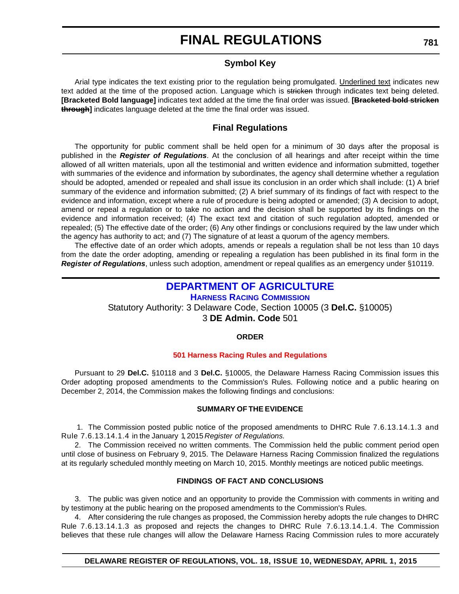#### **Symbol Key**

<span id="page-39-0"></span>Arial type indicates the text existing prior to the regulation being promulgated. Underlined text indicates new text added at the time of the proposed action. Language which is stricken through indicates text being deleted. **[Bracketed Bold language]** indicates text added at the time the final order was issued. **[Bracketed bold stricken through]** indicates language deleted at the time the final order was issued.

#### **Final Regulations**

The opportunity for public comment shall be held open for a minimum of 30 days after the proposal is published in the *Register of Regulations*. At the conclusion of all hearings and after receipt within the time allowed of all written materials, upon all the testimonial and written evidence and information submitted, together with summaries of the evidence and information by subordinates, the agency shall determine whether a regulation should be adopted, amended or repealed and shall issue its conclusion in an order which shall include: (1) A brief summary of the evidence and information submitted; (2) A brief summary of its findings of fact with respect to the evidence and information, except where a rule of procedure is being adopted or amended; (3) A decision to adopt, amend or repeal a regulation or to take no action and the decision shall be supported by its findings on the evidence and information received; (4) The exact text and citation of such regulation adopted, amended or repealed; (5) The effective date of the order; (6) Any other findings or conclusions required by the law under which the agency has authority to act; and (7) The signature of at least a quorum of the agency members.

The effective date of an order which adopts, amends or repeals a regulation shall be not less than 10 days from the date the order adopting, amending or repealing a regulation has been published in its final form in the *Register of Regulations*, unless such adoption, amendment or repeal qualifies as an emergency under §10119.

### **[DEPARTMENT OF AGRICULTURE](http://dda.delaware.gov/harness/)**

**HARNESS RACING COMMISSION** Statutory Authority: 3 Delaware Code, Section 10005 (3 **Del.C.** §10005) 3 **DE Admin. Code** 501

#### **ORDER**

#### **[501 Harness Racing Rules and Regulations](#page-3-0)**

Pursuant to 29 **Del.C.** §10118 and 3 **Del.C.** §10005, the Delaware Harness Racing Commission issues this Order adopting proposed amendments to the Commission's Rules. Following notice and a public hearing on December 2, 2014, the Commission makes the following findings and conclusions:

#### **SUMMARY OF THE EVIDENCE**

 1. The Commission posted public notice of the proposed amendments to DHRC Rule 7.6.13.14.1.3 and Rule 7.6.13.14.1.4 in the January 1, 2015 *Register of Regulations.*

2. The Commission received no written comments. The Commission held the public comment period open until close of business on February 9, 2015. The Delaware Harness Racing Commission finalized the regulations at its regularly scheduled monthly meeting on March 10, 2015. Monthly meetings are noticed public meetings.

#### **FINDINGS OF FACT AND CONCLUSIONS**

3. The public was given notice and an opportunity to provide the Commission with comments in writing and by testimony at the public hearing on the proposed amendments to the Commission's Rules.

4. After considering the rule changes as proposed, the Commission hereby adopts the rule changes to DHRC Rule 7.6.13.14.1.3 as proposed and rejects the changes to DHRC Rule 7.6.13.14.1.4. The Commission believes that these rule changes will allow the Delaware Harness Racing Commission rules to more accurately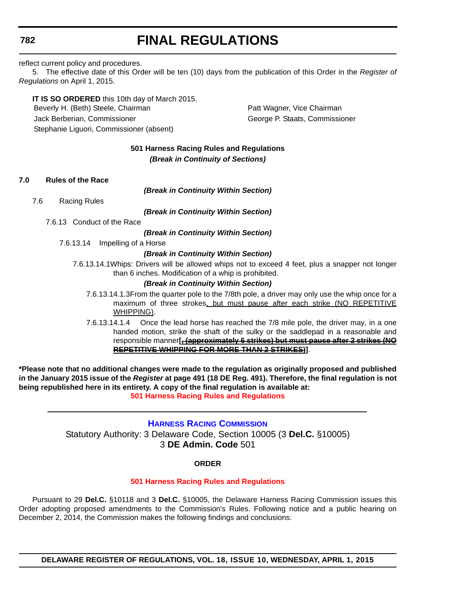#### <span id="page-40-0"></span>**782**

### **FINAL REGULATIONS**

reflect current policy and procedures.

5. The effective date of this Order will be ten (10) days from the publication of this Order in the *Register of Regulations* on April 1, 2015.

**IT IS SO ORDERED** this 10th day of March 2015. Beverly H. (Beth) Steele, Chairman **Patt Wagner, Vice Chairman** Jack Berberian, Commissioner George P. Staats, Commissioner Stephanie Liguori, Commissioner (absent)

#### **501 Harness Racing Rules and Regulations** *(Break in Continuity of Sections)*

**7.0 Rules of the Race**

*(Break in Continuity Within Section)*

7.6 Racing Rules

*(Break in Continuity Within Section)*

7.6.13 Conduct of the Race

*(Break in Continuity Within Section)*

7.6.13.14 Impelling of a Horse

#### *(Break in Continuity Within Section)*

7.6.13.14.1Whips: Drivers will be allowed whips not to exceed 4 feet, plus a snapper not longer than 6 inches. Modification of a whip is prohibited.

#### *(Break in Continuity Within Section)*

- 7.6.13.14.1.3From the quarter pole to the 7/8th pole, a driver may only use the whip once for a maximum of three strokes, but must pause after each strike (NO REPETITIVE WHIPPING).
- 7.6.13.14.1.4 Once the lead horse has reached the 7/8 mile pole, the driver may, in a one handed motion, strike the shaft of the sulky or the saddlepad in a reasonable and responsible manner**[, (approximately 6 strikes) but must pause after 2 strikes (NO REPETITIVE WHIPPING FOR MORE THAN 2 STRIKES)]**.

**\*Please note that no additional changes were made to the regulation as originally proposed and published in the January 2015 issue of the** *Register* **at page 491 (18 DE Reg. 491). Therefore, the final regulation is not being republished here in its entirety. A copy of the final regulation is available at:**

**[501 Harness Racing Rules and Regulations](http://regulations.delaware.gov/register/april2015/final/18 DE Reg 781 04-01-15.htm)**

**[HARNESS RACING COMMISSION](http://dda.delaware.gov/harness/)** Statutory Authority: 3 Delaware Code, Section 10005 (3 **Del.C.** §10005) 3 **DE Admin. Code** 501

#### **ORDER**

#### **[501 Harness Racing Rules and Regulations](#page-3-0)**

Pursuant to 29 **Del.C.** §10118 and 3 **Del.C.** §10005, the Delaware Harness Racing Commission issues this Order adopting proposed amendments to the Commission's Rules. Following notice and a public hearing on December 2, 2014, the Commission makes the following findings and conclusions:

**DELAWARE REGISTER OF REGULATIONS, VOL. 18, ISSUE 10, WEDNESDAY, APRIL 1, 2015**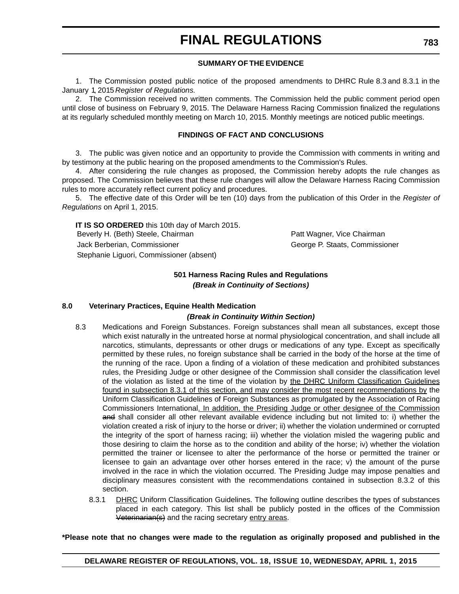#### **SUMMARY OF THE EVIDENCE**

1. The Commission posted public notice of the proposed amendments to DHRC Rule 8.3 and 8.3.1 in the January 1, 2015 *Register of Regulations.*

2. The Commission received no written comments. The Commission held the public comment period open until close of business on February 9, 2015. The Delaware Harness Racing Commission finalized the regulations at its regularly scheduled monthly meeting on March 10, 2015. Monthly meetings are noticed public meetings.

#### **FINDINGS OF FACT AND CONCLUSIONS**

3. The public was given notice and an opportunity to provide the Commission with comments in writing and by testimony at the public hearing on the proposed amendments to the Commission's Rules.

4. After considering the rule changes as proposed, the Commission hereby adopts the rule changes as proposed. The Commission believes that these rule changes will allow the Delaware Harness Racing Commission rules to more accurately reflect current policy and procedures.

5. The effective date of this Order will be ten (10) days from the publication of this Order in the *Register of Regulations* on April 1, 2015.

**IT IS SO ORDERED** this 10th day of March 2015. Beverly H. (Beth) Steele, Chairman Patt Wagner, Vice Chairman Patt Wagner, Vice Chairman Jack Berberian, Commissioner George P. Staats, Commissioner Stephanie Liguori, Commissioner (absent)

#### **501 Harness Racing Rules and Regulations** *(Break in Continuity of Sections)*

#### **8.0 Veterinary Practices, Equine Health Medication**

#### *(Break in Continuity Within Section)*

- 8.3 Medications and Foreign Substances. Foreign substances shall mean all substances, except those which exist naturally in the untreated horse at normal physiological concentration, and shall include all narcotics, stimulants, depressants or other drugs or medications of any type. Except as specifically permitted by these rules, no foreign substance shall be carried in the body of the horse at the time of the running of the race. Upon a finding of a violation of these medication and prohibited substances rules, the Presiding Judge or other designee of the Commission shall consider the classification level of the violation as listed at the time of the violation by the DHRC Uniform Classification Guidelines found in subsection 8.3.1 of this section, and may consider the most recent recommendations by the Uniform Classification Guidelines of Foreign Substances as promulgated by the Association of Racing Commissioners International. In addition, the Presiding Judge or other designee of the Commission and shall consider all other relevant available evidence including but not limited to: i) whether the violation created a risk of injury to the horse or driver; ii) whether the violation undermined or corrupted the integrity of the sport of harness racing; iii) whether the violation misled the wagering public and those desiring to claim the horse as to the condition and ability of the horse; iv) whether the violation permitted the trainer or licensee to alter the performance of the horse or permitted the trainer or licensee to gain an advantage over other horses entered in the race; v) the amount of the purse involved in the race in which the violation occurred. The Presiding Judge may impose penalties and disciplinary measures consistent with the recommendations contained in subsection 8.3.2 of this section.
	- 8.3.1 DHRC Uniform Classification Guidelines. The following outline describes the types of substances placed in each category. This list shall be publicly posted in the offices of the Commission Veterinarian(s) and the racing secretary entry areas.

**\*Please note that no changes were made to the regulation as originally proposed and published in the**

#### **DELAWARE REGISTER OF REGULATIONS, VOL. 18, ISSUE 10, WEDNESDAY, APRIL 1, 2015**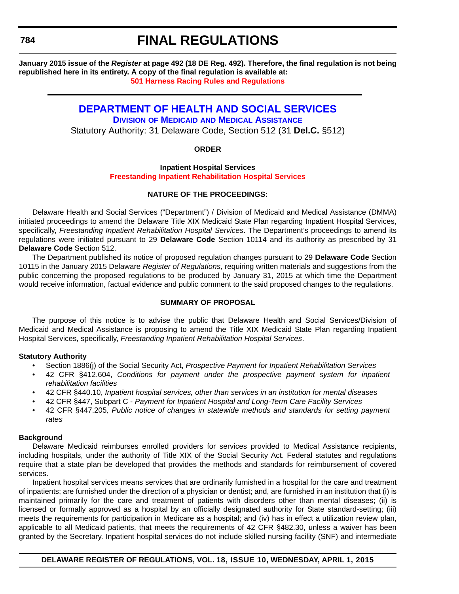<span id="page-42-0"></span>**January 2015 issue of the** *Register* **at page 492 (18 DE Reg. 492). Therefore, the final regulation is not being republished here in its entirety. A copy of the final regulation is available at: [501 Harness Racing Rules and Regulations](http://regulations.delaware.gov/register/april2015/final/18 DE Reg 782 04-01-15.htm)**

### **[DEPARTMENT OF HEALTH AND SOCIAL SERVICES](http://www.dhss.delaware.gov/dhss/dmma/)**

**DIVISION OF MEDICAID AND MEDICAL ASSISTANCE** Statutory Authority: 31 Delaware Code, Section 512 (31 **Del.C.** §512)

#### **ORDER**

#### **Inpatient Hospital Services [Freestanding Inpatient Rehabilitation Hospital Services](#page-4-0)**

#### **NATURE OF THE PROCEEDINGS:**

Delaware Health and Social Services ("Department") / Division of Medicaid and Medical Assistance (DMMA) initiated proceedings to amend the Delaware Title XIX Medicaid State Plan regarding Inpatient Hospital Services, specifically, *Freestanding Inpatient Rehabilitation Hospital Services*. The Department's proceedings to amend its regulations were initiated pursuant to 29 **Delaware Code** Section 10114 and its authority as prescribed by 31 **Delaware Code** Section 512.

The Department published its notice of proposed regulation changes pursuant to 29 **Delaware Code** Section 10115 in the January 2015 Delaware *Register of Regulations*, requiring written materials and suggestions from the public concerning the proposed regulations to be produced by January 31, 2015 at which time the Department would receive information, factual evidence and public comment to the said proposed changes to the regulations.

#### **SUMMARY OF PROPOSAL**

The purpose of this notice is to advise the public that Delaware Health and Social Services/Division of Medicaid and Medical Assistance is proposing to amend the Title XIX Medicaid State Plan regarding Inpatient Hospital Services, specifically, *Freestanding Inpatient Rehabilitation Hospital Services*.

#### **Statutory Authority**

- Section 1886(j) of the Social Security Act, *Prospective Payment for Inpatient Rehabilitation Services*
- 42 CFR §412.604, *Conditions for payment under the prospective payment system for inpatient rehabilitation facilities*
- 42 CFR §440.10, *Inpatient hospital services, other than services in an institution for mental diseases*
- 42 CFR §447, Subpart C *Payment for Inpatient Hospital and Long-Term Care Facility Services*
- 42 CFR §447.205*, Public notice of changes in statewide methods and standards for setting payment rates*

#### **Background**

Delaware Medicaid reimburses enrolled providers for services provided to Medical Assistance recipients, including hospitals, under the authority of Title XIX of the Social Security Act. Federal statutes and regulations require that a state plan be developed that provides the methods and standards for reimbursement of covered services.

Inpatient hospital services means services that are ordinarily furnished in a hospital for the care and treatment of inpatients; are furnished under the direction of a physician or dentist; and, are furnished in an institution that (i) is maintained primarily for the care and treatment of patients with disorders other than mental diseases; (ii) is licensed or formally approved as a hospital by an officially designated authority for State standard-setting; (iii) meets the requirements for participation in Medicare as a hospital; and (iv) has in effect a utilization review plan, applicable to all Medicaid patients, that meets the requirements of 42 CFR §482.30, unless a waiver has been granted by the Secretary. Inpatient hospital services do not include skilled nursing facility (SNF) and intermediate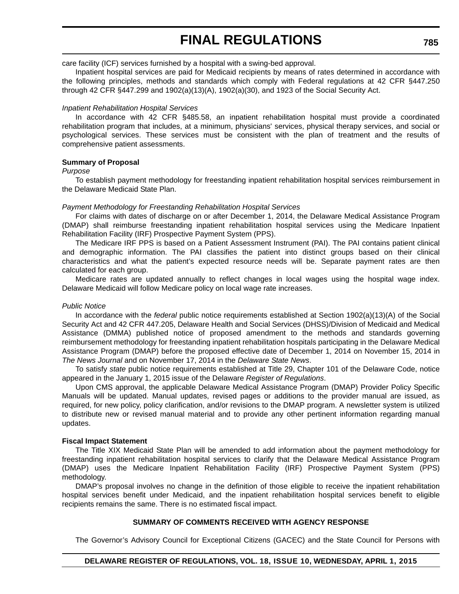care facility (ICF) services furnished by a hospital with a swing-bed approval.

Inpatient hospital services are paid for Medicaid recipients by means of rates determined in accordance with the following principles, methods and standards which comply with Federal regulations at 42 CFR §447.250 through 42 CFR §447.299 and 1902(a)(13)(A), 1902(a)(30), and 1923 of the Social Security Act.

#### *Inpatient Rehabilitation Hospital Services*

In accordance with 42 CFR §485.58, an inpatient rehabilitation hospital must provide a coordinated rehabilitation program that includes, at a minimum, physicians' services, physical therapy services, and social or psychological services. These services must be consistent with the plan of treatment and the results of comprehensive patient assessments.

#### **Summary of Proposal**

#### *Purpose*

To establish payment methodology for freestanding inpatient rehabilitation hospital services reimbursement in the Delaware Medicaid State Plan.

#### *Payment Methodology for Freestanding Rehabilitation Hospital Services*

For claims with dates of discharge on or after December 1, 2014, the Delaware Medical Assistance Program (DMAP) shall reimburse freestanding inpatient rehabilitation hospital services using the Medicare Inpatient Rehabilitation Facility (IRF) Prospective Payment System (PPS).

The Medicare IRF PPS is based on a Patient Assessment Instrument (PAI). The PAI contains patient clinical and demographic information. The PAI classifies the patient into distinct groups based on their clinical characteristics and what the patient's expected resource needs will be. Separate payment rates are then calculated for each group.

Medicare rates are updated annually to reflect changes in local wages using the hospital wage index. Delaware Medicaid will follow Medicare policy on local wage rate increases.

#### *Public Notice*

In accordance with the *federal* public notice requirements established at Section 1902(a)(13)(A) of the Social Security Act and 42 CFR 447.205, Delaware Health and Social Services (DHSS)/Division of Medicaid and Medical Assistance (DMMA) published notice of proposed amendment to the methods and standards governing reimbursement methodology for freestanding inpatient rehabilitation hospitals participating in the Delaware Medical Assistance Program (DMAP) before the proposed effective date of December 1, 2014 on November 15, 2014 in *The News Journal* and on November 17, 2014 in the *Delaware State News*.

To satisfy *state* public notice requirements established at Title 29, Chapter 101 of the Delaware Code, notice appeared in the January 1, 2015 issue of the Delaware *Register of Regulations*.

Upon CMS approval, the applicable Delaware Medical Assistance Program (DMAP) Provider Policy Specific Manuals will be updated. Manual updates, revised pages or additions to the provider manual are issued, as required, for new policy, policy clarification, and/or revisions to the DMAP program. A newsletter system is utilized to distribute new or revised manual material and to provide any other pertinent information regarding manual updates.

#### **Fiscal Impact Statement**

The Title XIX Medicaid State Plan will be amended to add information about the payment methodology for freestanding inpatient rehabilitation hospital services to clarify that the Delaware Medical Assistance Program (DMAP) uses the Medicare Inpatient Rehabilitation Facility (IRF) Prospective Payment System (PPS) methodology.

DMAP's proposal involves no change in the definition of those eligible to receive the inpatient rehabilitation hospital services benefit under Medicaid, and the inpatient rehabilitation hospital services benefit to eligible recipients remains the same. There is no estimated fiscal impact.

#### **SUMMARY OF COMMENTS RECEIVED WITH AGENCY RESPONSE**

The Governor's Advisory Council for Exceptional Citizens (GACEC) and the State Council for Persons with

#### **DELAWARE REGISTER OF REGULATIONS, VOL. 18, ISSUE 10, WEDNESDAY, APRIL 1, 2015**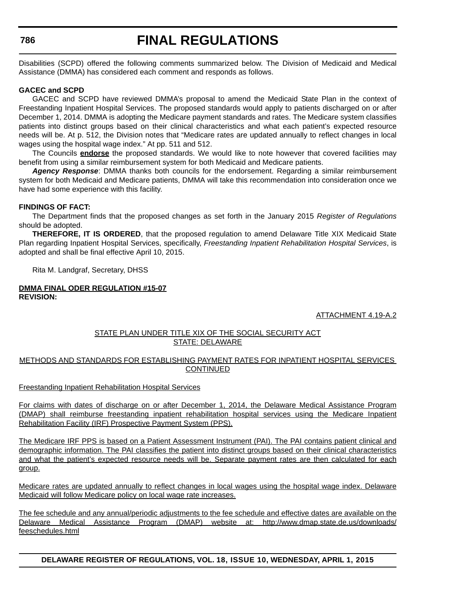Disabilities (SCPD) offered the following comments summarized below. The Division of Medicaid and Medical Assistance (DMMA) has considered each comment and responds as follows.

#### **GACEC and SCPD**

GACEC and SCPD have reviewed DMMA's proposal to amend the Medicaid State Plan in the context of Freestanding Inpatient Hospital Services. The proposed standards would apply to patients discharged on or after December 1, 2014. DMMA is adopting the Medicare payment standards and rates. The Medicare system classifies patients into distinct groups based on their clinical characteristics and what each patient's expected resource needs will be. At p. 512, the Division notes that "Medicare rates are updated annually to reflect changes in local wages using the hospital wage index." At pp. 511 and 512.

The Councils **endorse** the proposed standards. We would like to note however that covered facilities may benefit from using a similar reimbursement system for both Medicaid and Medicare patients.

*Agency Response*: DMMA thanks both councils for the endorsement. Regarding a similar reimbursement system for both Medicaid and Medicare patients, DMMA will take this recommendation into consideration once we have had some experience with this facility.

#### **FINDINGS OF FACT:**

The Department finds that the proposed changes as set forth in the January 2015 *Register of Regulations* should be adopted.

**THEREFORE, IT IS ORDERED**, that the proposed regulation to amend Delaware Title XIX Medicaid State Plan regarding Inpatient Hospital Services, specifically, *Freestanding Inpatient Rehabilitation Hospital Services*, is adopted and shall be final effective April 10, 2015.

Rita M. Landgraf, Secretary, DHSS

#### **DMMA FINAL ODER REGULATION #15-07 REVISION:**

ATTACHMENT 4.19-A.2

#### STATE PLAN UNDER TITLE XIX OF THE SOCIAL SECURITY ACT STATE: DELAWARE

#### METHODS AND STANDARDS FOR ESTABLISHING PAYMENT RATES FOR INPATIENT HOSPITAL SERVICES **CONTINUED**

#### Freestanding Inpatient Rehabilitation Hospital Services

For claims with dates of discharge on or after December 1, 2014, the Delaware Medical Assistance Program (DMAP) shall reimburse freestanding inpatient rehabilitation hospital services using the Medicare Inpatient Rehabilitation Facility (IRF) Prospective Payment System (PPS).

The Medicare IRF PPS is based on a Patient Assessment Instrument (PAI). The PAI contains patient clinical and demographic information. The PAI classifies the patient into distinct groups based on their clinical characteristics and what the patient's expected resource needs will be. Separate payment rates are then calculated for each group.

Medicare rates are updated annually to reflect changes in local wages using the hospital wage index. Delaware Medicaid will follow Medicare policy on local wage rate increases.

[The fee schedule and any annual/periodic adjustments to the fee schedule and effective dates are available on the](http://www.dmap.state.de.us/downloads/feeschedules.html) Delaware Medical Assistance Program (DMAP) website at: http://www.dmap.state.de.us/downloads/ feeschedules.html

**DELAWARE REGISTER OF REGULATIONS, VOL. 18, ISSUE 10, WEDNESDAY, APRIL 1, 2015**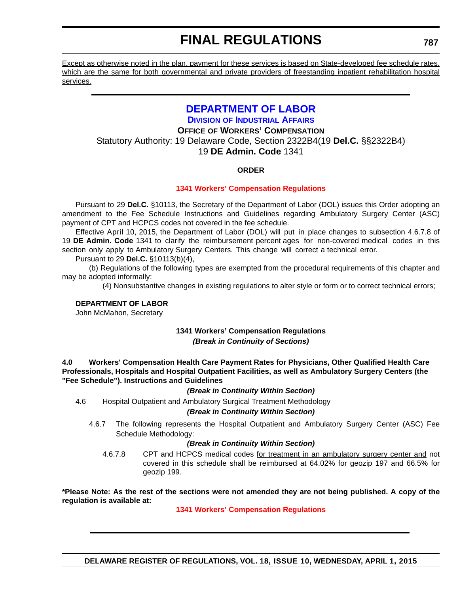<span id="page-45-0"></span>Except as otherwise noted in the plan, payment for these services is based on State-developed fee schedule rates, which are the same for both governmental and private providers of freestanding inpatient rehabilitation hospital services.

### **[DEPARTMENT OF LABOR](http://dia.delawareworks.com/)**

**DIVISION OF INDUSTRIAL AFFAIRS OFFICE OF WORKERS' COMPENSATION** Statutory Authority: 19 Delaware Code, Section 2322B4(19 **Del.C.** §§2322B4) 19 **DE Admin. Code** 1341

#### **ORDER**

#### **[1341 Workers' Compensation Regulations](#page-4-0)**

Pursuant to 29 **Del.C.** §10113, the Secretary of the Department of Labor (DOL) issues this Order adopting an amendment to the Fee Schedule Instructions and Guidelines regarding Ambulatory Surgery Center (ASC) payment of CPT and HCPCS codes not covered in the fee schedule.

Effective April 10, 2015, the Department of Labor (DOL) will put in place changes to subsection 4.6.7.8 of 19 **DE Admin. Code** 1341 to clarify the reimbursement percent ages for non-covered medical codes in this section only apply to Ambulatory Surgery Centers. This change will correct a technical error.

Pursuant to 29 **Del.C.** §10113(b)(4),

(b) Regulations of the following types are exempted from the procedural requirements of this chapter and may be adopted informally:

(4) Nonsubstantive changes in existing regulations to alter style or form or to correct technical errors;

#### **DEPARTMENT OF LABOR**

John McMahon, Secretary

#### **1341 Workers' Compensation Regulations** *(Break in Continuity of Sections)*

**4.0 Workers' Compensation Health Care Payment Rates for Physicians, Other Qualified Health Care Professionals, Hospitals and Hospital Outpatient Facilities, as well as Ambulatory Surgery Centers (the "Fee Schedule"). Instructions and Guidelines**

#### *(Break in Continuity Within Section)*

4.6 Hospital Outpatient and Ambulatory Surgical Treatment Methodology

#### *(Break in Continuity Within Section)*

4.6.7 The following represents the Hospital Outpatient and Ambulatory Surgery Center (ASC) Fee Schedule Methodology:

#### *(Break in Continuity Within Section)*

4.6.7.8 CPT and HCPCS medical codes for treatment in an ambulatory surgery center and not covered in this schedule shall be reimbursed at 64.02% for geozip 197 and 66.5% for geozip 199.

**\*Please Note: As the rest of the sections were not amended they are not being published. A copy of the regulation is available at:**

**[1341 Workers' Compensation Regulations](http://regulations.delaware.gov/register/april2015/final/18 DE Reg 787 04-01-15.htm)**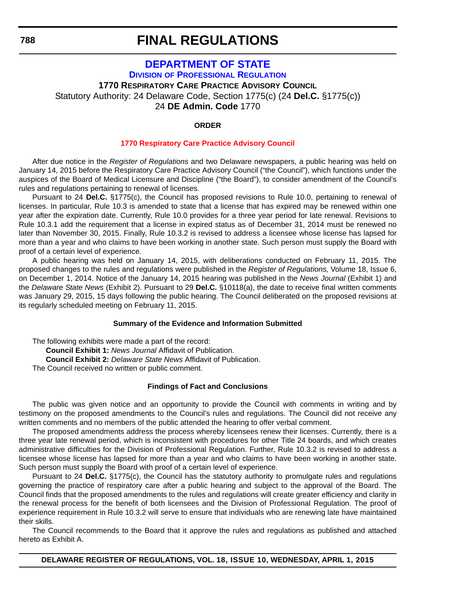### <span id="page-46-0"></span>**[DEPARTMENT OF STATE](http://dpr.delaware.gov/) DIVISION OF PROFESSIONAL REGULATION 1770 RESPIRATORY CARE PRACTICE ADVISORY COUNCIL** Statutory Authority: 24 Delaware Code, Section 1775(c) (24 **Del.C.** §1775(c)) 24 **DE Admin. Code** 1770

#### **ORDER**

#### **[1770 Respiratory Care Practice Advisory Council](#page-4-0)**

After due notice in the *Register of Regulations* and two Delaware newspapers, a public hearing was held on January 14, 2015 before the Respiratory Care Practice Advisory Council ("the Council"), which functions under the auspices of the Board of Medical Licensure and Discipline ("the Board"), to consider amendment of the Council's rules and regulations pertaining to renewal of licenses.

Pursuant to 24 **Del.C.** §1775(c), the Council has proposed revisions to Rule 10.0, pertaining to renewal of licenses. In particular, Rule 10.3 is amended to state that a license that has expired may be renewed within one year after the expiration date. Currently, Rule 10.0 provides for a three year period for late renewal. Revisions to Rule 10.3.1 add the requirement that a license in expired status as of December 31, 2014 must be renewed no later than November 30, 2015. Finally, Rule 10.3.2 is revised to address a licensee whose license has lapsed for more than a year and who claims to have been working in another state. Such person must supply the Board with proof of a certain level of experience.

A public hearing was held on January 14, 2015, with deliberations conducted on February 11, 2015. The proposed changes to the rules and regulations were published in the *Register of Regulations,* Volume 18, Issue 6, on December 1, 2014. Notice of the January 14, 2015 hearing was published in the *News Journal* (Exhibit 1) and the *Delaware State News* (Exhibit 2). Pursuant to 29 **Del.C.** §10118(a), the date to receive final written comments was January 29, 2015, 15 days following the public hearing. The Council deliberated on the proposed revisions at its regularly scheduled meeting on February 11, 2015.

#### **Summary of the Evidence and Information Submitted**

The following exhibits were made a part of the record: **Council Exhibit 1:** *News Journal* Affidavit of Publication. **Council Exhibit 2:** *Delaware State News* Affidavit of Publication. The Council received no written or public comment.

#### **Findings of Fact and Conclusions**

The public was given notice and an opportunity to provide the Council with comments in writing and by testimony on the proposed amendments to the Council's rules and regulations. The Council did not receive any written comments and no members of the public attended the hearing to offer verbal comment.

The proposed amendments address the process whereby licensees renew their licenses. Currently, there is a three year late renewal period, which is inconsistent with procedures for other Title 24 boards, and which creates administrative difficulties for the Division of Professional Regulation. Further, Rule 10.3.2 is revised to address a licensee whose license has lapsed for more than a year and who claims to have been working in another state. Such person must supply the Board with proof of a certain level of experience.

Pursuant to 24 **Del.C.** §1775(c), the Council has the statutory authority to promulgate rules and regulations governing the practice of respiratory care after a public hearing and subject to the approval of the Board. The Council finds that the proposed amendments to the rules and regulations will create greater efficiency and clarity in the renewal process for the benefit of both licensees and the Division of Professional Regulation. The proof of experience requirement in Rule 10.3.2 will serve to ensure that individuals who are renewing late have maintained their skills.

The Council recommends to the Board that it approve the rules and regulations as published and attached hereto as Exhibit A.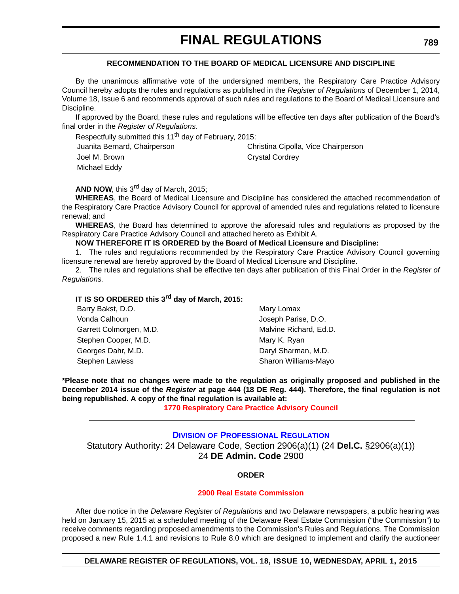#### **RECOMMENDATION TO THE BOARD OF MEDICAL LICENSURE AND DISCIPLINE**

<span id="page-47-0"></span>By the unanimous affirmative vote of the undersigned members, the Respiratory Care Practice Advisory Council hereby adopts the rules and regulations as published in the *Register of Regulations* of December 1, 2014, Volume 18, Issue 6 and recommends approval of such rules and regulations to the Board of Medical Licensure and Discipline.

If approved by the Board, these rules and regulations will be effective ten days after publication of the Board's final order in the *Register of Regulations.*

Respectfully submitted this 11<sup>th</sup> day of February, 2015:

Juanita Bernard, Chairperson Christina Cipolla, Vice Chairperson Joel M. Brown **Crystal Cordrey** Michael Eddy

**AND NOW, this 3<sup>rd</sup> day of March, 2015;** 

**WHEREAS**, the Board of Medical Licensure and Discipline has considered the attached recommendation of the Respiratory Care Practice Advisory Council for approval of amended rules and regulations related to licensure renewal; and

**WHEREAS**, the Board has determined to approve the aforesaid rules and regulations as proposed by the Respiratory Care Practice Advisory Council and attached hereto as Exhibit A.

#### **NOW THEREFORE IT IS ORDERED by the Board of Medical Licensure and Discipline:**

1. The rules and regulations recommended by the Respiratory Care Practice Advisory Council governing licensure renewal are hereby approved by the Board of Medical Licensure and Discipline.

2. The rules and regulations shall be effective ten days after publication of this Final Order in the *Register of Regulations.*

### **IT IS SO ORDERED this 3rd day of March, 2015:**

| Barry Bakst, D.O.       | Mary Lomax             |  |
|-------------------------|------------------------|--|
| Vonda Calhoun           | Joseph Parise, D.O.    |  |
| Garrett Colmorgen, M.D. | Malvine Richard, Ed.D. |  |
| Stephen Cooper, M.D.    | Mary K. Ryan           |  |
| Georges Dahr, M.D.      | Daryl Sharman, M.D.    |  |
| Stephen Lawless         | Sharon Williams-Mayo   |  |

**\*Please note that no changes were made to the regulation as originally proposed and published in the December 2014 issue of the** *Register* **at page 444 (18 DE Reg. 444). Therefore, the final regulation is not being republished. A copy of the final regulation is available at:**

**[1770 Respiratory Care Practice Advisory Council](http://regulations.delaware.gov/register/april2015/final/18 DE Reg 788 04-01-15.htm)**

#### **DIVISION [OF PROFESSIONAL REGULATION](http://dpr.delaware.gov/)** Statutory Authority: 24 Delaware Code, Section 2906(a)(1) (24 **Del.C.** §2906(a)(1)) 24 **DE Admin. Code** 2900

#### **ORDER**

#### **[2900 Real Estate Commission](#page-4-0)**

After due notice in the *Delaware Register of Regulations* and two Delaware newspapers, a public hearing was held on January 15, 2015 at a scheduled meeting of the Delaware Real Estate Commission ("the Commission") to receive comments regarding proposed amendments to the Commission's Rules and Regulations. The Commission proposed a new Rule 1.4.1 and revisions to Rule 8.0 which are designed to implement and clarify the auctioneer

**DELAWARE REGISTER OF REGULATIONS, VOL. 18, ISSUE 10, WEDNESDAY, APRIL 1, 2015**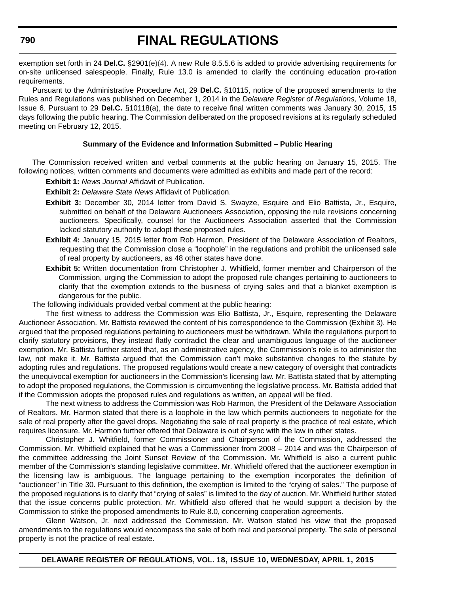exemption set forth in 24 **Del.C.** §2901(e)(4). A new Rule 8.5.5.6 is added to provide advertising requirements for on-site unlicensed salespeople. Finally, Rule 13.0 is amended to clarify the continuing education pro-ration requirements.

Pursuant to the Administrative Procedure Act, 29 **Del.C.** §10115, notice of the proposed amendments to the Rules and Regulations was published on December 1, 2014 in the *Delaware Register of Regulations,* Volume 18, Issue 6. Pursuant to 29 **Del.C.** §10118(a), the date to receive final written comments was January 30, 2015, 15 days following the public hearing. The Commission deliberated on the proposed revisions at its regularly scheduled meeting on February 12, 2015.

#### **Summary of the Evidence and Information Submitted – Public Hearing**

The Commission received written and verbal comments at the public hearing on January 15, 2015. The following notices, written comments and documents were admitted as exhibits and made part of the record:

**Exhibit 1:** *News Journal* Affidavit of Publication.

**Exhibit 2:** *Delaware State News* Affidavit of Publication.

- **Exhibit 3:** December 30, 2014 letter from David S. Swayze, Esquire and Elio Battista, Jr., Esquire, submitted on behalf of the Delaware Auctioneers Association, opposing the rule revisions concerning auctioneers. Specifically, counsel for the Auctioneers Association asserted that the Commission lacked statutory authority to adopt these proposed rules.
- **Exhibit 4:** January 15, 2015 letter from Rob Harmon, President of the Delaware Association of Realtors, requesting that the Commission close a "loophole" in the regulations and prohibit the unlicensed sale of real property by auctioneers, as 48 other states have done.
- **Exhibit 5:** Written documentation from Christopher J. Whitfield, former member and Chairperson of the Commission, urging the Commission to adopt the proposed rule changes pertaining to auctioneers to clarify that the exemption extends to the business of crying sales and that a blanket exemption is dangerous for the public.

The following individuals provided verbal comment at the public hearing:

The first witness to address the Commission was Elio Battista, Jr., Esquire, representing the Delaware Auctioneer Association. Mr. Battista reviewed the content of his correspondence to the Commission (Exhibit 3). He argued that the proposed regulations pertaining to auctioneers must be withdrawn. While the regulations purport to clarify statutory provisions, they instead flatly contradict the clear and unambiguous language of the auctioneer exemption. Mr. Battista further stated that, as an administrative agency, the Commission's role is to administer the law, not make it. Mr. Battista argued that the Commission can't make substantive changes to the statute by adopting rules and regulations. The proposed regulations would create a new category of oversight that contradicts the unequivocal exemption for auctioneers in the Commission's licensing law. Mr. Battista stated that by attempting to adopt the proposed regulations, the Commission is circumventing the legislative process. Mr. Battista added that if the Commission adopts the proposed rules and regulations as written, an appeal will be filed.

The next witness to address the Commission was Rob Harmon, the President of the Delaware Association of Realtors. Mr. Harmon stated that there is a loophole in the law which permits auctioneers to negotiate for the sale of real property after the gavel drops. Negotiating the sale of real property is the practice of real estate, which requires licensure. Mr. Harmon further offered that Delaware is out of sync with the law in other states.

Christopher J. Whitfield, former Commissioner and Chairperson of the Commission, addressed the Commission. Mr. Whitfield explained that he was a Commissioner from 2008 – 2014 and was the Chairperson of the committee addressing the Joint Sunset Review of the Commission. Mr. Whitfield is also a current public member of the Commission's standing legislative committee. Mr. Whitfield offered that the auctioneer exemption in the licensing law is ambiguous. The language pertaining to the exemption incorporates the definition of "auctioneer" in Title 30. Pursuant to this definition, the exemption is limited to the "crying of sales." The purpose of the proposed regulations is to clarify that "crying of sales" is limited to the day of auction. Mr. Whitfield further stated that the issue concerns public protection. Mr. Whitfield also offered that he would support a decision by the Commission to strike the proposed amendments to Rule 8.0, concerning cooperation agreements.

Glenn Watson, Jr. next addressed the Commission. Mr. Watson stated his view that the proposed amendments to the regulations would encompass the sale of both real and personal property. The sale of personal property is not the practice of real estate.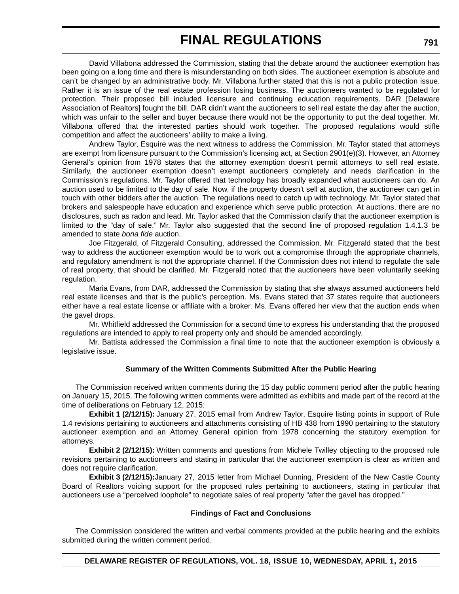David Villabona addressed the Commission, stating that the debate around the auctioneer exemption has been going on a long time and there is misunderstanding on both sides. The auctioneer exemption is absolute and can't be changed by an administrative body. Mr. Villabona further stated that this is not a public protection issue. Rather it is an issue of the real estate profession losing business. The auctioneers wanted to be regulated for protection. Their proposed bill included licensure and continuing education requirements. DAR [Delaware Association of Realtors] fought the bill. DAR didn't want the auctioneers to sell real estate the day after the auction, which was unfair to the seller and buyer because there would not be the opportunity to put the deal together. Mr. Villabona offered that the interested parties should work together. The proposed regulations would stifle competition and affect the auctioneers' ability to make a living.

Andrew Taylor, Esquire was the next witness to address the Commission. Mr. Taylor stated that attorneys are exempt from licensure pursuant to the Commission's licensing act, at Section 2901(e)(3). However, an Attorney General's opinion from 1978 states that the attorney exemption doesn't permit attorneys to sell real estate. Similarly, the auctioneer exemption doesn't exempt auctioneers completely and needs clarification in the Commission's regulations. Mr. Taylor offered that technology has broadly expanded what auctioneers can do. An auction used to be limited to the day of sale. Now, if the property doesn't sell at auction, the auctioneer can get in touch with other bidders after the auction. The regulations need to catch up with technology. Mr. Taylor stated that brokers and salespeople have education and experience which serve public protection. At auctions, there are no disclosures, such as radon and lead. Mr. Taylor asked that the Commission clarify that the auctioneer exemption is limited to the "day of sale." Mr. Taylor also suggested that the second line of proposed regulation 1.4.1.3 be amended to state *bona fide* auction.

Joe Fitzgerald, of Fitzgerald Consulting, addressed the Commission. Mr. Fitzgerald stated that the best way to address the auctioneer exemption would be to work out a compromise through the appropriate channels, and regulatory amendment is not the appropriate channel. If the Commission does not intend to regulate the sale of real property, that should be clarified. Mr. Fitzgerald noted that the auctioneers have been voluntarily seeking regulation.

Maria Evans, from DAR, addressed the Commission by stating that she always assumed auctioneers held real estate licenses and that is the public's perception. Ms. Evans stated that 37 states require that auctioneers either have a real estate license or affiliate with a broker. Ms. Evans offered her view that the auction ends when the gavel drops.

Mr. Whitfield addressed the Commission for a second time to express his understanding that the proposed regulations are intended to apply to real property only and should be amended accordingly.

Mr. Battista addressed the Commission a final time to note that the auctioneer exemption is obviously a legislative issue.

#### **Summary of the Written Comments Submitted After the Public Hearing**

The Commission received written comments during the 15 day public comment period after the public hearing on January 15, 2015. The following written comments were admitted as exhibits and made part of the record at the time of deliberations on February 12, 2015:

**Exhibit 1 (2/12/15):** January 27, 2015 email from Andrew Taylor, Esquire listing points in support of Rule 1.4 revisions pertaining to auctioneers and attachments consisting of HB 438 from 1990 pertaining to the statutory auctioneer exemption and an Attorney General opinion from 1978 concerning the statutory exemption for attorneys.

**Exhibit 2 (2/12/15):** Written comments and questions from Michele Twilley objecting to the proposed rule revisions pertaining to auctioneers and stating in particular that the auctioneer exemption is clear as written and does not require clarification.

**Exhibit 3 (2/12/15):**January 27, 2015 letter from Michael Dunning, President of the New Castle County Board of Realtors voicing support for the proposed rules pertaining to auctioneers, stating in particular that auctioneers use a "perceived loophole" to negotiate sales of real property "after the gavel has dropped."

#### **Findings of Fact and Conclusions**

The Commission considered the written and verbal comments provided at the public hearing and the exhibits submitted during the written comment period.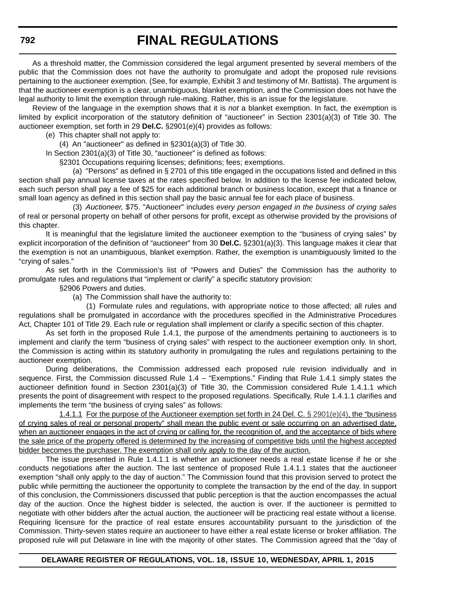As a threshold matter, the Commission considered the legal argument presented by several members of the public that the Commission does not have the authority to promulgate and adopt the proposed rule revisions pertaining to the auctioneer exemption. (See, for example, Exhibit 3 and testimony of Mr. Battista). The argument is that the auctioneer exemption is a clear, unambiguous, blanket exemption, and the Commission does not have the legal authority to limit the exemption through rule-making. Rather, this is an issue for the legislature.

Review of the language in the exemption shows that it is *not* a blanket exemption. In fact, the exemption is limited by explicit incorporation of the statutory definition of "auctioneer" in Section 2301(a)(3) of Title 30. The auctioneer exemption, set forth in 29 **Del.C.** §2901(e)(4) provides as follows:

(e) This chapter shall not apply to:

(4) An "auctioneer" as defined in §2301(a)(3) of Title 30.

In Section 2301(a)(3) of Title 30, "auctioneer" is defined as follows:

§2301 Occupations requiring licenses; definitions; fees; exemptions.

(a) "Persons" as defined in § 2701 of this title engaged in the occupations listed and defined in this section shall pay annual license taxes at the rates specified below. In addition to the license fee indicated below, each such person shall pay a fee of \$25 for each additional branch or business location, except that a finance or small loan agency as defined in this section shall pay the basic annual fee for each place of business.

(3) *Auctioneer,* \$75. "Auctioneer" includes *every person engaged in the business of crying sales* of real or personal property on behalf of other persons for profit, except as otherwise provided by the provisions of this chapter.

It is meaningful that the legislature limited the auctioneer exemption to the "business of crying sales" by explicit incorporation of the definition of "auctioneer" from 30 **Del.C.** §2301(a)(3). This language makes it clear that the exemption is not an unambiguous, blanket exemption. Rather, the exemption is unambiguously limited to the "crying of sales."

As set forth in the Commission's list of "Powers and Duties" the Commission has the authority to promulgate rules and regulations that "implement or clarify" a specific statutory provision:

§2906 Powers and duties.

(a) The Commission shall have the authority to:

(1) Formulate rules and regulations, with appropriate notice to those affected; all rules and regulations shall be promulgated in accordance with the procedures specified in the Administrative Procedures Act, Chapter 101 of Title 29. Each rule or regulation shall implement or clarify a specific section of this chapter.

As set forth in the proposed Rule 1.4.1, the purpose of the amendments pertaining to auctioneers is to implement and clarify the term "business of crying sales" with respect to the auctioneer exemption only. In short, the Commission is acting within its statutory authority in promulgating the rules and regulations pertaining to the auctioneer exemption.

During deliberations, the Commission addressed each proposed rule revision individually and in sequence. First, the Commission discussed Rule 1.4 – "Exemptions." Finding that Rule 1.4.1 simply states the auctioneer definition found in Section 2301(a)(3) of Title 30, the Commission considered Rule 1.4.1.1 which presents the point of disagreement with respect to the proposed regulations. Specifically, Rule 1.4.1.1 clarifies and implements the term "the business of crying sales" as follows:

1.4.1.1 For the purpose of the Auctioneer exemption set forth in 24 Del. C. § 2901(e)(4), the "business of crying sales of real or personal property" shall mean the public event or sale occurring on an advertised date, when an auctioneer engages in the act of crying or calling for, the recognition of, and the acceptance of bids where the sale price of the property offered is determined by the increasing of competitive bids until the highest accepted bidder becomes the purchaser. The exemption shall only apply to the day of the auction.

The issue presented in Rule 1.4.1.1 is whether an auctioneer needs a real estate license if he or she conducts negotiations after the auction. The last sentence of proposed Rule 1.4.1.1 states that the auctioneer exemption "shall only apply to the day of auction." The Commission found that this provision served to protect the public while permitting the auctioneer the opportunity to complete the transaction by the end of the day. In support of this conclusion, the Commissioners discussed that public perception is that the auction encompasses the actual day of the auction. Once the highest bidder is selected, the auction is over. If the auctioneer is permitted to negotiate with other bidders after the actual auction, the auctioneer will be practicing real estate without a license. Requiring licensure for the practice of real estate ensures accountability pursuant to the jurisdiction of the Commission. Thirty-seven states require an auctioneer to have either a real estate license or broker affiliation. The proposed rule will put Delaware in line with the majority of other states. The Commission agreed that the "day of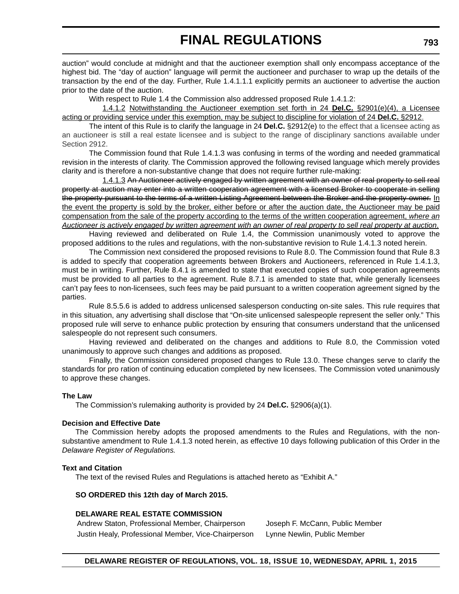auction" would conclude at midnight and that the auctioneer exemption shall only encompass acceptance of the highest bid. The "day of auction" language will permit the auctioneer and purchaser to wrap up the details of the transaction by the end of the day. Further, Rule 1.4.1.1.1 explicitly permits an auctioneer to advertise the auction prior to the date of the auction.

With respect to Rule 1.4 the Commission also addressed proposed Rule 1.4.1.2:

1.4.1.2 Notwithstanding the Auctioneer exemption set forth in 24 **Del.C.** §2901(e)(4), a Licensee acting or providing service under this exemption, may be subject to discipline for violation of 24 **Del.C.** §2912.

The intent of this Rule is to clarify the language in 24 **Del.C.** §2912(e) to the effect that a licensee acting as an auctioneer is still a real estate licensee and is subject to the range of disciplinary sanctions available under Section 2912.

The Commission found that Rule 1.4.1.3 was confusing in terms of the wording and needed grammatical revision in the interests of clarity. The Commission approved the following revised language which merely provides clarity and is therefore a non-substantive change that does not require further rule-making:

1.4.1.3 An Auctioneer actively engaged by written agreement with an owner of real property to sell real property at auction may enter into a written cooperation agreement with a licensed Broker to cooperate in selling the property pursuant to the terms of a written Listing Agreement between the Broker and the property owner. In the event the property is sold by the broker, either before or after the auction date, the Auctioneer may be paid compensation from the sale of the property according to the terms of the written cooperation agreement, *where an Auctioneer is actively engaged by written agreement with an owner of real property to sell real property at auction*.

Having reviewed and deliberated on Rule 1.4, the Commission unanimously voted to approve the proposed additions to the rules and regulations, with the non-substantive revision to Rule 1.4.1.3 noted herein.

The Commission next considered the proposed revisions to Rule 8.0. The Commission found that Rule 8.3 is added to specify that cooperation agreements between Brokers and Auctioneers, referenced in Rule 1.4.1.3, must be in writing. Further, Rule 8.4.1 is amended to state that executed copies of such cooperation agreements must be provided to all parties to the agreement. Rule 8.7.1 is amended to state that, while generally licensees can't pay fees to non-licensees, such fees may be paid pursuant to a written cooperation agreement signed by the parties.

Rule 8.5.5.6 is added to address unlicensed salesperson conducting on-site sales. This rule requires that in this situation, any advertising shall disclose that "On-site unlicensed salespeople represent the seller only." This proposed rule will serve to enhance public protection by ensuring that consumers understand that the unlicensed salespeople do not represent such consumers.

Having reviewed and deliberated on the changes and additions to Rule 8.0, the Commission voted unanimously to approve such changes and additions as proposed.

Finally, the Commission considered proposed changes to Rule 13.0. These changes serve to clarify the standards for pro ration of continuing education completed by new licensees. The Commission voted unanimously to approve these changes.

#### **The Law**

The Commission's rulemaking authority is provided by 24 **Del.C.** §2906(a)(1).

#### **Decision and Effective Date**

The Commission hereby adopts the proposed amendments to the Rules and Regulations, with the nonsubstantive amendment to Rule 1.4.1.3 noted herein, as effective 10 days following publication of this Order in the *Delaware Register of Regulations.*

#### **Text and Citation**

The text of the revised Rules and Regulations is attached hereto as "Exhibit A."

#### **SO ORDERED this 12th day of March 2015.**

#### **DELAWARE REAL ESTATE COMMISSION**

Andrew Staton, Professional Member, Chairperson Joseph F. McCann, Public Member Justin Healy, Professional Member, Vice-Chairperson Lynne Newlin, Public Member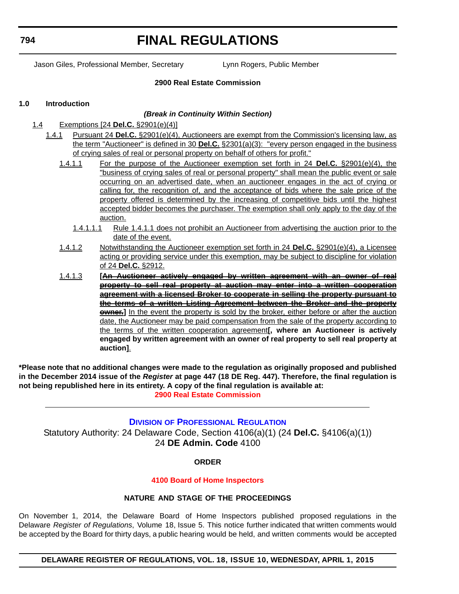<span id="page-52-0"></span>**794**

# **FINAL REGULATIONS**

Jason Giles, Professional Member, Secretary Lynn Rogers, Public Member

#### **2900 Real Estate Commission**

#### **1.0 Introduction**

#### *(Break in Continuity Within Section)*

- 1.4 Exemptions [24 **Del.C.** §2901(e)(4)]
	- 1.4.1 Pursuant 24 **Del.C.** §2901(e)(4), Auctioneers are exempt from the Commission's licensing law, as the term "Auctioneer" is defined in 30 **Del.C.** §2301(a)(3): "every person engaged in the business of crying sales of real or personal property on behalf of others for profit."
		- 1.4.1.1 For the purpose of the Auctioneer exemption set forth in 24 **Del.C.** §2901(e)(4), the "business of crying sales of real or personal property" shall mean the public event or sale occurring on an advertised date, when an auctioneer engages in the act of crying or calling for, the recognition of, and the acceptance of bids where the sale price of the property offered is determined by the increasing of competitive bids until the highest accepted bidder becomes the purchaser. The exemption shall only apply to the day of the auction.
			- 1.4.1.1.1 Rule 1.4.1.1 does not prohibit an Auctioneer from advertising the auction prior to the date of the event.
		- 1.4.1.2 Notwithstanding the Auctioneer exemption set forth in 24 **Del.C.** §2901(e)(4), a Licensee acting or providing service under this exemption, may be subject to discipline for violation of 24 **Del.C.** §2912.
		- 1.4.1.3 **[An Auctioneer actively engaged by written agreement with an owner of real property to sell real property at auction may enter into a written cooperation agreement with a licensed Broker to cooperate in selling the property pursuant to the terms of a written Listing Agreement between the Broker and the property owner.**] In the event the property is sold by the broker, either before or after the auction date, the Auctioneer may be paid compensation from the sale of the property according to the terms of the written cooperation agreement**[, where an Auctioneer is actively engaged by written agreement with an owner of real property to sell real property at auction]**.

**\*Please note that no additional changes were made to the regulation as originally proposed and published in the December 2014 issue of the** *Register* **at page 447 (18 DE Reg. 447). Therefore, the final regulation is not being republished here in its entirety. A copy of the final regulation is available at: [2900 Real Estate Commission](http://regulations.delaware.gov/register/april2015/final/18 DE Reg 789 04-01-15.htm)**

#### **DIVISION [OF PROFESSIONAL REGULATION](http://dpr.delaware.gov/)**

Statutory Authority: 24 Delaware Code, Section 4106(a)(1) (24 **Del.C.** §4106(a)(1)) 24 **DE Admin. Code** 4100

#### **ORDER**

#### **[4100 Board of Home Inspectors](#page-4-0)**

#### **NATURE AND STAGE OF THE PROCEEDINGS**

On November 1, 2014, the Delaware Board of Home Inspectors published proposed regulations in the Delaware *Register of Regulations*, Volume 18, Issue 5. This notice further indicated that written comments would be accepted by the Board for thirty days, a public hearing would be held, and written comments would be accepted

**DELAWARE REGISTER OF REGULATIONS, VOL. 18, ISSUE 10, WEDNESDAY, APRIL 1, 2015**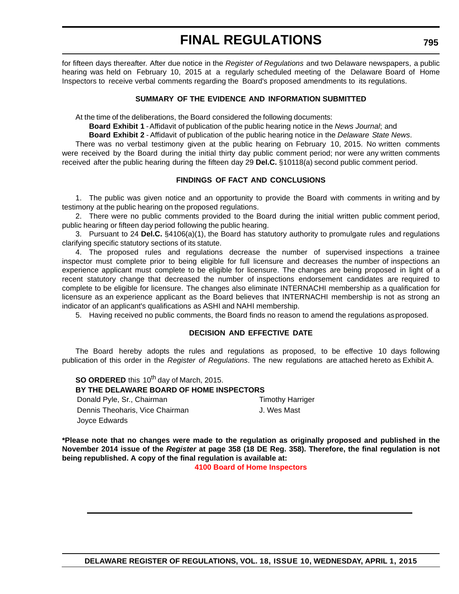for fifteen days thereafter. After due notice in the *Register of Regulations* and two Delaware newspapers, a public hearing was held on February 10, 2015 at a regularly scheduled meeting of the Delaware Board of Home Inspectors to receive verbal comments regarding the Board's proposed amendments to its regulations.

#### **SUMMARY OF THE EVIDENCE AND INFORMATION SUBMITTED**

At the time of the deliberations, the Board considered the following documents:

**Board Exhibit 1** -Affidavit of publication of the public hearing notice in the *News Journal*; and

**Board Exhibit 2** - Affidavit of publication of the public hearing notice in the *Delaware State News*.

There was no verbal testimony given at the public hearing on February 10, 2015. No written comments were received by the Board during the initial thirty day public comment period; nor were any written comments received after the public hearing during the fifteen day 29 **Del.C.** §10118(a) second public comment period.

#### **FINDINGS OF FACT AND CONCLUSIONS**

1. The public was given notice and an opportunity to provide the Board with comments in writing and by testimony at the public hearing on the proposed regulations.

2. There were no public comments provided to the Board during the initial written public comment period, public hearing or fifteen day period following the public hearing.

3. Pursuant to 24 **Del.C.** §4106(a)(1), the Board has statutory authority to promulgate rules and regulations clarifying specific statutory sections of its statute.

4. The proposed rules and regulations decrease the number of supervised inspections a trainee inspector must complete prior to being eligible for full licensure and decreases the number of inspections an experience applicant must complete to be eligible for licensure. The changes are being proposed in light of a recent statutory change that decreased the number of inspections endorsement candidates are required to complete to be eligible for licensure. The changes also eliminate INTERNACHI membership as a qualification for licensure as an experience applicant as the Board believes that INTERNACHI membership is not as strong an indicator of an applicant's qualifications as ASHI and NAHI membership.

5. Having received no public comments, the Board finds no reason to amend the regulations as proposed.

#### **DECISION AND EFFECTIVE DATE**

The Board hereby adopts the rules and regulations as proposed, to be effective 10 days following publication of this order in the *Register of Regulations*. The new regulations are attached hereto as Exhibit A.

**SO ORDERED** this 10<sup>th</sup> day of March, 2015. **BY THE DELAWARE BOARD OF HOME INSPECTORS** Donald Pyle, Sr., Chairman Timothy Harriger Dennis Theoharis, Vice Chairman J. Wes Mast Joyce Edwards

**\*Please note that no changes were made to the regulation as originally proposed and published in the November 2014 issue of the** *Register* **at page 358 (18 DE Reg. 358). Therefore, the final regulation is not being republished. A copy of the final regulation is available at:**

**[4100 Board of Home Inspectors](http://regulations.delaware.gov/register/april2015/final/18 DE Reg 794 04-01-15.htm)**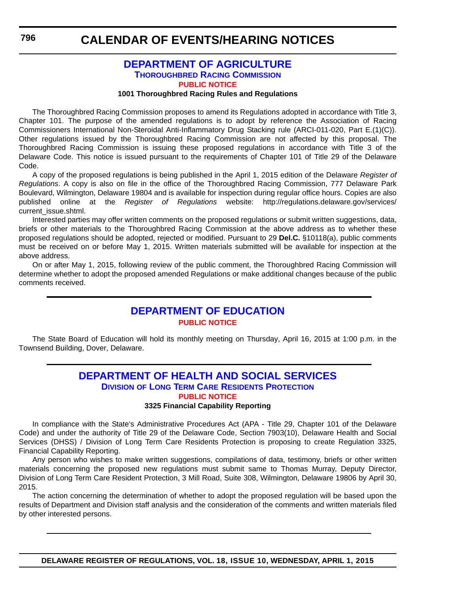### <span id="page-54-0"></span>**CALENDAR OF EVENTS/HEARING NOTICES**

#### **[DEPARTMENT OF AGRICULTURE](http://dda.delaware.gov/thoroughbred/) THOROUGHBRED RACING COMMISSION [PUBLIC NOTICE](#page-4-0)**

#### **1001 Thoroughbred Racing Rules and Regulations**

The Thoroughbred Racing Commission proposes to amend its Regulations adopted in accordance with Title 3, Chapter 101. The purpose of the amended regulations is to adopt by reference the Association of Racing Commissioners International Non-Steroidal Anti-Inflammatory Drug Stacking rule (ARCI-011-020, Part E.(1)(C)). Other regulations issued by the Thoroughbred Racing Commission are not affected by this proposal. The Thoroughbred Racing Commission is issuing these proposed regulations in accordance with Title 3 of the Delaware Code. This notice is issued pursuant to the requirements of Chapter 101 of Title 29 of the Delaware Code.

A copy of the proposed regulations is being published in the April 1, 2015 edition of the Delaware *Register of Regulations*. A copy is also on file in the office of the Thoroughbred Racing Commission, 777 Delaware Park Boulevard, Wilmington, Delaware 19804 and is available for inspection during regular office hours. Copies are also published online at the *Register of Regulations* website: http://regulations.delaware.gov/services/ current\_issue.shtml.

Interested parties may offer written comments on the proposed regulations or submit written suggestions, data, briefs or other materials to the Thoroughbred Racing Commission at the above address as to whether these proposed regulations should be adopted, rejected or modified. Pursuant to 29 **Del.C.** §10118(a), public comments must be received on or before May 1, 2015. Written materials submitted will be available for inspection at the above address.

On or after May 1, 2015, following review of the public comment, the Thoroughbred Racing Commission will determine whether to adopt the proposed amended Regulations or make additional changes because of the public comments received.

### **[DEPARTMENT OF EDUCATION](http://www.doe.k12.de.us/site/default.aspx?PageID=1) [PUBLIC NOTICE](#page-4-0)**

The State Board of Education will hold its monthly meeting on Thursday, April 16, 2015 at 1:00 p.m. in the Townsend Building, Dover, Delaware.

#### **[DEPARTMENT OF HEALTH AND SOCIAL SERVICES](http://www.dhss.delaware.gov/dhss/dltcrp/index.html) DIVISION OF LONG TERM CARE RESIDENTS PROTECTION [PUBLIC NOTICE](#page-4-0)**

#### **3325 Financial Capability Reporting**

In compliance with the State's Administrative Procedures Act (APA - Title 29, Chapter 101 of the Delaware Code) and under the authority of Title 29 of the Delaware Code, Section 7903(10), Delaware Health and Social Services (DHSS) / Division of Long Term Care Residents Protection is proposing to create Regulation 3325, Financial Capability Reporting.

Any person who wishes to make written suggestions, compilations of data, testimony, briefs or other written materials concerning the proposed new regulations must submit same to Thomas Murray, Deputy Director, Division of Long Term Care Resident Protection, 3 Mill Road, Suite 308, Wilmington, Delaware 19806 by April 30, 2015.

The action concerning the determination of whether to adopt the proposed regulation will be based upon the results of Department and Division staff analysis and the consideration of the comments and written materials filed by other interested persons.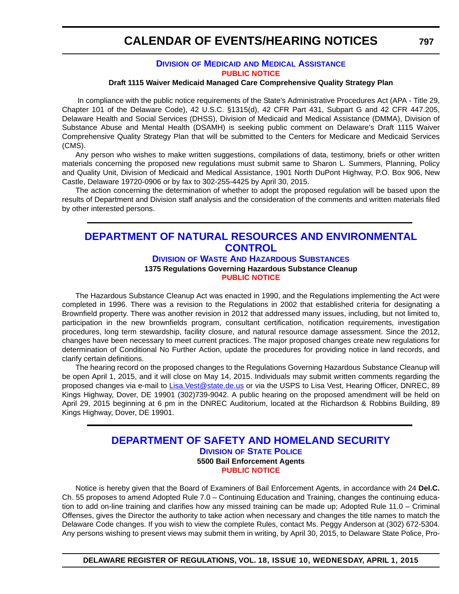### <span id="page-55-0"></span>**CALENDAR OF EVENTS/HEARING NOTICES**

#### **DIVISION OF MEDICAID [AND MEDICAL ASSISTANCE](http://www.dhss.delaware.gov/dhss/dmma/) [PUBLIC NOTICE](#page-4-0)**

#### **Draft 1115 Waiver Medicaid Managed Care Comprehensive Quality Strategy Plan**

 In compliance with the public notice requirements of the State's Administrative Procedures Act (APA - Title 29, Chapter 101 of the Delaware Code), 42 U.S.C. §1315(d), 42 CFR Part 431, Subpart G and 42 CFR 447.205, Delaware Health and Social Services (DHSS), Division of Medicaid and Medical Assistance (DMMA), Division of Substance Abuse and Mental Health (DSAMH) is seeking public comment on Delaware's Draft 1115 Waiver Comprehensive Quality Strategy Plan that will be submitted to the Centers for Medicare and Medicaid Services (CMS).

Any person who wishes to make written suggestions, compilations of data, testimony, briefs or other written materials concerning the proposed new regulations must submit same to Sharon L. Summers, Planning, Policy and Quality Unit, Division of Medicaid and Medical Assistance, 1901 North DuPont Highway, P.O. Box 906, New Castle, Delaware 19720-0906 or by fax to 302-255-4425 by April 30, 2015.

The action concerning the determination of whether to adopt the proposed regulation will be based upon the results of Department and Division staff analysis and the consideration of the comments and written materials filed by other interested persons.

### **[DEPARTMENT OF NATURAL RESOURCES AND ENVIRONMENTAL](http://www.dnrec.delaware.gov/dwhs/Pages/default.aspx)  CONTROL**

**DIVISION OF WASTE AND HAZARDOUS SUBSTANCES 1375 Regulations Governing Hazardous Substance Cleanup [PUBLIC NOTICE](#page-4-0)**

The Hazardous Substance Cleanup Act was enacted in 1990, and the Regulations implementing the Act were completed in 1996. There was a revision to the Regulations in 2002 that established criteria for designating a Brownfield property. There was another revision in 2012 that addressed many issues, including, but not limited to, participation in the new brownfields program, consultant certification, notification requirements, investigation procedures, long term stewardship, facility closure, and natural resource damage assessment. Since the 2012, changes have been necessary to meet current practices. The major proposed changes create new regulations for determination of Conditional No Further Action, update the procedures for providing notice in land records, and clarify certain definitions.

The hearing record on the proposed changes to the Regulations Governing Hazardous Substance Cleanup will be open April 1, 2015, and it will close on May 14, 2015. Individuals may submit written comments regarding the proposed changes via e-mail to [Lisa.Vest@state.de.us](mailto:Lisa.Vest@state.de.us) or via the USPS to Lisa Vest, Hearing Officer, DNREC, 89 Kings Highway, Dover, DE 19901 (302)739-9042. A public hearing on the proposed amendment will be held on April 29, 2015 beginning at 6 pm in the DNREC Auditorium, located at the Richardson & Robbins Building, 89 Kings Highway, Dover, DE 19901.

#### **[DEPARTMENT OF SAFETY AND HOMELAND SECURITY](http://dsp.delaware.gov/) DIVISION OF STATE POLICE 5500 Bail Enforcement Agents [PUBLIC NOTICE](#page-4-0)**

Notice is hereby given that the Board of Examiners of Bail Enforcement Agents, in accordance with 24 **Del.C.** Ch. 55 proposes to amend Adopted Rule 7.0 – Continuing Education and Training, changes the continuing education to add on-line training and clarifies how any missed training can be made up; Adopted Rule 11.0 – Criminal Offenses, gives the Director the authority to take action when necessary and changes the title names to match the Delaware Code changes. If you wish to view the complete Rules, contact Ms. Peggy Anderson at (302) 672-5304. Any persons wishing to present views may submit them in writing, by April 30, 2015, to Delaware State Police, Pro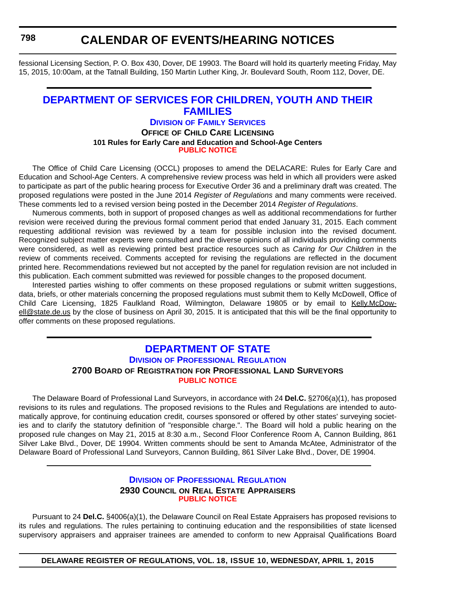<span id="page-56-0"></span>**798**

### **CALENDAR OF EVENTS/HEARING NOTICES**

fessional Licensing Section, P. O. Box 430, Dover, DE 19903. The Board will hold its quarterly meeting Friday, May 15, 2015, 10:00am, at the Tatnall Building, 150 Martin Luther King, Jr. Boulevard South, Room 112, Dover, DE.

### **[DEPARTMENT OF SERVICES FOR CHILDREN, YOUTH AND THEIR](http://kids.delaware.gov/fs/fs.shtml)  FAMILIES**

#### **DIVISION OF FAMILY SERVICES OFFICE OF CHILD CARE LICENSING 101 Rules for Early Care and Education and School-Age Centers [PUBLIC NOTICE](#page-4-0)**

The Office of Child Care Licensing (OCCL) proposes to amend the DELACARE: Rules for Early Care and Education and School-Age Centers. A comprehensive review process was held in which all providers were asked to participate as part of the public hearing process for Executive Order 36 and a preliminary draft was created. The proposed regulations were posted in the June 2014 *Register of Regulations* and many comments were received. These comments led to a revised version being posted in the December 2014 *Register of Regulations*.

Numerous comments, both in support of proposed changes as well as additional recommendations for further revision were received during the previous formal comment period that ended January 31, 2015. Each comment requesting additional revision was reviewed by a team for possible inclusion into the revised document. Recognized subject matter experts were consulted and the diverse opinions of all individuals providing comments were considered, as well as reviewing printed best practice resources such as *Caring for Our Children* in the review of comments received. Comments accepted for revising the regulations are reflected in the document printed here. Recommendations reviewed but not accepted by the panel for regulation revision are not included in this publication. Each comment submitted was reviewed for possible changes to the proposed document.

Interested parties wishing to offer comments on these proposed regulations or submit written suggestions, data, briefs, or other materials concerning the proposed regulations must submit them to Kelly McDowell, Office of Child Care Licensing, 1825 Faulkland Road, Wilmington, Delaware 19805 or by email to [Kelly.McDow](mailto:Kelly.McDowell@state.de.us)[ell@state.de.us](mailto:Kelly.McDowell@state.de.us) by the close of business on April 30, 2015. It is anticipated that this will be the final opportunity to offer comments on these proposed regulations.

#### **[DEPARTMENT OF STATE](http://dpr.delaware.gov/) DIVISION OF PROFESSIONAL REGULATION 2700 BOARD OF REGISTRATION FOR PROFESSIONAL LAND SURVEYORS [PUBLIC NOTICE](#page-4-0)**

The Delaware Board of Professional Land Surveyors, in accordance with 24 **Del.C.** §2706(a)(1), has proposed revisions to its rules and regulations. The proposed revisions to the Rules and Regulations are intended to automatically approve, for continuing education credit, courses sponsored or offered by other states' surveying societies and to clarify the statutory definition of "responsible charge.". The Board will hold a public hearing on the proposed rule changes on May 21, 2015 at 8:30 a.m., Second Floor Conference Room A, Cannon Building, 861 Silver Lake Blvd., Dover, DE 19904. Written comments should be sent to Amanda McAtee, Administrator of the Delaware Board of Professional Land Surveyors, Cannon Building, 861 Silver Lake Blvd., Dover, DE 19904.

#### **DIVISION [OF PROFESSIONAL REGULATION](http://dpr.delaware.gov/) 2930 COUNCIL ON REAL ESTATE APPRAISERS [PUBLIC NOTICE](#page-4-0)**

Pursuant to 24 **Del.C.** §4006(a)(1), the Delaware Council on Real Estate Appraisers has proposed revisions to its rules and regulations. The rules pertaining to continuing education and the responsibilities of state licensed supervisory appraisers and appraiser trainees are amended to conform to new Appraisal Qualifications Board

**DELAWARE REGISTER OF REGULATIONS, VOL. 18, ISSUE 10, WEDNESDAY, APRIL 1, 2015**